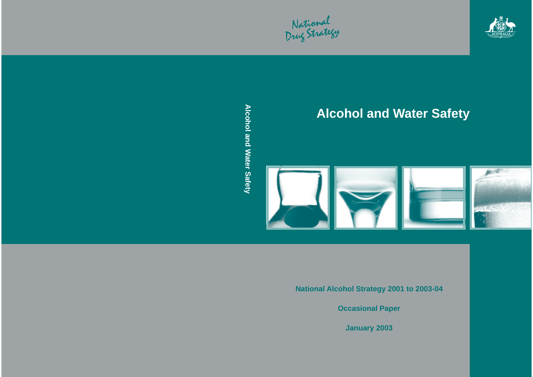National<br>Drug Strategy



# **Alcohol and Water Safety**



**National Alcohol Strategy 2001 to 2003-04**

**Occasional Paper**

**January 2003**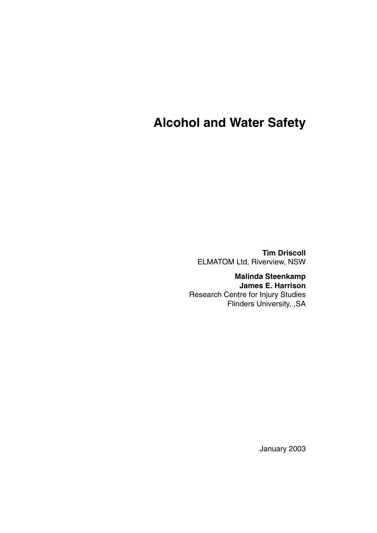# **Alcohol and Water Safety**

**Tim Driscoll** ELMATOM Ltd, Riverview, NSW

**Malinda Steenkamp James E. Harrison** Research Centre for Injury Studies Flinders University, ,SA

January 2003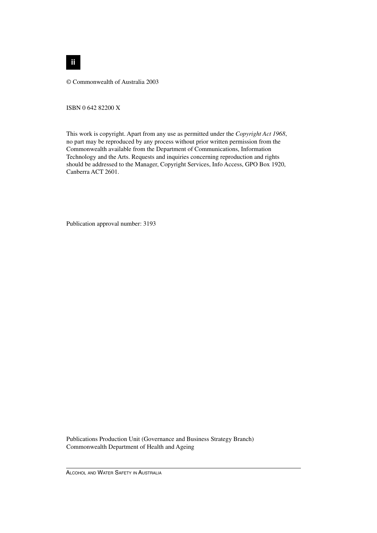© Commonwealth of Australia 2003

ISBN 0 642 82200 X

This work is copyright. Apart from any use as permitted under the *Copyright Act 1968*, no part may be reproduced by any process without prior written permission from the Commonwealth available from the Department of Communications, Information Technology and the Arts. Requests and inquiries concerning reproduction and rights should be addressed to the Manager, Copyright Services, Info Access, GPO Box 1920, Canberra ACT 2601.

Publication approval number: 3193

Publications Production Unit (Governance and Business Strategy Branch) Commonwealth Department of Health and Ageing

ALCOHOL AND WATER SAFETY IN AUSTRALIA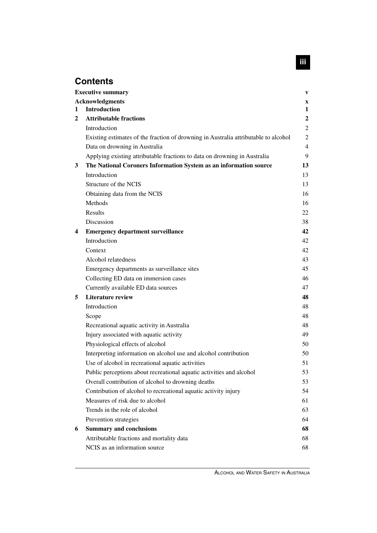# **Contents**

|              | <b>Executive summary</b>                                                            | $\mathbf{V}$   |
|--------------|-------------------------------------------------------------------------------------|----------------|
|              | <b>Acknowledgments</b>                                                              | X              |
| 1            | <b>Introduction</b>                                                                 | $\mathbf{1}$   |
| $\mathbf{2}$ | <b>Attributable fractions</b>                                                       | $\overline{2}$ |
|              | Introduction                                                                        | $\overline{c}$ |
|              | Existing estimates of the fraction of drowning in Australia attributable to alcohol | $\overline{c}$ |
|              | Data on drowning in Australia                                                       | $\overline{4}$ |
|              | Applying existing attributable fractions to data on drowning in Australia           | 9              |
| 3            | The National Coroners Information System as an information source                   | 13             |
|              | Introduction                                                                        | 13             |
|              | Structure of the NCIS                                                               | 13             |
|              | Obtaining data from the NCIS                                                        | 16             |
|              | Methods                                                                             | 16             |
|              | Results                                                                             | 22             |
|              | Discussion                                                                          | 38             |
| 4            | <b>Emergency department surveillance</b>                                            | 42             |
|              | Introduction                                                                        | 42             |
|              | Context                                                                             | 42             |
|              | Alcohol relatedness                                                                 | 43             |
|              | Emergency departments as surveillance sites                                         | 45             |
|              | Collecting ED data on immersion cases                                               | 46             |
|              | Currently available ED data sources                                                 | 47             |
| 5            | <b>Literature review</b>                                                            | 48             |
|              | Introduction                                                                        | 48             |
|              | Scope                                                                               | 48             |
|              | Recreational aquatic activity in Australia                                          | 48             |
|              | Injury associated with aquatic activity                                             | 49             |
|              | Physiological effects of alcohol                                                    | 50             |
|              | Interpreting information on alcohol use and alcohol contribution                    | 50             |
|              | Use of alcohol in recreational aquatic activities                                   | 51             |
|              | Public perceptions about recreational aquatic activities and alcohol                | 53             |
|              | Overall contribution of alcohol to drowning deaths                                  | 53             |
|              | Contribution of alcohol to recreational aquatic activity injury                     | 54             |
|              | Measures of risk due to alcohol                                                     | 61             |
|              | Trends in the role of alcohol                                                       | 63             |
|              | Prevention strategies                                                               | 64             |
| 6            | <b>Summary and conclusions</b>                                                      | 68             |
|              | Attributable fractions and mortality data                                           | 68             |
|              | NCIS as an information source                                                       | 68             |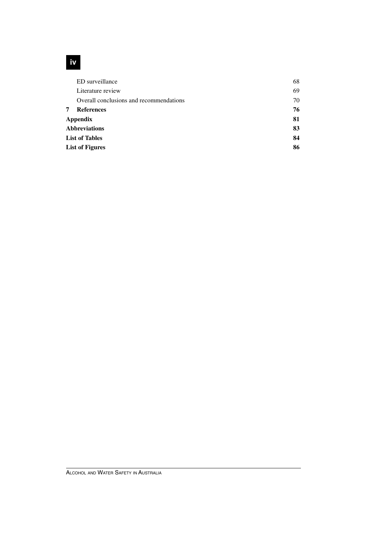# **iv**

|   | ED surveillance                         | 68 |
|---|-----------------------------------------|----|
|   | Literature review                       | 69 |
|   | Overall conclusions and recommendations | 70 |
| 7 | <b>References</b>                       | 76 |
|   | <b>Appendix</b>                         | 81 |
|   | <b>Abbreviations</b>                    | 83 |
|   | <b>List of Tables</b>                   | 84 |
|   | <b>List of Figures</b>                  | 86 |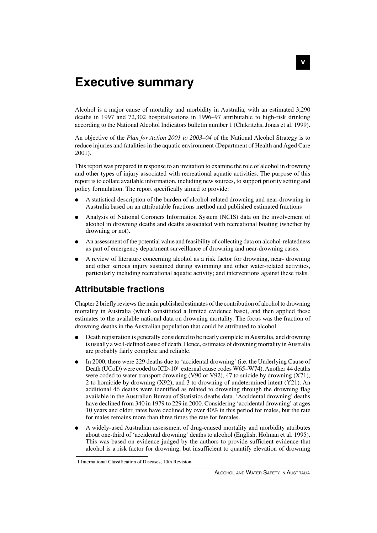# **Executive summary**

Alcohol is a major cause of mortality and morbidity in Australia, with an estimated 3,290 deaths in 1997 and 72,302 hospitalisations in 1996–97 attributable to high-risk drinking according to the National Alcohol Indicators bulletin number 1 (Chikritzhs, Jonas et al. 1999).

An objective of the *Plan for Action 2001 to 2003–04* of the National Alcohol Strategy is to reduce injuries and fatalities in the aquatic environment (Department of Health and Aged Care 2001).

This report was prepared in response to an invitation to examine the role of alcohol in drowning and other types of injury associated with recreational aquatic activities. The purpose of this report is to collate available information, including new sources, to support priority setting and policy formulation. The report specifically aimed to provide:

- A statistical description of the burden of alcohol-related drowning and near-drowning in Australia based on an attributable fractions method and published estimated fractions
- Analysis of National Coroners Information System (NCIS) data on the involvement of alcohol in drowning deaths and deaths associated with recreational boating (whether by drowning or not).
- An assessment of the potential value and feasibility of collecting data on alcohol-relatedness as part of emergency department surveillance of drowning and near-drowning cases.
- A review of literature concerning alcohol as a risk factor for drowning, near- drowning and other serious injury sustained during swimming and other water-related activities, particularly including recreational aquatic activity; and interventions against these risks.

# **Attributable fractions**

Chapter 2 briefly reviews the main published estimates of the contribution of alcohol to drowning mortality in Australia (which constituted a limited evidence base), and then applied these estimates to the available national data on drowning mortality. The focus was the fraction of drowning deaths in the Australian population that could be attributed to alcohol.

- Death registration is generally considered to be nearly complete in Australia, and drowning is usually a well-defined cause of death. Hence, estimates of drowning mortality in Australia are probably fairly complete and reliable.
- In 2000, there were 229 deaths due to 'accidental drowning' (i.e. the Underlying Cause of Death (UCoD) were coded to  $\text{ICD-10}^1$  external cause codes W65–W74). Another 44 deaths were coded to water transport drowning (V90 or V92), 47 to suicide by drowning (X71), 2 to homicide by drowning (X92), and 3 to drowning of undetermined intent (Y21). An additional 46 deaths were identified as related to drowning through the drowning flag available in the Australian Bureau of Statistics deaths data. 'Accidental drowning' deaths have declined from 340 in 1979 to 229 in 2000. Considering 'accidental drowning' at ages 10 years and older, rates have declined by over 40% in this period for males, but the rate for males remains more than three times the rate for females.
- A widely-used Australian assessment of drug-caused mortality and morbidity attributes about one-third of 'accidental drowning' deaths to alcohol (English, Holman et al. 1995). This was based on evidence judged by the authors to provide sufficient evidence that alcohol is a risk factor for drowning, but insufficient to quantify elevation of drowning

<sup>1</sup> International Classification of Diseases, 10th Revision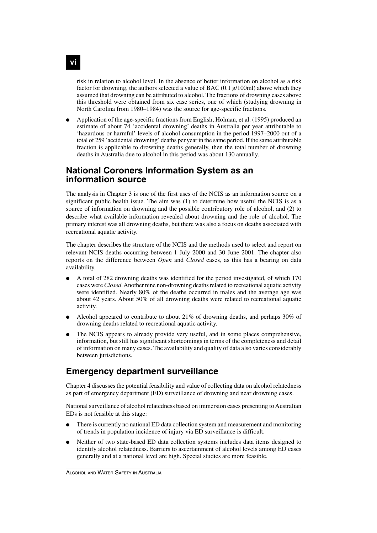risk in relation to alcohol level. In the absence of better information on alcohol as a risk factor for drowning, the authors selected a value of BAC (0.1 g/100ml) above which they assumed that drowning can be attributed to alcohol. The fractions of drowning cases above this threshold were obtained from six case series, one of which (studying drowning in North Carolina from 1980–1984) was the source for age-specific fractions.

Application of the age-specific fractions from English, Holman, et al. (1995) produced an estimate of about 74 'accidental drowning' deaths in Australia per year attributable to 'hazardous or harmful' levels of alcohol consumption in the period 1997–2000 out of a total of 259 'accidental drowning' deaths per year in the same period. If the same attributable fraction is applicable to drowning deaths generally, then the total number of drowning deaths in Australia due to alcohol in this period was about 130 annually.

# **National Coroners Information System as an information source**

The analysis in Chapter 3 is one of the first uses of the NCIS as an information source on a significant public health issue. The aim was (1) to determine how useful the NCIS is as a source of information on drowning and the possible contributory role of alcohol, and (2) to describe what available information revealed about drowning and the role of alcohol. The primary interest was all drowning deaths, but there was also a focus on deaths associated with recreational aquatic activity.

The chapter describes the structure of the NCIS and the methods used to select and report on relevant NCIS deaths occurring between 1 July 2000 and 30 June 2001. The chapter also reports on the difference between *Open* and *Closed* cases, as this has a bearing on data availability.

- A total of 282 drowning deaths was identified for the period investigated, of which 170 cases were *Closed*. Another nine non-drowning deaths related to recreational aquatic activity were identified. Nearly 80% of the deaths occurred in males and the average age was about 42 years. About 50% of all drowning deaths were related to recreational aquatic activity.
- Alcohol appeared to contribute to about  $21\%$  of drowning deaths, and perhaps 30% of drowning deaths related to recreational aquatic activity.
- The NCIS appears to already provide very useful, and in some places comprehensive, information, but still has significant shortcomings in terms of the completeness and detail of information on many cases. The availability and quality of data also varies considerably between jurisdictions.

# **Emergency department surveillance**

Chapter 4 discusses the potential feasibility and value of collecting data on alcohol relatedness as part of emergency department (ED) surveillance of drowning and near drowning cases.

National surveillance of alcohol relatedness based on immersion cases presenting to Australian EDs is not feasible at this stage:

- There is currently no national ED data collection system and measurement and monitoring of trends in population incidence of injury via ED surveillance is difficult.
- Neither of two state-based ED data collection systems includes data items designed to identify alcohol relatedness. Barriers to ascertainment of alcohol levels among ED cases generally and at a national level are high. Special studies are more feasible.

**vi**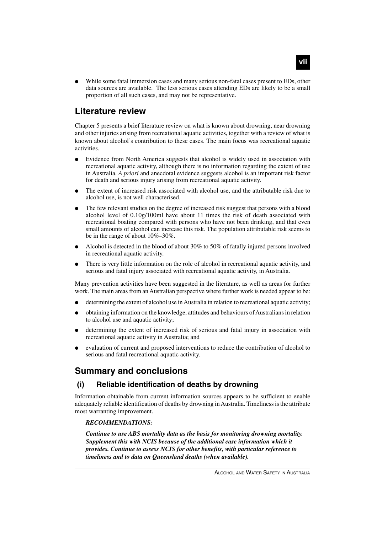While some fatal immersion cases and many serious non-fatal cases present to EDs, other data sources are available. The less serious cases attending EDs are likely to be a small proportion of all such cases, and may not be representative.

# **Literature review**

Chapter 5 presents a brief literature review on what is known about drowning, near drowning and other injuries arising from recreational aquatic activities, together with a review of what is known about alcohol's contribution to these cases. The main focus was recreational aquatic activities.

- Evidence from North America suggests that alcohol is widely used in association with recreational aquatic activity, although there is no information regarding the extent of use in Australia. *A priori* and anecdotal evidence suggests alcohol is an important risk factor for death and serious injury arising from recreational aquatic activity.
- The extent of increased risk associated with alcohol use, and the attributable risk due to alcohol use, is not well characterised.
- The few relevant studies on the degree of increased risk suggest that persons with a blood alcohol level of 0.10g/100ml have about 11 times the risk of death associated with recreational boating compared with persons who have not been drinking, and that even small amounts of alcohol can increase this risk. The population attributable risk seems to be in the range of about 10%–30%.
- Alcohol is detected in the blood of about  $30\%$  to  $50\%$  of fatally injured persons involved in recreational aquatic activity.
- There is very little information on the role of alcohol in recreational aquatic activity, and serious and fatal injury associated with recreational aquatic activity, in Australia.

Many prevention activities have been suggested in the literature, as well as areas for further work. The main areas from an Australian perspective where further work is needed appear to be:

- determining the extent of alcohol use in Australia in relation to recreational aquatic activity;
- obtaining information on the knowledge, attitudes and behaviours of Australians in relation to alcohol use and aquatic activity;
- determining the extent of increased risk of serious and fatal injury in association with recreational aquatic activity in Australia; and
- evaluation of current and proposed interventions to reduce the contribution of alcohol to serious and fatal recreational aquatic activity.

# **Summary and conclusions**

### **(i) Reliable identification of deaths by drowning**

Information obtainable from current information sources appears to be sufficient to enable adequately reliable identification of deaths by drowning in Australia. Timeliness is the attribute most warranting improvement.

#### *RECOMMENDATIONS:*

*Continue to use ABS mortality data as the basis for monitoring drowning mortality. Supplement this with NCIS because of the additional case information which it provides. Continue to assess NCIS for other benefits, with particular reference to timeliness and to data on Queensland deaths (when available).*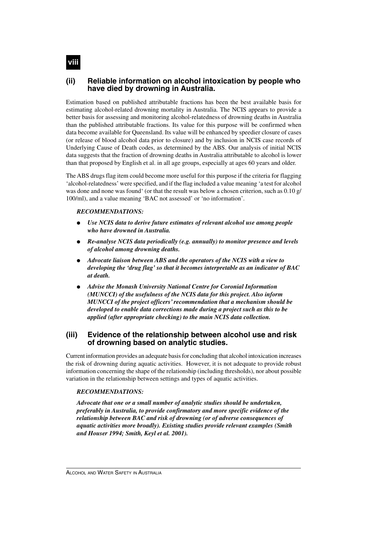### **(ii) Reliable information on alcohol intoxication by people who have died by drowning in Australia.**

Estimation based on published attributable fractions has been the best available basis for estimating alcohol-related drowning mortality in Australia. The NCIS appears to provide a better basis for assessing and monitoring alcohol-relatedness of drowning deaths in Australia than the published attributable fractions. Its value for this purpose will be confirmed when data become available for Queensland. Its value will be enhanced by speedier closure of cases (or release of blood alcohol data prior to closure) and by inclusion in NCIS case records of Underlying Cause of Death codes, as determined by the ABS. Our analysis of initial NCIS data suggests that the fraction of drowning deaths in Australia attributable to alcohol is lower than that proposed by English et al. in all age groups, especially at ages 60 years and older.

The ABS drugs flag item could become more useful for this purpose if the criteria for flagging 'alcohol-relatedness' were specified, and if the flag included a value meaning 'a test for alcohol was done and none was found ' (or that the result was below a chosen criterion, such as 0.10 g/ 100/ml), and a value meaning 'BAC not assessed' or 'no information'.

#### *RECOMMENDATIONS:*

- *Use NCIS data to derive future estimates of relevant alcohol use among people who have drowned in Australia.*
- *Re-analyse NCIS data periodically (e.g. annually) to monitor presence and levels of alcohol among drowning deaths.*
- *Advocate liaison between ABS and the operators of the NCIS with a view to developing the 'drug flag' so that it becomes interpretable as an indicator of BAC at death.*
- *Advise the Monash University National Centre for Coronial Information (MUNCCI) of the usefulness of the NCIS data for this project. Also inform MUNCCI of the project officers' recommendation that a mechanism should be developed to enable data corrections made during a project such as this to be applied (after appropriate checking) to the main NCIS data collection.*

#### **(iii) Evidence of the relationship between alcohol use and risk of drowning based on analytic studies.**

Current information provides an adequate basis for concluding that alcohol intoxication increases the risk of drowning during aquatic activities. However, it is not adequate to provide robust information concerning the shape of the relationship (including thresholds), nor about possible variation in the relationship between settings and types of aquatic activities.

#### *RECOMMENDATIONS:*

*Advocate that one or a small number of analytic studies should be undertaken, preferably in Australia, to provide confirmatory and more specific evidence of the relationship between BAC and risk of drowning (or of adverse consequences of aquatic activities more broadly). Existing studies provide relevant examples (Smith and Houser 1994; Smith, Keyl et al. 2001).*

**viii**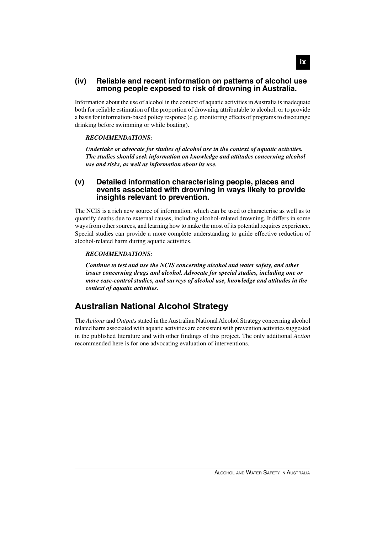#### **(iv) Reliable and recent information on patterns of alcohol use among people exposed to risk of drowning in Australia.**

Information about the use of alcohol in the context of aquatic activities in Australia is inadequate both for reliable estimation of the proportion of drowning attributable to alcohol, or to provide a basis for information-based policy response (e.g. monitoring effects of programs to discourage drinking before swimming or while boating).

#### *RECOMMENDATIONS:*

*Undertake or advocate for studies of alcohol use in the context of aquatic activities. The studies should seek information on knowledge and attitudes concerning alcohol use and risks, as well as information about its use.*

#### **(v) Detailed information characterising people, places and events associated with drowning in ways likely to provide insights relevant to prevention.**

The NCIS is a rich new source of information, which can be used to characterise as well as to quantify deaths due to external causes, including alcohol-related drowning. It differs in some ways from other sources, and learning how to make the most of its potential requires experience. Special studies can provide a more complete understanding to guide effective reduction of alcohol-related harm during aquatic activities.

#### *RECOMMENDATIONS:*

*Continue to test and use the NCIS concerning alcohol and water safety, and other issues concerning drugs and alcohol. Advocate for special studies, including one or more case-control studies, and surveys of alcohol use, knowledge and attitudes in the context of aquatic activities.*

# **Australian National Alcohol Strategy**

The *Actions* and *Outputs* stated in the Australian National Alcohol Strategy concerning alcohol related harm associated with aquatic activities are consistent with prevention activities suggested in the published literature and with other findings of this project. The only additional *Action* recommended here is for one advocating evaluation of interventions.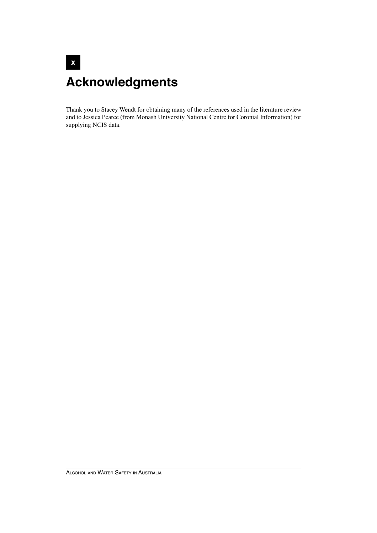# **x Acknowledgments**

Thank you to Stacey Wendt for obtaining many of the references used in the literature review and to Jessica Pearce (from Monash University National Centre for Coronial Information) for supplying NCIS data.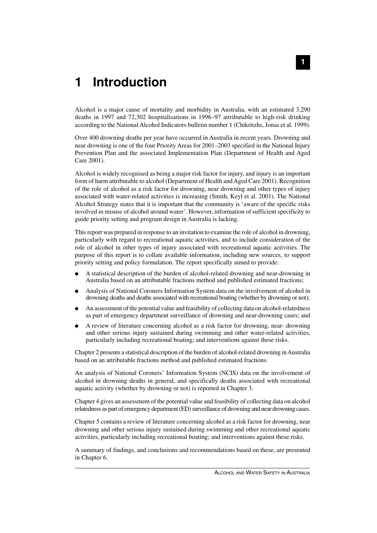# **1 Introduction**

Alcohol is a major cause of mortality and morbidity in Australia, with an estimated 3,290 deaths in 1997 and 72,302 hospitalisations in 1996–97 attributable to high-risk drinking according to the National Alcohol Indicators bulletin number 1 (Chikritzhs, Jonas et al. 1999).

Over 400 drowning deaths per year have occurred in Australia in recent years. Drowning and near drowning is one of the four Priority Areas for 2001–2003 specified in the National Injury Prevention Plan and the associated Implementation Plan (Department of Health and Aged Care 2001).

Alcohol is widely recognised as being a major risk factor for injury, and injury is an important form of harm attributable to alcohol (Department of Health and Aged Care 2001). Recognition of the role of alcohol as a risk factor for drowning, near drowning and other types of injury associated with water-related activities is increasing (Smith, Keyl et al. 2001). The National Alcohol Strategy states that it is important that the community is 'aware of the specific risks involved in misuse of alcohol around water'. However, information of sufficient specificity to guide priority setting and program design in Australia is lacking.

This report was prepared in response to an invitation to examine the role of alcohol in drowning, particularly with regard to recreational aquatic activities, and to include consideration of the role of alcohol in other types of injury associated with recreational aquatic activities. The purpose of this report is to collate available information, including new sources, to support priority setting and policy formulation. The report specifically aimed to provide:

- A statistical description of the burden of alcohol-related drowning and near-drowning in Australia based on an attributable fractions method and published estimated fractions;
- Analysis of National Coroners Information System data on the involvement of alcohol in drowning deaths and deaths associated with recreational boating (whether by drowning or not);
- An assessment of the potential value and feasibility of collecting data on alcohol-relatedness as part of emergency department surveillance of drowning and near-drowning cases; and
- A review of literature concerning alcohol as a risk factor for drowning, near- drowning and other serious injury sustained during swimming and other water-related activities, particularly including recreational boating; and interventions against these risks.

Chapter 2 presents a statistical description of the burden of alcohol-related drowning in Australia based on an attributable fractions method and published estimated fractions.

An analysis of National Coroners' Information System (NCIS) data on the involvement of alcohol in drowning deaths in general, and specifically deaths associated with recreational aquatic activity (whether by drowning or not) is reported in Chapter 3.

Chapter 4 gives an assessment of the potential value and feasibility of collecting data on alcohol relatedness as part of emergency department (ED) surveillance of drowning and near drowning cases.

Chapter 5 contains a review of literature concerning alcohol as a risk factor for drowning, near drowning and other serious injury sustained during swimming and other recreational aquatic activities, particularly including recreational boating; and interventions against these risks.

A summary of findings, and conclusions and recommendations based on these, are presented in Chapter 6.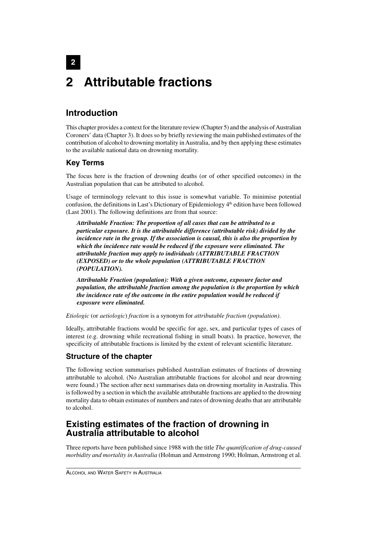# **2 2 Attributable fractions**

# **Introduction**

This chapter provides a context for the literature review (Chapter 5) and the analysis of Australian Coroners' data (Chapter 3). It does so by briefly reviewing the main published estimates of the contribution of alcohol to drowning mortality in Australia, and by then applying these estimates to the available national data on drowning mortality.

# **Key Terms**

The focus here is the fraction of drowning deaths (or of other specified outcomes) in the Australian population that can be attributed to alcohol.

Usage of terminology relevant to this issue is somewhat variable. To minimise potential confusion, the definitions in Last's Dictionary of Epidemiology 4<sup>th</sup> edition have been followed (Last 2001). The following definitions are from that source:

*Attributable Fraction: The proportion of all cases that can be attributed to a particular exposure. It is the attributable difference (attributable risk) divided by the incidence rate in the group. If the association is causal, this is also the proportion by which the incidence rate would be reduced if the exposure were eliminated. The attributable fraction may apply to individuals (ATTRIBUTABLE FRACTION (EXPOSED) or to the whole population (ATTRIBUTABLE FRACTION (POPULATION).*

*Attributable Fraction (population): With a given outcome, exposure factor and population, the attributable fraction among the population is the proportion by which the incidence rate of the outcome in the entire population would be reduced if exposure were eliminated.*

*Etiologic* (or *aetiologic*) *fraction* is a synonym for *attributable fraction (population)*.

Ideally, attributable fractions would be specific for age, sex, and particular types of cases of interest (e.g. drowning while recreational fishing in small boats). In practice, however, the specificity of attributable fractions is limited by the extent of relevant scientific literature.

# **Structure of the chapter**

The following section summarises published Australian estimates of fractions of drowning attributable to alcohol. (No Australian attributable fractions for alcohol and near drowning were found.) The section after next summarises data on drowning mortality in Australia. This is followed by a section in which the available attributable fractions are applied to the drowning mortality data to obtain estimates of numbers and rates of drowning deaths that are attributable to alcohol.

# **Existing estimates of the fraction of drowning in Australia attributable to alcohol**

Three reports have been published since 1988 with the title *The quantification of drug-caused morbidity and mortality in Australia* (Holman and Armstrong 1990; Holman, Armstrong et al.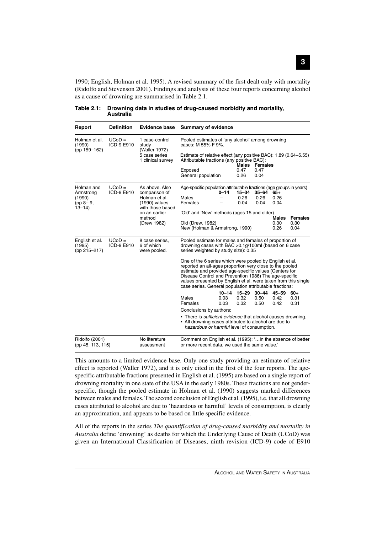1990; English, Holman et al. 1995). A revised summary of the first dealt only with mortality (Ridolfo and Stevenson 2001). Findings and analysis of these four reports concerning alcohol as a cause of drowning are summarised in Table 2.1.

| Report                                                             | <b>Definition</b>      | <b>Evidence base</b>                                                                                             | <b>Summary of evidence</b>                                                                                                                                                                                                                                                                                                                                          |          |                           |                                |                                     |                |
|--------------------------------------------------------------------|------------------------|------------------------------------------------------------------------------------------------------------------|---------------------------------------------------------------------------------------------------------------------------------------------------------------------------------------------------------------------------------------------------------------------------------------------------------------------------------------------------------------------|----------|---------------------------|--------------------------------|-------------------------------------|----------------|
| Holman et al.<br>(1990)                                            | $UCoD =$<br>ICD-9 E910 | 1 case-control<br>study                                                                                          | Pooled estimates of 'any alcohol' among drowning<br>cases: M 55% F 9%.                                                                                                                                                                                                                                                                                              |          |                           |                                |                                     |                |
| (pp 159-162)                                                       |                        | (Waller 1972)<br>5 case series<br>1 clinical survey                                                              | Estimate of relative effect (any positive BAC): 1.89 (0.64–5.55)<br>Attributable fractions (any positive BAC):<br>Exposed<br>General population                                                                                                                                                                                                                     |          | Males<br>0.47<br>0.26     | <b>Females</b><br>0.47<br>0.04 |                                     |                |
| Holman and<br>Armstrong<br>(1990)<br>$(pp 8 - 9,$<br>$13 - 14$     | $UCoD =$<br>ICD-9 E910 | As above, Also<br>comparison of<br>Holman et al.<br>(1990) values<br>with those based<br>on an earlier<br>method | Age-specific population attributable fractions (age groups in years)<br>Males<br>Females<br>'Old' and 'New' methods (ages 15 and older)                                                                                                                                                                                                                             | $0 - 14$ | $15 - 34$<br>0.26<br>0.04 | 35-64<br>0.26<br>0.04          | 65+<br>0.26<br>0.04<br><b>Males</b> | <b>Females</b> |
|                                                                    |                        | (Drew 1982)                                                                                                      | Old (Drew, 1982)<br>New (Holman & Armstrong, 1990)                                                                                                                                                                                                                                                                                                                  |          |                           |                                | 0.30<br>0.26                        | 0.30<br>0.04   |
| English et al.<br>(1995)<br>(pp 215-217)                           | $UCoD =$<br>ICD-9 E910 | 8 case series.<br>6 of which<br>were pooled.                                                                     | Pooled estimate for males and females of proportion of<br>drowning cases with BAC $>0.1$ g/100ml (based on 6 case<br>series weighted by study size): 0.35                                                                                                                                                                                                           |          |                           |                                |                                     |                |
|                                                                    |                        |                                                                                                                  | One of the 6 series which were pooled by English et al.<br>reported an all-ages proportion very close to the pooled<br>estimate and provided age-specific values (Centers for<br>Disease Control and Prevention 1986) The age-specific<br>values presented by English et al. were taken from this single<br>case series. General population attributable fractions: |          |                           |                                |                                     |                |
|                                                                    |                        |                                                                                                                  | Males                                                                                                                                                                                                                                                                                                                                                               | 0.03     | $10-14$ $15-29$<br>0.32   | $30 - 44$<br>0.50              | 45–59<br>0.42                       | $60+$<br>0.31  |
|                                                                    |                        |                                                                                                                  | Females                                                                                                                                                                                                                                                                                                                                                             | 0.03     | 0.32                      | 0.50                           | 0.42                                | 0.31           |
|                                                                    |                        |                                                                                                                  | Conclusions by authors:<br>• There is <i>sufficient evidence</i> that alcohol causes drowning.<br>• All drowning cases attributed to alcohol are due to<br>hazardous or harmful level of consumption.                                                                                                                                                               |          |                           |                                |                                     |                |
| Ridolfo (2001)<br>No literature<br>(pp 45, 113, 115)<br>assessment |                        |                                                                                                                  | Comment on English et al. (1995): ' in the absence of better<br>or more recent data, we used the same value.'                                                                                                                                                                                                                                                       |          |                           |                                |                                     |                |

**Table 2.1: Drowning data in studies of drug-caused morbidity and mortality, Australia**

This amounts to a limited evidence base. Only one study providing an estimate of relative effect is reported (Waller 1972), and it is only cited in the first of the four reports. The agespecific attributable fractions presented in English et al. (1995) are based on a single report of drowning mortality in one state of the USA in the early 1980s. These fractions are not genderspecific, though the pooled estimate in Holman et al. (1990) suggests marked differences between males and females. The second conclusion of English et al. (1995), i.e. that all drowning cases attributed to alcohol are due to 'hazardous or harmful' levels of consumption, is clearly an approximation, and appears to be based on little specific evidence.

All of the reports in the series *The quantification of drug-caused morbidity and mortality in Australia* define 'drowning' as deaths for which the Underlying Cause of Death (UCoD) was given an International Classification of Diseases, ninth revision (ICD-9) code of E910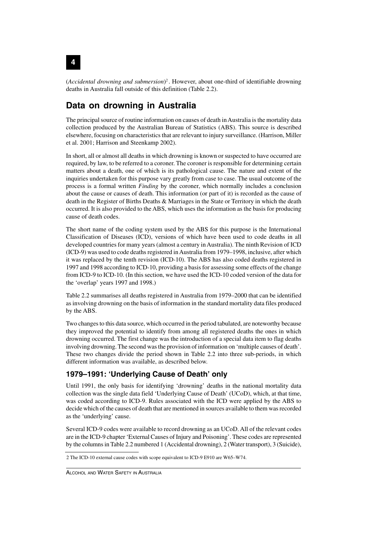(*Accidental drowning and submersion*) <sup>2</sup> . However, about one-third of identifiable drowning deaths in Australia fall outside of this definition (Table 2.2).

# **Data on drowning in Australia**

The principal source of routine information on causes of death in Australia is the mortality data collection produced by the Australian Bureau of Statistics (ABS). This source is described elsewhere, focusing on characteristics that are relevant to injury surveillance. (Harrison, Miller et al. 2001; Harrison and Steenkamp 2002).

In short, all or almost all deaths in which drowning is known or suspected to have occurred are required, by law, to be referred to a coroner. The coroner is responsible for determining certain matters about a death, one of which is its pathological cause. The nature and extent of the inquiries undertaken for this purpose vary greatly from case to case. The usual outcome of the process is a formal written *Finding* by the coroner, which normally includes a conclusion about the cause or causes of death. This information (or part of it) is recorded as the cause of death in the Register of Births Deaths & Marriages in the State or Territory in which the death occurred. It is also provided to the ABS, which uses the information as the basis for producing cause of death codes.

The short name of the coding system used by the ABS for this purpose is the International Classification of Diseases (ICD), versions of which have been used to code deaths in all developed countries for many years (almost a century in Australia). The ninth Revision of ICD (ICD-9) was used to code deaths registered in Australia from 1979–1998, inclusive, after which it was replaced by the tenth revision (ICD-10). The ABS has also coded deaths registered in 1997 and 1998 according to ICD-10, providing a basis for assessing some effects of the change from ICD-9 to ICD-10. (In this section, we have used the ICD-10 coded version of the data for the 'overlap' years 1997 and 1998.)

Table 2.2 summarises all deaths registered in Australia from 1979–2000 that can be identified as involving drowning on the basis of information in the standard mortality data files produced by the ABS.

Two changes to this data source, which occurred in the period tabulated, are noteworthy because they improved the potential to identify from among all registered deaths the ones in which drowning occurred. The first change was the introduction of a special data item to flag deaths involving drowning. The second was the provision of information on 'multiple causes of death'. These two changes divide the period shown in Table 2.2 into three sub-periods, in which different information was available, as described below.

## **1979–1991: 'Underlying Cause of Death' only**

Until 1991, the only basis for identifying 'drowning' deaths in the national mortality data collection was the single data field 'Underlying Cause of Death' (UCoD), which, at that time, was coded according to ICD-9. Rules associated with the ICD were applied by the ABS to decide which of the causes of death that are mentioned in sources available to them was recorded as the 'underlying' cause.

Several ICD-9 codes were available to record drowning as an UCoD. All of the relevant codes are in the ICD-9 chapter 'External Causes of Injury and Poisoning'. These codes are represented by the columns in Table 2.2 numbered 1 (Accidental drowning), 2 (Water transport), 3 (Suicide),

**4**

<sup>2</sup> The ICD-10 external cause codes with scope equivalent to ICD-9 E910 are W65–W74.

ALCOHOL AND WATER SAFETY IN AUSTRALIA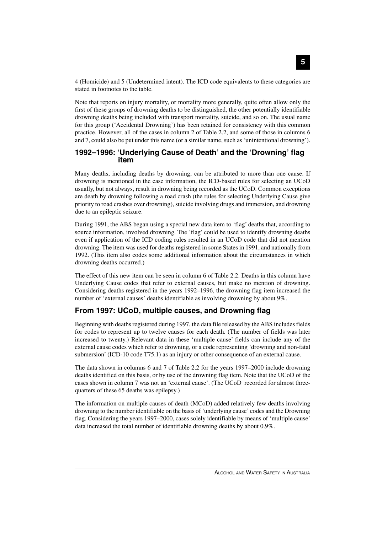4 (Homicide) and 5 (Undetermined intent). The ICD code equivalents to these categories are stated in footnotes to the table.

Note that reports on injury mortality, or mortality more generally, quite often allow only the first of these groups of drowning deaths to be distinguished, the other potentially identifiable drowning deaths being included with transport mortality, suicide, and so on. The usual name for this group ('Accidental Drowning') has been retained for consistency with this common practice. However, all of the cases in column 2 of Table 2.2, and some of those in columns 6 and 7, could also be put under this name (or a similar name, such as 'unintentional drowning').

#### **1992–1996: 'Underlying Cause of Death' and the 'Drowning' flag item**

Many deaths, including deaths by drowning, can be attributed to more than one cause. If drowning is mentioned in the case information, the ICD-based rules for selecting an UCoD usually, but not always, result in drowning being recorded as the UCoD. Common exceptions are death by drowning following a road crash (the rules for selecting Underlying Cause give priority to road crashes over drowning), suicide involving drugs and immersion, and drowning due to an epileptic seizure.

During 1991, the ABS began using a special new data item to 'flag' deaths that, according to source information, involved drowning. The 'flag' could be used to identify drowning deaths even if application of the ICD coding rules resulted in an UCoD code that did not mention drowning. The item was used for deaths registered in some States in 1991, and nationally from 1992. (This item also codes some additional information about the circumstances in which drowning deaths occurred.)

The effect of this new item can be seen in column 6 of Table 2.2. Deaths in this column have Underlying Cause codes that refer to external causes, but make no mention of drowning. Considering deaths registered in the years 1992–1996, the drowning flag item increased the number of 'external causes' deaths identifiable as involving drowning by about 9%.

### **From 1997: UCoD, multiple causes, and Drowning flag**

Beginning with deaths registered during 1997, the data file released by the ABS includes fields for codes to represent up to twelve causes for each death. (The number of fields was later increased to twenty.) Relevant data in these 'multiple cause' fields can include any of the external cause codes which refer to drowning, or a code representing 'drowning and non-fatal submersion' (ICD-10 code T75.1) as an injury or other consequence of an external cause.

The data shown in columns 6 and 7 of Table 2.2 for the years 1997–2000 include drowning deaths identified on this basis, or by use of the drowning flag item. Note that the UCoD of the cases shown in column 7 was not an 'external cause'. (The UCoD recorded for almost threequarters of these 65 deaths was epilepsy.)

The information on multiple causes of death (MCoD) added relatively few deaths involving drowning to the number identifiable on the basis of 'underlying cause' codes and the Drowning flag. Considering the years 1997–2000, cases solely identifiable by means of 'multiple cause' data increased the total number of identifiable drowning deaths by about 0.9%.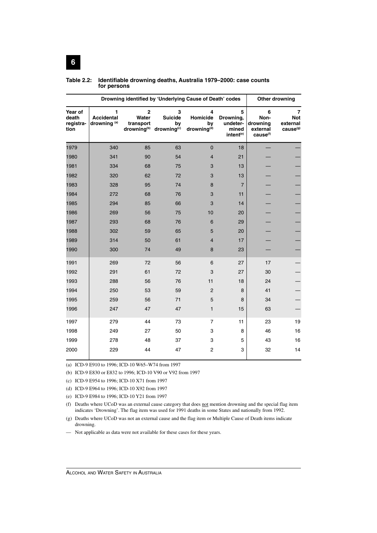| Drowning identified by 'Underlying Cause of Death' codes |                                                   |                                      |                                                                              |                                                |                                                              | Other drowning                                            |                                                     |
|----------------------------------------------------------|---------------------------------------------------|--------------------------------------|------------------------------------------------------------------------------|------------------------------------------------|--------------------------------------------------------------|-----------------------------------------------------------|-----------------------------------------------------|
| Year of<br>death<br>registra-<br>tion                    | 1<br><b>Accidental</b><br>drowning <sup>(a)</sup> | $\overline{2}$<br>Water<br>transport | 3<br><b>Suicide</b><br>by<br>drowning <sup>(b)</sup> drowning <sup>(c)</sup> | 4<br>Homicide<br>by<br>drowning <sup>(d)</sup> | 5<br>Drowning,<br>undeter-<br>mined<br>intent <sup>(e)</sup> | 6<br>Non-<br>drowning<br>external<br>cause <sup>(f)</sup> | 7<br><b>Not</b><br>external<br>cause <sup>(g)</sup> |
| 1979                                                     | 340                                               | 85                                   | 63                                                                           | $\mathbf 0$                                    | 18                                                           |                                                           |                                                     |
| 1980                                                     | 341                                               | 90                                   | 54                                                                           | $\overline{4}$                                 | 21                                                           |                                                           |                                                     |
| 1981                                                     | 334                                               | 68                                   | 75                                                                           | 3                                              | 13                                                           |                                                           |                                                     |
| 1982                                                     | 320                                               | 62                                   | 72                                                                           | $\ensuremath{\mathsf{3}}$                      | 13                                                           |                                                           |                                                     |
| 1983                                                     | 328                                               | 95                                   | 74                                                                           | 8                                              | $\overline{7}$                                               |                                                           |                                                     |
| 1984                                                     | 272                                               | 68                                   | 76                                                                           | 3                                              | 11                                                           |                                                           |                                                     |
| 1985                                                     | 294                                               | 85                                   | 66                                                                           | 3                                              | 14                                                           |                                                           |                                                     |
| 1986                                                     | 269                                               | 56                                   | 75                                                                           | 10                                             | 20                                                           |                                                           |                                                     |
| 1987                                                     | 293                                               | 68                                   | 76                                                                           | 6                                              | 29                                                           |                                                           |                                                     |
| 1988                                                     | 302                                               | 59                                   | 65                                                                           | 5                                              | 20                                                           |                                                           |                                                     |
| 1989                                                     | 314                                               | 50                                   | 61                                                                           | $\overline{4}$                                 | 17                                                           |                                                           |                                                     |
| 1990                                                     | 300                                               | 74                                   | 49                                                                           | 8                                              | 23                                                           |                                                           |                                                     |
| 1991                                                     | 269                                               | 72                                   | 56                                                                           | 6                                              | 27                                                           | 17                                                        |                                                     |
| 1992                                                     | 291                                               | 61                                   | 72                                                                           | 3                                              | 27                                                           | 30                                                        |                                                     |
| 1993                                                     | 288                                               | 56                                   | 76                                                                           | 11                                             | 18                                                           | 24                                                        |                                                     |
| 1994                                                     | 250                                               | 53                                   | 59                                                                           | $\overline{c}$                                 | 8                                                            | 41                                                        |                                                     |
| 1995                                                     | 259                                               | 56                                   | 71                                                                           | $\mathbf 5$                                    | 8                                                            | 34                                                        |                                                     |
| 1996                                                     | 247                                               | 47                                   | 47                                                                           | $\mathbf{1}$                                   | 15                                                           | 63                                                        |                                                     |
| 1997                                                     | 279                                               | 44                                   | 73                                                                           | $\overline{7}$                                 | 11                                                           | 23                                                        | 19                                                  |
| 1998                                                     | 249                                               | 27                                   | 50                                                                           | 3                                              | 8                                                            | 46                                                        | 16                                                  |
| 1999                                                     | 278                                               | 48                                   | 37                                                                           | 3                                              | 5                                                            | 43                                                        | 16                                                  |
| 2000                                                     | 229                                               | 44                                   | 47                                                                           | $\overline{c}$                                 | 3                                                            | 32                                                        | 14                                                  |

#### **Table 2.2: Identifiable drowning deaths, Australia 1979–2000: case counts for persons**

(a) ICD-9 E910 to 1996; ICD-10 W65–W74 from 1997

(b) ICD-9 E830 or E832 to 1996; ICD-10 V90 or V92 from 1997

(c) ICD-9 E954 to 1996; ICD-10 X71 from 1997

(d) ICD-9 E964 to 1996; ICD-10 X92 from 1997

(e) ICD-9 E984 to 1996; ICD-10 Y21 from 1997

(f) Deaths where UCoD was an external cause category that does not mention drowning and the special flag item indicates 'Drowning'. The flag item was used for 1991 deaths in some States and nationally from 1992.

(g) Deaths where UCoD was not an external cause and the flag item or Multiple Cause of Death items indicate drowning.

— Not applicable as data were not available for these cases for these years.

**6**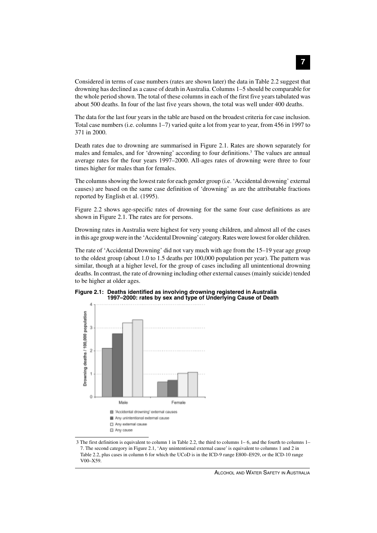Considered in terms of case numbers (rates are shown later) the data in Table 2.2 suggest that drowning has declined as a cause of death in Australia. Columns 1–5 should be comparable for the whole period shown. The total of these columns in each of the first five years tabulated was about 500 deaths. In four of the last five years shown, the total was well under 400 deaths.

The data for the last four years in the table are based on the broadest criteria for case inclusion. Total case numbers (i.e. columns 1–7) varied quite a lot from year to year, from 456 in 1997 to 371 in 2000.

Death rates due to drowning are summarised in Figure 2.1. Rates are shown separately for males and females, and for 'drowning' according to four definitions.3 The values are annual average rates for the four years 1997–2000. All-ages rates of drowning were three to four times higher for males than for females.

The columns showing the lowest rate for each gender group (i.e. 'Accidental drowning' external causes) are based on the same case definition of 'drowning' as are the attributable fractions reported by English et al. (1995).

Figure 2.2 shows age-specific rates of drowning for the same four case definitions as are shown in Figure 2.1. The rates are for persons.

Drowning rates in Australia were highest for very young children, and almost all of the cases in this age group were in the 'Accidental Drowning' category. Rates were lowest for older children.

The rate of 'Accidental Drowning' did not vary much with age from the 15–19 year age group to the oldest group (about 1.0 to 1.5 deaths per 100,000 population per year). The pattern was similar, though at a higher level, for the group of cases including all unintentional drowning deaths. In contrast, the rate of drowning including other external causes (mainly suicide) tended to be higher at older ages.





3 The first definition is equivalent to column 1 in Table 2.2, the third to columns 1– 6, and the fourth to columns 1– 7. The second category in Figure 2.1, 'Any unintentional external cause' is equivalent to columns 1 and 2 in Table 2.2, plus cases in column 6 for which the UCoD is in the ICD-9 range E800–E929, or the ICD-10 range V00–X59.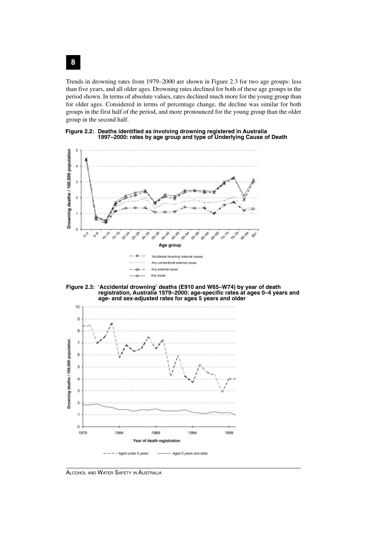Trends in drowning rates from 1979–2000 are shown in Figure 2.3 for two age groups: less than five years, and all older ages. Drowning rates declined for both of these age groups in the period shown. In terms of absolute values, rates declined much more for the young group than for older ages. Considered in terms of percentage change, the decline was similar for both groups in the first half of the period, and more pronounced for the young group than the older group in the second half.









ALCOHOL AND WATER SAFETY IN AUSTRALIA

**8**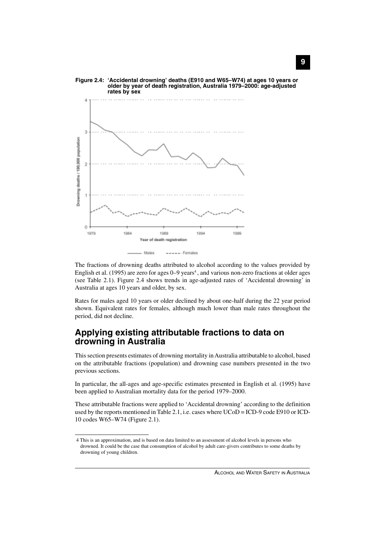

The fractions of drowning deaths attributed to alcohol according to the values provided by English et al. (1995) are zero for ages 0–9 years<sup>4</sup>, and various non-zero fractions at older ages (see Table 2.1). Figure 2.4 shows trends in age-adjusted rates of 'Accidental drowning' in Australia at ages 10 years and older, by sex.

Rates for males aged 10 years or older declined by about one-half during the 22 year period shown. Equivalent rates for females, although much lower than male rates throughout the period, did not decline.

# **Applying existing attributable fractions to data on drowning in Australia**

This section presents estimates of drowning mortality in Australia attributable to alcohol, based on the attributable fractions (population) and drowning case numbers presented in the two previous sections.

In particular, the all-ages and age-specific estimates presented in English et al. (1995) have been applied to Australian mortality data for the period 1979–2000.

These attributable fractions were applied to 'Accidental drowning' according to the definition used by the reports mentioned in Table 2.1, i.e. cases where UCoD = ICD-9 code E910 or ICD-10 codes W65–W74 (Figure 2.1).

<sup>4</sup> This is an approximation, and is based on data limited to an assessment of alcohol levels in persons who drowned. It could be the case that consumption of alcohol by adult care-givers contributes to some deaths by drowning of young children.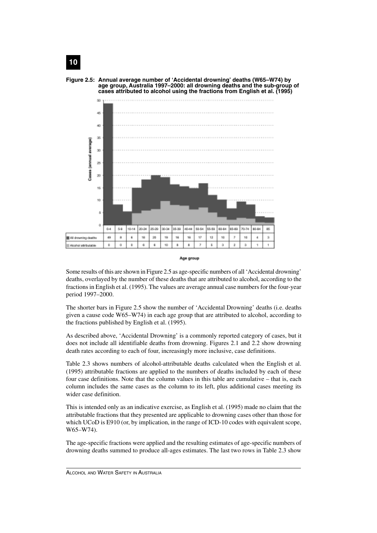

Age group

Some results of this are shown in Figure 2.5 as age-specific numbers of all 'Accidental drowning' deaths, overlayed by the number of these deaths that are attributed to alcohol, according to the fractions in English et al. (1995). The values are average annual case numbers for the four-year period 1997–2000.

The shorter bars in Figure 2.5 show the number of 'Accidental Drowning' deaths (i.e. deaths given a cause code W65–W74) in each age group that are attributed to alcohol, according to the fractions published by English et al. (1995).

As described above, 'Accidental Drowning' is a commonly reported category of cases, but it does not include all identifiable deaths from drowning. Figures 2.1 and 2.2 show drowning death rates according to each of four, increasingly more inclusive, case definitions.

Table 2.3 shows numbers of alcohol-attributable deaths calculated when the English et al. (1995) attributable fractions are applied to the numbers of deaths included by each of these four case definitions. Note that the column values in this table are cumulative – that is, each column includes the same cases as the column to its left, plus additional cases meeting its wider case definition.

This is intended only as an indicative exercise, as English et al. (1995) made no claim that the attributable fractions that they presented are applicable to drowning cases other than those for which UCoD is E910 (or, by implication, in the range of ICD-10 codes with equivalent scope, W65–W74).

The age-specific fractions were applied and the resulting estimates of age-specific numbers of drowning deaths summed to produce all-ages estimates. The last two rows in Table 2.3 show



# **10**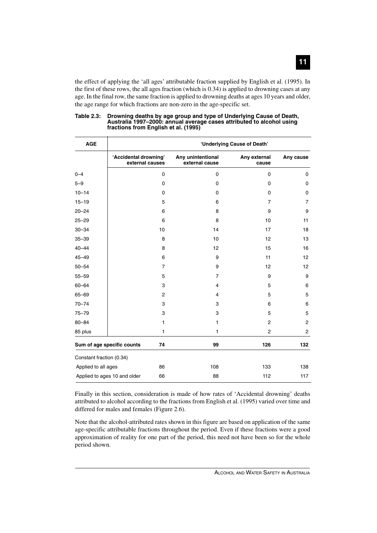the effect of applying the 'all ages' attributable fraction supplied by English et al. (1995). In the first of these rows, the all ages fraction (which is 0.34) is applied to drowning cases at any age. In the final row, the same fraction is applied to drowning deaths at ages 10 years and older, the age range for which fractions are non-zero in the age-specific set.

| <b>AGE</b>                   | 'Underlying Cause of Death'              |                                     |                       |           |  |  |  |
|------------------------------|------------------------------------------|-------------------------------------|-----------------------|-----------|--|--|--|
|                              | 'Accidental drowning'<br>external causes | Any unintentional<br>external cause | Any external<br>cause | Any cause |  |  |  |
| $0 - 4$                      | 0                                        | 0                                   | $\mathbf 0$           | 0         |  |  |  |
| $5 - 9$                      | 0                                        | 0                                   | 0                     | 0         |  |  |  |
| $10 - 14$                    | 0                                        | 0                                   | $\mathbf 0$           | 0         |  |  |  |
| $15 - 19$                    | 5                                        | 6                                   | $\overline{7}$        | 7         |  |  |  |
| $20 - 24$                    | 6                                        | 8                                   | 9                     | 9         |  |  |  |
| $25 - 29$                    | 6                                        | 8                                   | 10                    | 11        |  |  |  |
| $30 - 34$                    | 10                                       | 14                                  | 17                    | 18        |  |  |  |
| $35 - 39$                    | 8                                        | 10                                  | 12                    | 13        |  |  |  |
| $40 - 44$                    | 8                                        | 12                                  | 15                    | 16        |  |  |  |
| $45 - 49$                    | 6                                        | 9                                   | 11                    | 12        |  |  |  |
| $50 - 54$                    | $\overline{7}$                           | 9                                   | 12                    | 12        |  |  |  |
| $55 - 59$                    | 5                                        | $\overline{7}$                      | 9                     | 9         |  |  |  |
| $60 - 64$                    | 3                                        | 4                                   | 5                     | 6         |  |  |  |
| 65-69                        | $\overline{c}$                           | 4                                   | 5                     | 5         |  |  |  |
| $70 - 74$                    | 3                                        | 3                                   | 6                     | 6         |  |  |  |
| $75 - 79$                    | 3                                        | 3                                   | 5                     | 5         |  |  |  |
| $80 - 84$                    | 1                                        | 1                                   | 2                     | 2         |  |  |  |
| 85 plus                      | 1                                        | 1                                   | $\overline{c}$        | 2         |  |  |  |
| Sum of age specific counts   | 74                                       | 99                                  | 126                   | 132       |  |  |  |
| Constant fraction (0.34)     |                                          |                                     |                       |           |  |  |  |
| Applied to all ages          | 86                                       | 108                                 | 133                   | 138       |  |  |  |
| Applied to ages 10 and older | 66                                       | 88                                  | 112                   | 117       |  |  |  |

#### **Table 2.3: Drowning deaths by age group and type of Underlying Cause of Death, Australia 1997–2000: annual average cases attributed to alcohol using fractions from English et al. (1995)**

Finally in this section, consideration is made of how rates of 'Accidental drowning' deaths attributed to alcohol according to the fractions from English et al. (1995) varied over time and differed for males and females (Figure 2.6).

Note that the alcohol-attributed rates shown in this figure are based on application of the same age-specific attributable fractions throughout the period. Even if these fractions were a good approximation of reality for one part of the period, this need not have been so for the whole period shown.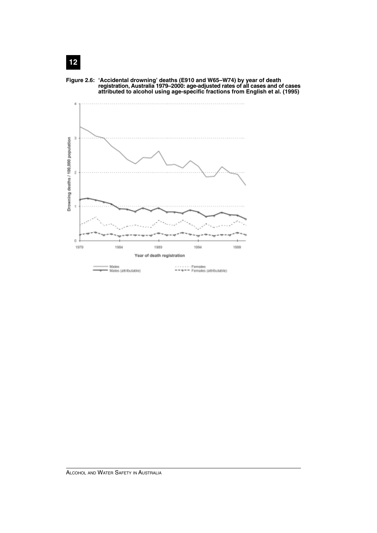

**Figure 2.6: 'Accidental drowning' deaths (E910 and W65–W74) by year of death registration, Australia 1979–2000: age-adjusted rates of all cases and of cases**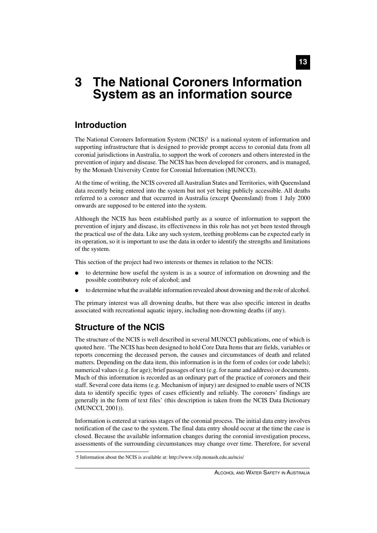# **3 The National Coroners Information System as an information source**

# **Introduction**

The National Coroners Information System  $(NCIS)^5$  is a national system of information and supporting infrastructure that is designed to provide prompt access to coronial data from all coronial jurisdictions in Australia, to support the work of coroners and others interested in the prevention of injury and disease. The NCIS has been developed for coroners, and is managed, by the Monash University Centre for Coronial Information (MUNCCI).

At the time of writing, the NCIS covered all Australian States and Territories, with Queensland data recently being entered into the system but not yet being publicly accessible. All deaths referred to a coroner and that occurred in Australia (except Queensland) from 1 July 2000 onwards are supposed to be entered into the system.

Although the NCIS has been established partly as a source of information to support the prevention of injury and disease, its effectiveness in this role has not yet been tested through the practical use of the data. Like any such system, teething problems can be expected early in its operation, so it is important to use the data in order to identify the strengths and limitations of the system.

This section of the project had two interests or themes in relation to the NCIS:

- to determine how useful the system is as a source of information on drowning and the possible contributory role of alcohol; and
- to determine what the available information revealed about drowning and the role of alcohol.

The primary interest was all drowning deaths, but there was also specific interest in deaths associated with recreational aquatic injury, including non-drowning deaths (if any).

# **Structure of the NCIS**

The structure of the NCIS is well described in several MUNCCI publications, one of which is quoted here. 'The NCIS has been designed to hold Core Data Items that are fields, variables or reports concerning the deceased person, the causes and circumstances of death and related matters. Depending on the data item, this information is in the form of codes (or code labels); numerical values (e.g. for age); brief passages of text (e.g. for name and address) or documents. Much of this information is recorded as an ordinary part of the practice of coroners and their staff. Several core data items (e.g. Mechanism of injury) are designed to enable users of NCIS data to identify specific types of cases efficiently and reliably. The coroners' findings are generally in the form of text files' (this description is taken from the NCIS Data Dictionary (MUNCCI, 2001)).

Information is entered at various stages of the coronial process. The initial data entry involves notification of the case to the system. The final data entry should occur at the time the case is closed. Because the available information changes during the coronial investigation process, assessments of the surrounding circumstances may change over time. Therefore, for several

<sup>5</sup> Information about the NCIS is available at: http://www.vifp.monash.edu.au/ncis/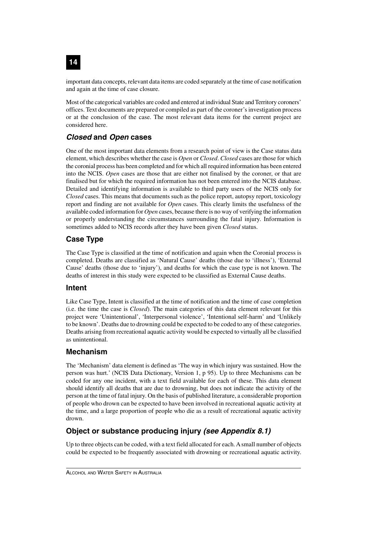important data concepts, relevant data items are coded separately at the time of case notification and again at the time of case closure.

Most of the categorical variables are coded and entered at individual State and Territory coroners' offices. Text documents are prepared or compiled as part of the coroner's investigation process or at the conclusion of the case. The most relevant data items for the current project are considered here.

# **Closed and Open cases**

One of the most important data elements from a research point of view is the Case status data element, which describes whether the case is *Open* or *Closed*. *Closed* cases are those for which the coronial process has been completed and for which all required information has been entered into the NCIS. *Open* cases are those that are either not finalised by the coroner, or that are finalised but for which the required information has not been entered into the NCIS database. Detailed and identifying information is available to third party users of the NCIS only for *Closed* cases. This means that documents such as the police report, autopsy report, toxicology report and finding are not available for *Open* cases. This clearly limits the usefulness of the available coded information for *Open* cases, because there is no way of verifying the information or properly understanding the circumstances surrounding the fatal injury. Information is sometimes added to NCIS records after they have been given *Closed* status.

# **Case Type**

The Case Type is classified at the time of notification and again when the Coronial process is completed. Deaths are classified as 'Natural Cause' deaths (those due to 'illness'), 'External Cause' deaths (those due to 'injury'), and deaths for which the case type is not known. The deaths of interest in this study were expected to be classified as External Cause deaths.

### **Intent**

Like Case Type, Intent is classified at the time of notification and the time of case completion (i.e. the time the case is *Closed*). The main categories of this data element relevant for this project were 'Unintentional', 'Interpersonal violence', 'Intentional self-harm' and 'Unlikely to be known'. Deaths due to drowning could be expected to be coded to any of these categories. Deaths arising from recreational aquatic activity would be expected to virtually all be classified as unintentional.

## **Mechanism**

The 'Mechanism' data element is defined as 'The way in which injury was sustained. How the person was hurt.' (NCIS Data Dictionary, Version 1, p 95). Up to three Mechanisms can be coded for any one incident, with a text field available for each of these. This data element should identify all deaths that are due to drowning, but does not indicate the activity of the person at the time of fatal injury. On the basis of published literature, a considerable proportion of people who drown can be expected to have been involved in recreational aquatic activity at the time, and a large proportion of people who die as a result of recreational aquatic activity drown.

# **Object or substance producing injury (see Appendix 8.1)**

Up to three objects can be coded, with a text field allocated for each. A small number of objects could be expected to be frequently associated with drowning or recreational aquatic activity.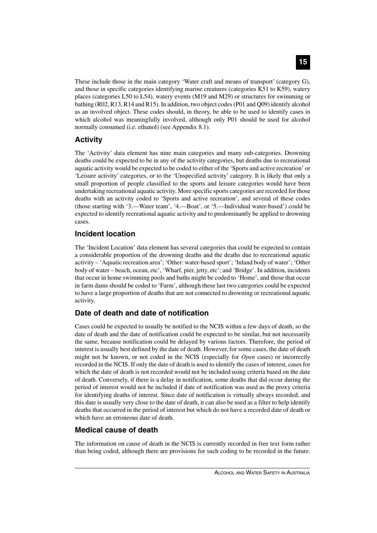These include those in the main category 'Water craft and means of transport' (category G), and those in specific categories identifying marine creatures (categories K51 to K59), watery places (categories L50 to L54), watery events (M19 and M29) or structures for swimming or bathing (R02, R13, R14 and R15). In addition, two object codes (P01 and Q09) identify alcohol as an involved object. These codes should, in theory, be able to be used to identify cases in which alcohol was meaningfully involved, although only P01 should be used for alcohol normally consumed (i.e. ethanol) (see Appendix 8.1).

## **Activity**

The 'Activity' data element has nine main categories and many sub-categories. Drowning deaths could be expected to be in any of the activity categories, but deaths due to recreational aquatic activity would be expected to be coded to either of the 'Sports and active recreation' or 'Leisure activity' categories, or to the 'Unspecified activity' category. It is likely that only a small proportion of people classified to the sports and leisure categories would have been undertaking recreational aquatic activity. More specific sports categories are recorded for those deaths with an activity coded to 'Sports and active recreation', and several of these codes (those starting with '3.—Water team', '4.—Boat', or '5.—Individual water-based') could be expected to identify recreational aquatic activity and to predominantly be applied to drowning cases.

### **Incident location**

The 'Incident Location' data element has several categories that could be expected to contain a considerable proportion of the drowning deaths and the deaths due to recreational aquatic activity – 'Aquatic recreation area'; 'Other: water-based sport'; 'Inland body of water'; 'Other body of water – beach, ocean, etc', 'Wharf, pier, jetty, etc'; and 'Bridge'. In addition, incidents that occur in home swimming pools and baths might be coded to 'Home', and those that occur in farm dams should be coded to 'Farm', although these last two categories could be expected to have a large proportion of deaths that are not connected to drowning or recreational aquatic activity.

## **Date of death and date of notification**

Cases could be expected to usually be notified to the NCIS within a few days of death, so the date of death and the date of notification could be expected to be similar, but not necessarily the same, because notification could be delayed by various factors. Therefore, the period of interest is usually best defined by the date of death. However, for some cases, the date of death might not be known, or not coded in the NCIS (especially for *Open* cases) or incorrectly recorded in the NCIS. If only the date of death is used to identify the cases of interest, cases for which the date of death is not recorded would not be included using criteria based on the date of death. Conversely, if there is a delay in notification, some deaths that did occur during the period of interest would not be included if date of notification was used as the proxy criteria for identifying deaths of interest. Since date of notification is virtually always recorded, and this date is usually very close to the date of death, it can also be used as a filter to help identify deaths that occurred in the period of interest but which do not have a recorded date of death or which have an erroneous date of death.

## **Medical cause of death**

The information on cause of death in the NCIS is currently recorded in free text form rather than being coded, although there are provisions for such coding to be recorded in the future.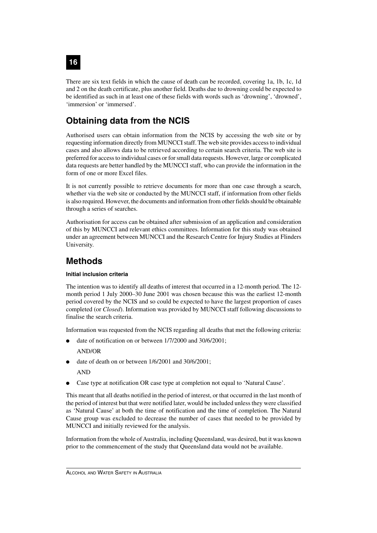There are six text fields in which the cause of death can be recorded, covering 1a, 1b, 1c, 1d and 2 on the death certificate, plus another field. Deaths due to drowning could be expected to be identified as such in at least one of these fields with words such as 'drowning', 'drowned', 'immersion' or 'immersed'.

# **Obtaining data from the NCIS**

Authorised users can obtain information from the NCIS by accessing the web site or by requesting information directly from MUNCCI staff. The web site provides access to individual cases and also allows data to be retrieved according to certain search criteria. The web site is preferred for access to individual cases or for small data requests. However, large or complicated data requests are better handled by the MUNCCI staff, who can provide the information in the form of one or more Excel files.

It is not currently possible to retrieve documents for more than one case through a search, whether via the web site or conducted by the MUNCCI staff, if information from other fields is also required. However, the documents and information from other fields should be obtainable through a series of searches.

Authorisation for access can be obtained after submission of an application and consideration of this by MUNCCI and relevant ethics committees. Information for this study was obtained under an agreement between MUNCCI and the Research Centre for Injury Studies at Flinders University.

# **Methods**

#### **Initial inclusion criteria**

The intention was to identify all deaths of interest that occurred in a 12-month period. The 12 month period 1 July 2000–30 June 2001 was chosen because this was the earliest 12-month period covered by the NCIS and so could be expected to have the largest proportion of cases completed (or *Closed*). Information was provided by MUNCCI staff following discussions to finalise the search criteria.

Information was requested from the NCIS regarding all deaths that met the following criteria:

- date of notification on or between  $1/7/2000$  and  $30/6/2001$ ; AND/OR
- date of death on or between  $1/6/2001$  and  $30/6/2001$ ;

AND

Case type at notification OR case type at completion not equal to 'Natural Cause'.

This meant that all deaths notified in the period of interest, or that occurred in the last month of the period of interest but that were notified later, would be included unless they were classified as 'Natural Cause' at both the time of notification and the time of completion. The Natural Cause group was excluded to decrease the number of cases that needed to be provided by MUNCCI and initially reviewed for the analysis.

Information from the whole of Australia, including Queensland, was desired, but it was known prior to the commencement of the study that Queensland data would not be available.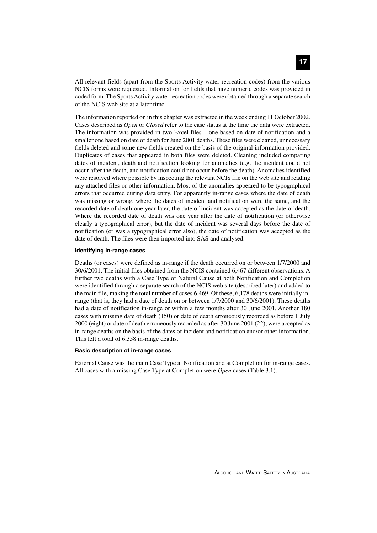All relevant fields (apart from the Sports Activity water recreation codes) from the various NCIS forms were requested. Information for fields that have numeric codes was provided in coded form. The Sports Activity water recreation codes were obtained through a separate search of the NCIS web site at a later time.

The information reported on in this chapter was extracted in the week ending 11 October 2002. Cases described as *Open* or *Closed* refer to the case status at the time the data were extracted. The information was provided in two Excel files – one based on date of notification and a smaller one based on date of death for June 2001 deaths. These files were cleaned, unnecessary fields deleted and some new fields created on the basis of the original information provided. Duplicates of cases that appeared in both files were deleted. Cleaning included comparing dates of incident, death and notification looking for anomalies (e.g. the incident could not occur after the death, and notification could not occur before the death). Anomalies identified were resolved where possible by inspecting the relevant NCIS file on the web site and reading any attached files or other information. Most of the anomalies appeared to be typographical errors that occurred during data entry. For apparently in-range cases where the date of death was missing or wrong, where the dates of incident and notification were the same, and the recorded date of death one year later, the date of incident was accepted as the date of death. Where the recorded date of death was one year after the date of notification (or otherwise clearly a typographical error), but the date of incident was several days before the date of notification (or was a typographical error also), the date of notification was accepted as the date of death. The files were then imported into SAS and analysed.

#### **Identifying in-range cases**

Deaths (or cases) were defined as in-range if the death occurred on or between 1/7/2000 and 30/6/2001. The initial files obtained from the NCIS contained 6,467 different observations. A further two deaths with a Case Type of Natural Cause at both Notification and Completion were identified through a separate search of the NCIS web site (described later) and added to the main file, making the total number of cases 6,469. Of these, 6,178 deaths were initially inrange (that is, they had a date of death on or between 1/7/2000 and 30/6/2001). These deaths had a date of notification in-range or within a few months after 30 June 2001. Another 180 cases with missing date of death (150) or date of death erroneously recorded as before 1 July 2000 (eight) or date of death erroneously recorded as after 30 June 2001 (22), were accepted as in-range deaths on the basis of the dates of incident and notification and/or other information. This left a total of 6,358 in-range deaths.

#### **Basic description of in-range cases**

External Cause was the main Case Type at Notification and at Completion for in-range cases. All cases with a missing Case Type at Completion were *Open* cases (Table 3.1).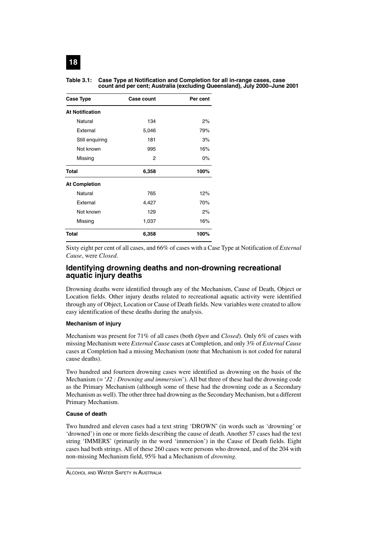| <b>Case Type</b>       | <b>Case count</b> | Per cent |  |
|------------------------|-------------------|----------|--|
| <b>At Notification</b> |                   |          |  |
| Natural                | 134               | 2%       |  |
| <b>Fxternal</b>        | 5,046             | 79%      |  |
| Still enquiring        | 181               | 3%       |  |
| Not known              | 995               | 16%      |  |
| Missing                | 2                 | $0\%$    |  |
| <b>Total</b>           | 6,358             | 100%     |  |
| <b>At Completion</b>   |                   |          |  |
| Natural                | 765               | 12%      |  |
| External               | 4,427             | 70%      |  |
| Not known              | 129               | 2%       |  |
| Missing                | 1,037             | 16%      |  |
| <b>Total</b>           | 6,358             | 100%     |  |

#### **Table 3.1: Case Type at Notification and Completion for all in-range cases, case count and per cent; Australia (excluding Queensland), July 2000–June 2001**

Sixty eight per cent of all cases, and 66% of cases with a Case Type at Notification of *External Cause*, were *Closed*.

#### **Identifying drowning deaths and non-drowning recreational aquatic injury deaths**

Drowning deaths were identified through any of the Mechanism, Cause of Death, Object or Location fields. Other injury deaths related to recreational aquatic activity were identified through any of Object, Location or Cause of Death fields. New variables were created to allow easy identification of these deaths during the analysis.

#### **Mechanism of injury**

Mechanism was present for 71% of all cases (both *Open* and *Closed*). Only 6% of cases with missing Mechanism were *External Cause* cases at Completion, and only 3% of *External Cause* cases at Completion had a missing Mechanism (note that Mechanism is not coded for natural cause deaths).

Two hundred and fourteen drowning cases were identified as drowning on the basis of the Mechanism (= '*J2 : Drowning and immersion*'). All but three of these had the drowning code as the Primary Mechanism (although some of these had the drowning code as a Secondary Mechanism as well). The other three had drowning as the Secondary Mechanism, but a different Primary Mechanism.

#### **Cause of death**

Two hundred and eleven cases had a text string 'DROWN' (in words such as 'drowning' or 'drowned') in one or more fields describing the cause of death. Another 57 cases had the text string 'IMMERS' (primarily in the word 'immersion') in the Cause of Death fields. Eight cases had both strings. All of these 260 cases were persons who drowned, and of the 204 with non-missing Mechanism field, 95% had a Mechanism of *drowning*.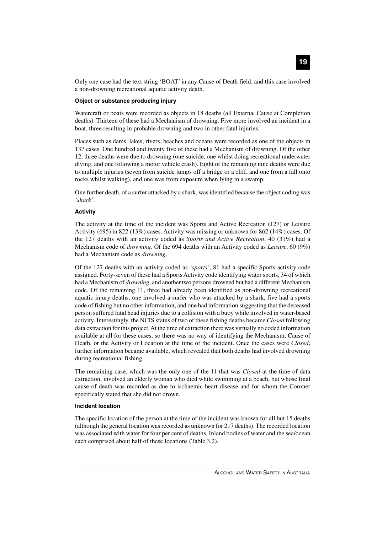Only one case had the text string 'BOAT' in any Cause of Death field, and this case involved a non-drowning recreational aquatic activity death.

#### **Object or substance producing injury**

Watercraft or boats were recorded as objects in 18 deaths (all External Cause at Completion deaths). Thirteen of these had a Mechanism of drowning. Five more involved an incident in a boat, three resulting in probable drowning and two in other fatal injuries.

Places such as dams, lakes, rivers, beaches and oceans were recorded as one of the objects in 137 cases. One hundred and twenty five of these had a Mechanism of drowning. Of the other 12, three deaths were due to drowning (one suicide, one whilst doing recreational underwater diving, and one following a motor vehicle crash). Eight of the remaining nine deaths were due to multiple injuries (seven from suicide jumps off a bridge or a cliff, and one from a fall onto rocks whilst walking), and one was from exposure when lying in a swamp.

One further death, of a surfer attacked by a shark, was identified because the object coding was *'shark'*.

#### **Activity**

The activity at the time of the incident was Sports and Active Recreation (127) or Leisure Activity (695) in 822 (13%) cases. Activity was missing or unknown for 862 (14%) cases. Of the 127 deaths with an activity coded as *Sports and Active Recreation*, 40 (31%) had a Mechanism code of *drowning*. Of the 694 deaths with an Activity coded as *Leisure*, 60 (9%) had a Mechanism code as *drowning*.

Of the 127 deaths with an activity coded as *'sports'*, 81 had a specific Sports activity code assigned. Forty-seven of these had a Sports Activity code identifying water sports, 34 of which had a Mechanism of *drowning*, and another two persons drowned but had a different Mechanism code. Of the remaining 11, three had already been identified as non-drowning recreational aquatic injury deaths, one involved a surfer who was attacked by a shark, five had a sports code of fishing but no other information, and one had information suggesting that the deceased person suffered fatal head injuries due to a collision with a buoy while involved in water-based activity. Interestingly, the NCIS status of two of these fishing deaths became *Closed* following data extraction for this project. At the time of extraction there was virtually no coded information available at all for these cases, so there was no way of identifying the Mechanism, Cause of Death, or the Activity or Location at the time of the incident. Once the cases were *Closed*, further information became available, which revealed that both deaths had involved drowning during recreational fishing.

The remaining case, which was the only one of the 11 that was *Closed* at the time of data extraction, involved an elderly woman who died while swimming at a beach, but whose final cause of death was recorded as due to ischaemic heart disease and for whom the Coroner specifically stated that she did not drown.

#### **Incident location**

The specific location of the person at the time of the incident was known for all but 15 deaths (although the general location was recorded as unknown for 217 deaths). The recorded location was associated with water for four per cent of deaths. Inland bodies of water and the sea/ocean each comprised about half of these locations (Table 3.2).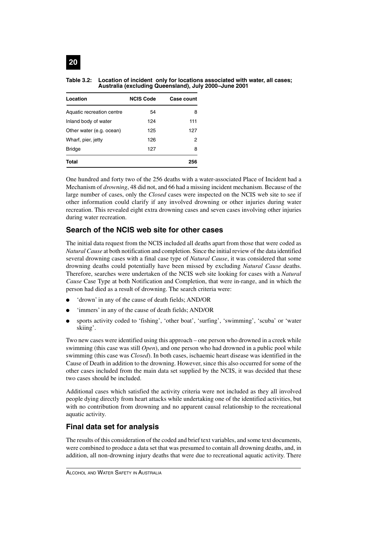### **Table 3.2: Location of incident only for locations associated with water, all cases; Australia (excluding Queensland), July 2000–June 2001**

| Location                  | <b>NCIS Code</b> | <b>Case count</b> |
|---------------------------|------------------|-------------------|
| Aquatic recreation centre | 54               | 8                 |
| Inland body of water      | 124              | 111               |
| Other water (e.g. ocean)  | 125              | 127               |
| Wharf, pier, jetty        | 126              | 2                 |
| <b>Bridge</b>             | 127              | 8                 |
| Total                     |                  | 256               |

One hundred and forty two of the 256 deaths with a water-associated Place of Incident had a Mechanism of *drowning*, 48 did not, and 66 had a missing incident mechanism. Because of the large number of cases, only the *Closed* cases were inspected on the NCIS web site to see if other information could clarify if any involved drowning or other injuries during water recreation. This revealed eight extra drowning cases and seven cases involving other injuries during water recreation.

## **Search of the NCIS web site for other cases**

The initial data request from the NCIS included all deaths apart from those that were coded as *Natural Cause* at both notification and completion. Since the initial review of the data identified several drowning cases with a final case type of *Natural Cause*, it was considered that some drowning deaths could potentially have been missed by excluding *Natural Cause* deaths. Therefore, searches were undertaken of the NCIS web site looking for cases with a *Natural Cause* Case Type at both Notification and Completion, that were in-range, and in which the person had died as a result of drowning. The search criteria were:

- 'drown' in any of the cause of death fields; AND/OR
- 'immers' in any of the cause of death fields; AND/OR
- sports activity coded to 'fishing', 'other boat', 'surfing', 'swimming', 'scuba' or 'water skiing'.

Two new cases were identified using this approach – one person who drowned in a creek while swimming (this case was still *Open*), and one person who had drowned in a public pool while swimming (this case was *Closed*). In both cases, ischaemic heart disease was identified in the Cause of Death in addition to the drowning. However, since this also occurred for some of the other cases included from the main data set supplied by the NCIS, it was decided that these two cases should be included.

Additional cases which satisfied the activity criteria were not included as they all involved people dying directly from heart attacks while undertaking one of the identified activities, but with no contribution from drowning and no apparent causal relationship to the recreational aquatic activity.

### **Final data set for analysis**

The results of this consideration of the coded and brief text variables, and some text documents, were combined to produce a data set that was presumed to contain all drowning deaths, and, in addition, all non-drowning injury deaths that were due to recreational aquatic activity. There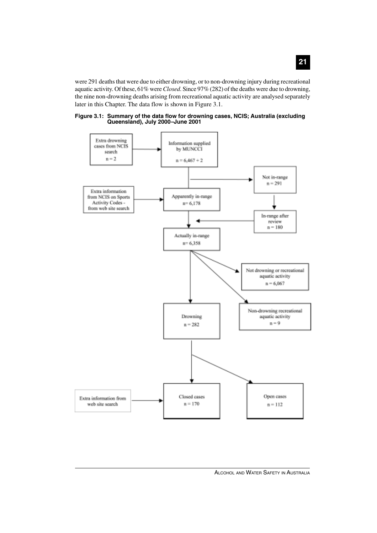were 291 deaths that were due to either drowning, or to non-drowning injury during recreational aquatic activity. Of these, 61% were *Closed*. Since 97% (282) of the deaths were due to drowning, the nine non-drowning deaths arising from recreational aquatic activity are analysed separately later in this Chapter. The data flow is shown in Figure 3.1.



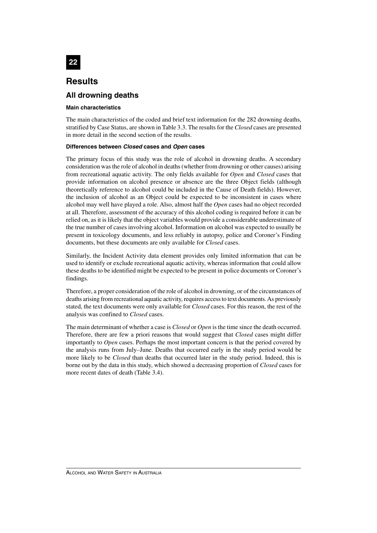

# **Results**

# **All drowning deaths**

#### **Main characteristics**

The main characteristics of the coded and brief text information for the 282 drowning deaths, stratified by Case Status, are shown in Table 3.3. The results for the *Closed* cases are presented in more detail in the second section of the results.

#### **Differences between Closed cases and Open cases**

The primary focus of this study was the role of alcohol in drowning deaths. A secondary consideration was the role of alcohol in deaths (whether from drowning or other causes) arising from recreational aquatic activity. The only fields available for *Open* and *Closed* cases that provide information on alcohol presence or absence are the three Object fields (although theoretically reference to alcohol could be included in the Cause of Death fields). However, the inclusion of alcohol as an Object could be expected to be inconsistent in cases where alcohol may well have played a role. Also, almost half the *Open* cases had no object recorded at all. Therefore, assessment of the accuracy of this alcohol coding is required before it can be relied on, as it is likely that the object variables would provide a considerable underestimate of the true number of cases involving alcohol. Information on alcohol was expected to usually be present in toxicology documents, and less reliably in autopsy, police and Coroner's Finding documents, but these documents are only available for *Closed* cases.

Similarly, the Incident Activity data element provides only limited information that can be used to identify or exclude recreational aquatic activity, whereas information that could allow these deaths to be identified might be expected to be present in police documents or Coroner's findings.

Therefore, a proper consideration of the role of alcohol in drowning, or of the circumstances of deaths arising from recreational aquatic activity, requires access to text documents. As previously stated, the text documents were only available for *Closed* cases. For this reason, the rest of the analysis was confined to *Closed* cases.

The main determinant of whether a case is *Closed* or *Open* is the time since the death occurred. Therefore, there are few a priori reasons that would suggest that *Closed* cases might differ importantly to *Open* cases. Perhaps the most important concern is that the period covered by the analysis runs from July*–*June. Deaths that occurred early in the study period would be more likely to be *Closed* than deaths that occurred later in the study period. Indeed, this is borne out by the data in this study, which showed a decreasing proportion of *Closed* cases for more recent dates of death (Table 3.4).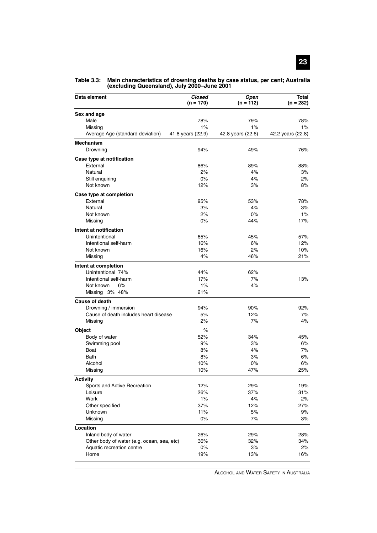| Data element                                                            | Closed<br>$(n = 170)$ | Open<br>$(n = 112)$ | <b>Total</b><br>$(n = 282)$ |
|-------------------------------------------------------------------------|-----------------------|---------------------|-----------------------------|
| Sex and age                                                             |                       |                     |                             |
| Male                                                                    | 78%                   | 79%                 | 78%                         |
| Missing                                                                 | 1%                    | 1%                  | 1%                          |
| Average Age (standard deviation)                                        | 41.8 years (22.9)     | 42.8 years (22.6)   | 42.2 years (22.8)           |
| Mechanism                                                               |                       |                     |                             |
| Drowning                                                                | 94%                   | 49%                 | 76%                         |
| Case type at notification                                               |                       |                     |                             |
| External                                                                | 86%                   | 89%                 | 88%                         |
| Natural                                                                 | 2%                    | 4%                  | 3%                          |
| Still enquiring                                                         | 0%                    | 4%                  | 2%                          |
| Not known                                                               | 12%                   | 3%                  | 8%                          |
| Case type at completion                                                 |                       |                     |                             |
| External                                                                | 95%                   | 53%                 | 78%                         |
| Natural                                                                 | 3%                    | 4%                  | 3%                          |
| Not known                                                               | 2%                    | 0%                  | $1\%$                       |
| Missing                                                                 | $0\%$                 | 44%                 | 17%                         |
| Intent at notification                                                  |                       |                     |                             |
| Unintentional                                                           | 65%                   | 45%                 | 57%                         |
| Intentional self-harm                                                   | 16%                   | 6%                  | 12%                         |
| Not known                                                               | 16%                   | 2%                  | 10%                         |
| Missing                                                                 | 4%                    | 46%                 | 21%                         |
| Intent at completion                                                    |                       |                     |                             |
| Unintentional 74%                                                       | 44%                   | 62%                 |                             |
| Intentional self-harm                                                   | 17%                   | 7%                  | 13%                         |
| 6%<br>Not known                                                         | 1%                    | 4%                  |                             |
| Missing 3% 48%                                                          | 21%                   |                     |                             |
| <b>Cause of death</b>                                                   |                       |                     |                             |
| Drowning / immersion                                                    | 94%                   | 90%                 | 92%                         |
| Cause of death includes heart disease                                   | 5%                    | 12%                 | 7%                          |
| Missing                                                                 | 2%                    | 7%                  | 4%                          |
| <b>Object</b>                                                           | $\%$                  |                     |                             |
| Body of water                                                           | 52%                   | 34%                 | 45%                         |
| Swimming pool                                                           | 9%                    | 3%                  | 6%                          |
| Boat                                                                    | 8%                    | 4%                  | 7%                          |
| Bath                                                                    | 8%                    | 3%                  | 6%                          |
| Alcohol                                                                 | 10%                   | 0%                  | 6%                          |
| Missing                                                                 | 10%                   | 47%                 | 25%                         |
| <b>Activity</b>                                                         |                       |                     |                             |
| Sports and Active Recreation                                            | 12%                   | 29%                 | 19%                         |
| Leisure                                                                 | 26%                   | 37%                 | 31%                         |
| Work                                                                    | $1\%$                 | 4%                  | 2%                          |
| Other specified                                                         | 37%                   | 12%                 | 27%                         |
| Unknown                                                                 | 11%                   | 5%                  | 9%                          |
| Missing                                                                 | 0%                    | 7%                  | 3%                          |
| Location                                                                |                       |                     |                             |
| Inland body of water                                                    | 26%                   | 29%                 | 28%                         |
| Other body of water (e.g. ocean, sea, etc)<br>Aquatic recreation centre | 36%<br>$0\%$          | 32%<br>3%           | 34%<br>2%                   |
| Home                                                                    | 19%                   | 13%                 | 16%                         |
|                                                                         |                       |                     |                             |

**Table 3.3: Main characteristics of drowning deaths by case status, per cent; Australia (excluding Queensland), July 2000–June 2001**

ALCOHOL AND WATER SAFETY IN AUSTRALIA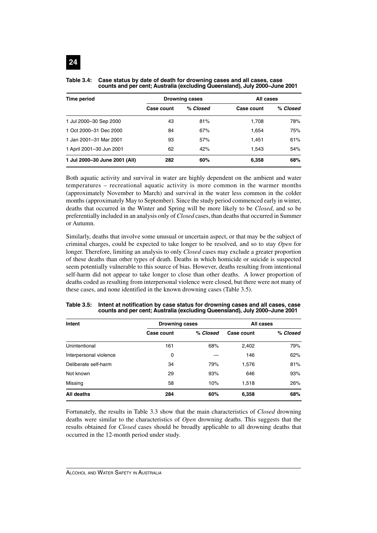| Time period                   | <b>Drowning cases</b> |          | All cases  |          |
|-------------------------------|-----------------------|----------|------------|----------|
|                               | Case count            | % Closed | Case count | % Closed |
| 1 Jul 2000-30 Sep 2000        | 43                    | 81%      | 1,708      | 78%      |
| 1 Oct 2000-31 Dec 2000        | 84                    | 67%      | 1,654      | 75%      |
| 1 Jan 2001-31 Mar 2001        | 93                    | 57%      | 1,451      | 61%      |
| 1 April 2001-30 Jun 2001      | 62                    | 42%      | 1.543      | 54%      |
| 1 Jul 2000-30 June 2001 (All) | 282                   | 60%      | 6,358      | 68%      |

**Table 3.4: Case status by date of death for drowning cases and all cases, case counts and per cent; Australia (excluding Queensland), July 2000–June 2001**

Both aquatic activity and survival in water are highly dependent on the ambient and water temperatures – recreational aquatic activity is more common in the warmer months (approximately November to March) and survival in the water less common in the colder months (approximately May to September). Since the study period commenced early in winter, deaths that occurred in the Winter and Spring will be more likely to be *Closed*, and so be preferentially included in an analysis only of *Closed* cases, than deaths that occurred in Summer or Autumn.

Similarly, deaths that involve some unusual or uncertain aspect, or that may be the subject of criminal charges, could be expected to take longer to be resolved, and so to stay *Open* for longer. Therefore, limiting an analysis to only *Closed* cases may exclude a greater proportion of these deaths than other types of death. Deaths in which homicide or suicide is suspected seem potentially vulnerable to this source of bias. However, deaths resulting from intentional self-harm did not appear to take longer to close than other deaths. A lower proportion of deaths coded as resulting from interpersonal violence were closed, but there were not many of these cases, and none identified in the known drowning cases (Table 3.5).

| Intent                 | <b>Drowning cases</b> |          | All cases  |          |
|------------------------|-----------------------|----------|------------|----------|
|                        | Case count            | % Closed | Case count | % Closed |
| Unintentional          | 161                   | 68%      | 2,402      | 79%      |
| Interpersonal violence | 0                     |          | 146        | 62%      |
| Deliberate self-harm   | 34                    | 79%      | 1,576      | 81%      |
| Not known              | 29                    | 93%      | 646        | 93%      |
| Missing                | 58                    | 10%      | 1,518      | 26%      |
| All deaths             | 284                   | 60%      | 6,358      | 68%      |

**Table 3.5: Intent at notification by case status for drowning cases and all cases, case counts and per cent; Australia (excluding Queensland), July 2000–June 2001**

Fortunately, the results in Table 3.3 show that the main characteristics of *Closed* drowning deaths were similar to the characteristics of *Open* drowning deaths. This suggests that the results obtained for *Closed* cases should be broadly applicable to all drowning deaths that occurred in the 12-month period under study.

ALCOHOL AND WATER SAFETY IN AUSTRALIA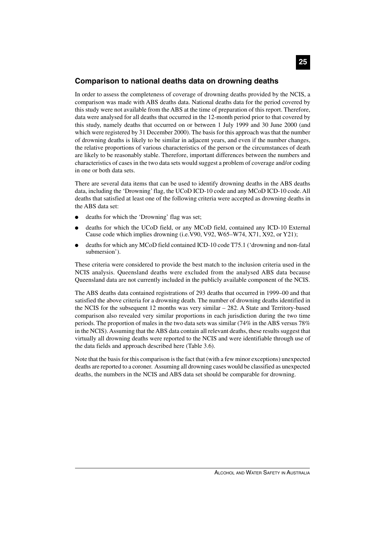### **Comparison to national deaths data on drowning deaths**

In order to assess the completeness of coverage of drowning deaths provided by the NCIS, a comparison was made with ABS deaths data. National deaths data for the period covered by this study were not available from the ABS at the time of preparation of this report. Therefore, data were analysed for all deaths that occurred in the 12-month period prior to that covered by this study, namely deaths that occurred on or between 1 July 1999 and 30 June 2000 (and which were registered by 31 December 2000). The basis for this approach was that the number of drowning deaths is likely to be similar in adjacent years, and even if the number changes, the relative proportions of various characteristics of the person or the circumstances of death are likely to be reasonably stable. Therefore, important differences between the numbers and characteristics of cases in the two data sets would suggest a problem of coverage and/or coding in one or both data sets.

There are several data items that can be used to identify drowning deaths in the ABS deaths data, including the 'Drowning' flag, the UCoD ICD-10 code and any MCoD ICD-10 code. All deaths that satisfied at least one of the following criteria were accepted as drowning deaths in the ABS data set:

- deaths for which the 'Drowning' flag was set;
- deaths for which the UCoD field, or any MCoD field, contained any ICD-10 External Cause code which implies drowning (i.e.V90, V92, W65–W74, X71, X92, or Y21);
- deaths for which any MCoD field contained ICD-10 code T75.1 ('drowning and non-fatal submersion').

These criteria were considered to provide the best match to the inclusion criteria used in the NCIS analysis. Queensland deaths were excluded from the analysed ABS data because Queensland data are not currently included in the publicly available component of the NCIS.

The ABS deaths data contained registrations of 293 deaths that occurred in 1999–00 and that satisfied the above criteria for a drowning death. The number of drowning deaths identified in the NCIS for the subsequent 12 months was very similar – 282. A State and Territory-based comparison also revealed very similar proportions in each jurisdiction during the two time periods. The proportion of males in the two data sets was similar (74% in the ABS versus 78% in the NCIS). Assuming that the ABS data contain all relevant deaths, these results suggest that virtually all drowning deaths were reported to the NCIS and were identifiable through use of the data fields and approach described here (Table 3.6).

Note that the basis for this comparison is the fact that (with a few minor exceptions) unexpected deaths are reported to a coroner. Assuming all drowning cases would be classified as unexpected deaths, the numbers in the NCIS and ABS data set should be comparable for drowning.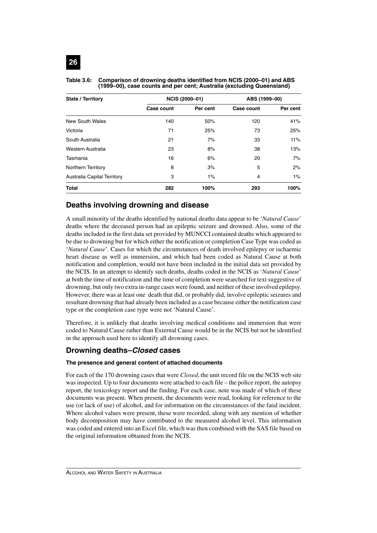| <b>State / Territory</b>           |            | <b>NCIS (2000-01)</b> | ABS (1999-00) |          |
|------------------------------------|------------|-----------------------|---------------|----------|
|                                    | Case count | Per cent              | Case count    | Per cent |
| New South Wales                    | 140        | 50%                   | 120           | 41%      |
| Victoria                           | 71         | 25%                   | 73            | 25%      |
| South Australia                    | 21         | 7%                    | 33            | 11%      |
| Western Australia                  | 23         | 8%                    | 38            | 13%      |
| Tasmania                           | 16         | 6%                    | 20            | 7%       |
| <b>Northern Territory</b>          | 8          | 3%                    | 5             | 2%       |
| <b>Australia Capital Territory</b> | 3          | $1\%$                 | 4             | $1\%$    |
| <b>Total</b>                       | 282        | 100%                  | 293           | 100%     |

#### **Table 3.6: Comparison of drowning deaths identified from NCIS (2000–01) and ABS (1999–00), case counts and per cent; Australia (excluding Queensland)**

# **Deaths involving drowning and disease**

A small minority of the deaths identified by national deaths data appear to be '*Natural Cause*' deaths where the deceased person had an epileptic seizure and drowned. Also, some of the deaths included in the first data set provided by MUNCCI contained deaths which appeared to be due to drowning but for which either the notification or completion Case Type was coded as '*Natural Cause*'. Cases for which the circumstances of death involved epilepsy or ischaemic heart disease as well as immersion, and which had been coded as Natural Cause at both notification and completion, would not have been included in the initial data set provided by the NCIS. In an attempt to identify such deaths, deaths coded in the NCIS as '*Natural Cause*' at both the time of notification and the time of completion were searched for text suggestive of drowning, but only two extra in-range cases were found, and neither of these involved epilepsy. However, there was at least one death that did, or probably did, involve epileptic seizures and resultant drowning that had already been included as a case because either the notification case type or the completion case type were not 'Natural Cause'.

Therefore, it is unlikely that deaths involving medical conditions and immersion that were coded to Natural Cause rather than External Cause would be in the NCIS but not be identified in the approach used here to identify all drowning cases.

## **Drowning deaths–Closed cases**

#### **The presence and general content of attached documents**

For each of the 170 drowning cases that were *Closed*, the unit record file on the NCIS web site was inspected. Up to four documents were attached to each file – the police report, the autopsy report, the toxicology report and the finding. For each case, note was made of which of these documents was present. When present, the documents were read, looking for reference to the use (or lack of use) of alcohol, and for information on the circumstances of the fatal incident. Where alcohol values were present, these were recorded, along with any mention of whether body decomposition may have contributed to the measured alcohol level. This information was coded and entered into an Excel file, which was then combined with the SAS file based on the original information obtained from the NCIS.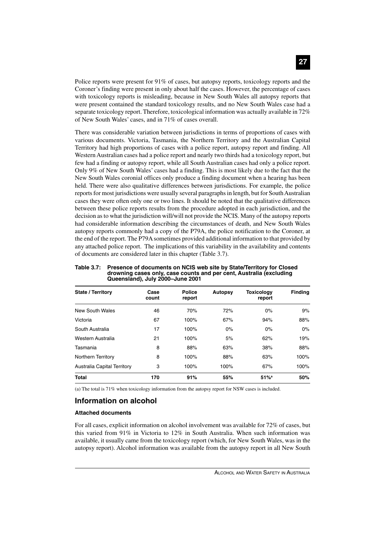Police reports were present for 91% of cases, but autopsy reports, toxicology reports and the Coroner's finding were present in only about half the cases. However, the percentage of cases with toxicology reports is misleading, because in New South Wales all autopsy reports that were present contained the standard toxicology results, and no New South Wales case had a separate toxicology report. Therefore, toxicological information was actually available in 72% of New South Wales' cases, and in 71% of cases overall.

There was considerable variation between jurisdictions in terms of proportions of cases with various documents. Victoria, Tasmania, the Northern Territory and the Australian Capital Territory had high proportions of cases with a police report, autopsy report and finding. All Western Australian cases had a police report and nearly two thirds had a toxicology report, but few had a finding or autopsy report, while all South Australian cases had only a police report. Only 9% of New South Wales' cases had a finding. This is most likely due to the fact that the New South Wales coronial offices only produce a finding document when a hearing has been held. There were also qualitative differences between jurisdictions. For example, the police reports for most jurisdictions were usually several paragraphs in length, but for South Australian cases they were often only one or two lines. It should be noted that the qualitative differences between these police reports results from the procedure adopted in each jurisdiction, and the decision as to what the jurisdiction will/will not provide the NCIS. Many of the autopsy reports had considerable information describing the circumstances of death, and New South Wales autopsy reports commonly had a copy of the P79A, the police notification to the Coroner, at the end of the report. The P79A sometimes provided additional information to that provided by any attached police report. The implications of this variability in the availability and contents of documents are considered later in this chapter (Table 3.7).

| <b>State / Territory</b>    | Case<br>count | <b>Police</b><br>report | Autopsy | <b>Toxicology</b><br>report | <b>Finding</b> |
|-----------------------------|---------------|-------------------------|---------|-----------------------------|----------------|
| New South Wales             | 46            | 70%                     | 72%     | 0%                          | 9%             |
| Victoria                    | 67            | 100%                    | 67%     | 94%                         | 88%            |
| South Australia             | 17            | 100%                    | $0\%$   | 0%                          | $0\%$          |
| Western Australia           | 21            | 100%                    | 5%      | 62%                         | 19%            |
| Tasmania                    | 8             | 88%                     | 63%     | 38%                         | 88%            |
| Northern Territory          | 8             | 100%                    | 88%     | 63%                         | 100%           |
| Australia Capital Territory | 3             | 100%                    | 100%    | 67%                         | 100%           |
| <b>Total</b>                | 170           | 91%                     | 55%     | $51%$ <sup>a</sup>          | 50%            |

**Table 3.7: Presence of documents on NCIS web site by State/Territory for Closed drowning cases only, case counts and per cent, Australia (excluding Queensland), July 2000–June 2001**

(a) The total is 71% when toxicology information from the autopsy report for NSW cases is included.

### **Information on alcohol**

#### **Attached documents**

For all cases, explicit information on alcohol involvement was available for 72% of cases, but this varied from 91% in Victoria to 12% in South Australia. When such information was available, it usually came from the toxicology report (which, for New South Wales, was in the autopsy report). Alcohol information was available from the autopsy report in all New South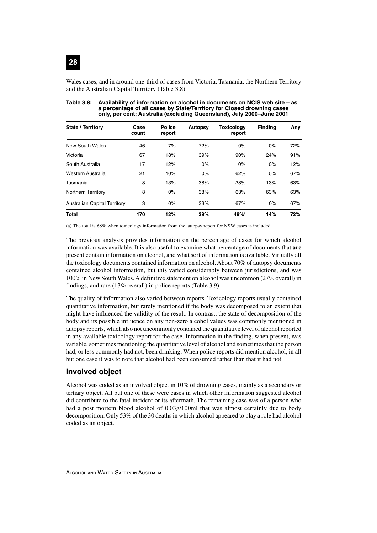

Wales cases, and in around one-third of cases from Victoria, Tasmania, the Northern Territory and the Australian Capital Territory (Table 3.8).

| <b>State / Territory</b>            | Case<br>count | <b>Police</b><br>report | <b>Autopsy</b> | <b>Toxicology</b><br>report | <b>Finding</b> | Any |
|-------------------------------------|---------------|-------------------------|----------------|-----------------------------|----------------|-----|
| New South Wales                     | 46            | 7%                      | 72%            | 0%                          | 0%             | 72% |
| Victoria                            | 67            | 18%                     | 39%            | 90%                         | 24%            | 91% |
| South Australia                     | 17            | 12%                     | $0\%$          | 0%                          | $0\%$          | 12% |
| Western Australia                   | 21            | 10%                     | 0%             | 62%                         | 5%             | 67% |
| Tasmania                            | 8             | 13%                     | 38%            | 38%                         | 13%            | 63% |
| <b>Northern Territory</b>           | 8             | 0%                      | 38%            | 63%                         | 63%            | 63% |
| <b>Australian Capital Territory</b> | 3             | 0%                      | 33%            | 67%                         | 0%             | 67% |
| <b>Total</b>                        | 170           | 12%                     | 39%            | 49% <sup>a</sup>            | 14%            | 72% |
|                                     |               |                         |                |                             |                |     |

**Table 3.8: Availability of information on alcohol in documents on NCIS web site – as a percentage of all cases by State/Territory for Closed drowning cases only, per cent; Australia (excluding Queensland), July 2000–June 2001**

(a) The total is 68% when toxicology information from the autopsy report for NSW cases is included.

The previous analysis provides information on the percentage of cases for which alcohol information was available. It is also useful to examine what percentage of documents that **are** present contain information on alcohol, and what sort of information is available. Virtually all the toxicology documents contained information on alcohol. About 70% of autopsy documents contained alcohol information, but this varied considerably between jurisdictions, and was 100% in New South Wales. A definitive statement on alcohol was uncommon (27% overall) in findings, and rare (13% overall) in police reports (Table 3.9).

The quality of information also varied between reports. Toxicology reports usually contained quantitative information, but rarely mentioned if the body was decomposed to an extent that might have influenced the validity of the result. In contrast, the state of decomposition of the body and its possible influence on any non-zero alcohol values was commonly mentioned in autopsy reports, which also not uncommonly contained the quantitative level of alcohol reported in any available toxicology report for the case. Information in the finding, when present, was variable, sometimes mentioning the quantitative level of alcohol and sometimes that the person had, or less commonly had not, been drinking. When police reports did mention alcohol, in all but one case it was to note that alcohol had been consumed rather than that it had not.

### **Involved object**

Alcohol was coded as an involved object in 10% of drowning cases, mainly as a secondary or tertiary object. All but one of these were cases in which other information suggested alcohol did contribute to the fatal incident or its aftermath. The remaining case was of a person who had a post mortem blood alcohol of 0.03g/100ml that was almost certainly due to body decomposition. Only 53% of the 30 deaths in which alcohol appeared to play a role had alcohol coded as an object.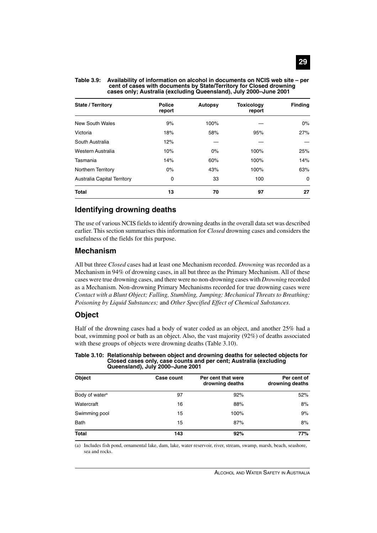| <b>State / Territory</b>           | <b>Police</b><br>report | Autopsy | <b>Toxicology</b><br>report | <b>Finding</b> |
|------------------------------------|-------------------------|---------|-----------------------------|----------------|
| New South Wales                    | 9%                      | 100%    |                             | $0\%$          |
| Victoria                           | 18%                     | 58%     | 95%                         | 27%            |
| South Australia                    | 12%                     |         |                             |                |
| Western Australia                  | 10%                     | $0\%$   | 100%                        | 25%            |
| Tasmania                           | 14%                     | 60%     | 100%                        | 14%            |
| Northern Territory                 | $0\%$                   | 43%     | 100%                        | 63%            |
| <b>Australia Capital Territory</b> | 0                       | 33      | 100                         | $\Omega$       |
| <b>Total</b>                       | 13                      | 70      | 97                          | 27             |

**Table 3.9: Availability of information on alcohol in documents on NCIS web site – per cent of cases with documents by State/Territory for Closed drowning cases only; Australia (excluding Queensland), July 2000–June 2001**

### **Identifying drowning deaths**

The use of various NCIS fields to identify drowning deaths in the overall data set was described earlier. This section summarises this information for *Closed* drowning cases and considers the usefulness of the fields for this purpose.

#### **Mechanism**

All but three *Closed* cases had at least one Mechanism recorded. *Drowning* was recorded as a Mechanism in 94% of drowning cases, in all but three as the Primary Mechanism. All of these cases were true drowning cases, and there were no non-drowning cases with *Drowning* recorded as a Mechanism. Non-drowning Primary Mechanisms recorded for true drowning cases were *Contact with a Blunt Object; Falling, Stumbling, Jumping; Mechanical Threats to Breathing; Poisoning by Liquid Substances;* and *Other Specified Effect of Chemical Substances*.

### **Object**

Half of the drowning cases had a body of water coded as an object, and another 25% had a boat, swimming pool or bath as an object. Also, the vast majority (92%) of deaths associated with these groups of objects were drowning deaths (Table 3.10).

#### **Table 3.10: Relationship between object and drowning deaths for selected objects for Closed cases only, case counts and per cent; Australia (excluding Queensland), July 2000–June 2001**

| <b>Object</b>              | Case count | Per cent that were<br>drowning deaths | Per cent of<br>drowning deaths |
|----------------------------|------------|---------------------------------------|--------------------------------|
| Body of water <sup>a</sup> | 97         | 92%                                   | 52%                            |
| Watercraft                 | 16         | 88%                                   | 8%                             |
| Swimming pool              | 15         | 100%                                  | 9%                             |
| <b>Bath</b>                | 15         | 87%                                   | 8%                             |
| <b>Total</b>               | 143        | 92%                                   | 77%                            |

(a) Includes fish pond, ornamental lake, dam, lake, water reservoir, river, stream, swamp, marsh, beach, seashore, sea and rocks.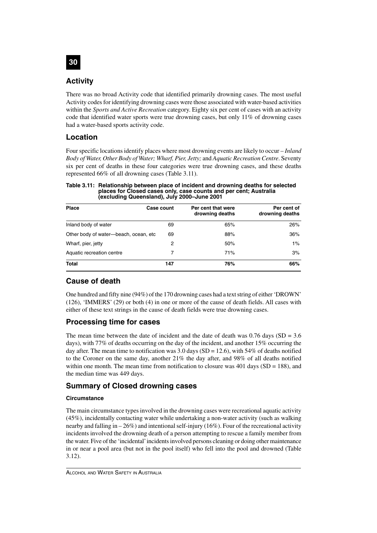

### **Activity**

There was no broad Activity code that identified primarily drowning cases. The most useful Activity codes for identifying drowning cases were those associated with water-based activities within the *Sports and Active Recreation* category. Eighty six per cent of cases with an activity code that identified water sports were true drowning cases, but only 11% of drowning cases had a water-based sports activity code.

## **Location**

Four specific locations identify places where most drowning events are likely to occur – *Inland Body of Water, Other Body of Water; Wharf, Pier, Jetty;* and *Aquatic Recreation Centre*. Seventy six per cent of deaths in these four categories were true drowning cases, and these deaths represented 66% of all drowning cases (Table 3.11).

#### **Table 3.11: Relationship between place of incident and drowning deaths for selected places for Closed cases only, case counts and per cent; Australia (excluding Queensland), July 2000–June 2001**

| <b>Place</b>                           | Case count | Per cent that were<br>drowning deaths | Per cent of<br>drowning deaths |
|----------------------------------------|------------|---------------------------------------|--------------------------------|
| Inland body of water                   | 69         | 65%                                   | 26%                            |
| Other body of water-beach, ocean, etc. | 69         | 88%                                   | 36%                            |
| Wharf, pier, jetty                     | 2          | 50%                                   | $1\%$                          |
| Aquatic recreation centre              | 7          | 71%                                   | 3%                             |
| <b>Total</b>                           | 147        | 76%                                   | 66%                            |

## **Cause of death**

One hundred and fifty nine (94%) of the 170 drowning cases had a text string of either 'DROWN' (126), 'IMMERS' (29) or both (4) in one or more of the cause of death fields. All cases with either of these text strings in the cause of death fields were true drowning cases.

## **Processing time for cases**

The mean time between the date of incident and the date of death was  $0.76$  days (SD =  $3.6$ ) days), with 77% of deaths occurring on the day of the incident, and another 15% occurring the day after. The mean time to notification was 3.0 days (SD = 12.6), with 54% of deaths notified to the Coroner on the same day, another 21% the day after, and 98% of all deaths notified within one month. The mean time from notification to closure was  $401$  days (SD = 188), and the median time was 449 days.

## **Summary of Closed drowning cases**

### **Circumstance**

The main circumstance types involved in the drowning cases were recreational aquatic activity (45%), incidentally contacting water while undertaking a non-water activity (such as walking nearby and falling in – 26%) and intentional self-injury (16%). Four of the recreational activity incidents involved the drowning death of a person attempting to rescue a family member from the water. Five of the 'incidental' incidents involved persons cleaning or doing other maintenance in or near a pool area (but not in the pool itself) who fell into the pool and drowned (Table 3.12).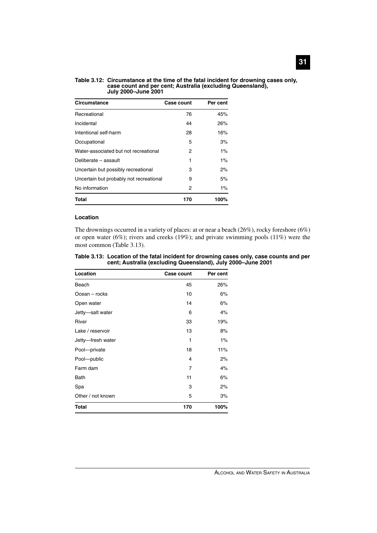#### **Table 3.12: Circumstance at the time of the fatal incident for drowning cases only, case count and per cent; Australia (excluding Queensland), July 2000–June 2001**

| Circumstance                            | <b>Case count</b> | Per cent |
|-----------------------------------------|-------------------|----------|
| Recreational                            | 76                | 45%      |
| Incidental                              | 44                | 26%      |
| Intentional self-harm                   | 28                | 16%      |
| Occupational                            | 5                 | 3%       |
| Water-associated but not recreational   | 2                 | $1\%$    |
| Deliberate - assault                    | 1                 | $1\%$    |
| Uncertain but possibly recreational     | 3                 | 2%       |
| Uncertain but probably not recreational | 9                 | 5%       |
| No information                          | 2                 | $1\%$    |
| Total                                   | 170               | 100%     |

#### **Location**

The drownings occurred in a variety of places: at or near a beach (26%), rocky foreshore (6%) or open water (6%); rivers and creeks (19%); and private swimming pools (11%) were the most common (Table 3.13).

| Table 3.13: Location of the fatal incident for drowning cases only, case counts and per |
|-----------------------------------------------------------------------------------------|
| cent; Australia (excluding Queensland), July 2000-June 2001                             |

| Location          | <b>Case count</b> | Per cent |
|-------------------|-------------------|----------|
| Beach             | 45                | 26%      |
| Ocean – rocks     | 10                | 6%       |
| Open water        | 14                | 6%       |
| Jetty-salt water  | 6                 | 4%       |
| River             | 33                | 19%      |
| Lake / reservoir  | 13                | 8%       |
| Jetty-fresh water | 1                 | 1%       |
| Pool-private      | 18                | 11%      |
| Pool-public       | 4                 | 2%       |
| Farm dam          | 7                 | 4%       |
| Bath              | 11                | 6%       |
| Spa               | 3                 | 2%       |
| Other / not known | 5                 | 3%       |
| <b>Total</b>      | 170               | 100%     |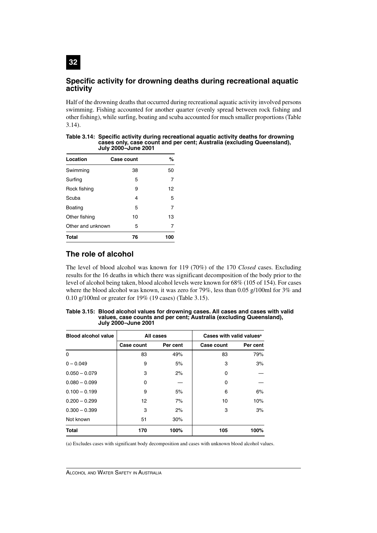### **Specific activity for drowning deaths during recreational aquatic activity**

Half of the drowning deaths that occurred during recreational aquatic activity involved persons swimming. Fishing accounted for another quarter (evenly spread between rock fishing and other fishing), while surfing, boating and scuba accounted for much smaller proportions (Table 3.14).

| <b>JULY ZUUU-JULIE ZUUT</b> |                   |     |  |
|-----------------------------|-------------------|-----|--|
| Location                    | <b>Case count</b> | %   |  |
| Swimming                    | 38                | 50  |  |
| Surfing                     | 5                 | 7   |  |
| Rock fishing                | 9                 | 12  |  |
| Scuba                       | 4                 | 5   |  |
| <b>Boating</b>              | 5                 | 7   |  |
| Other fishing               | 10                | 13  |  |
| Other and unknown           | 5                 | 7   |  |
| <b>Total</b>                | 76                | 100 |  |

**Table 3.14: Specific activity during recreational aquatic activity deaths for drowning cases only, case count and per cent; Australia (excluding Queensland), July 2000–June 2001**

## **The role of alcohol**

**32**

The level of blood alcohol was known for 119 (70%) of the 170 *Closed* cases. Excluding results for the 16 deaths in which there was significant decomposition of the body prior to the level of alcohol being taken, blood alcohol levels were known for 68% (105 of 154). For cases where the blood alcohol was known, it was zero for 79%, less than 0.05 g/100ml for 3% and 0.10 g/100ml or greater for 19% (19 cases) (Table 3.15).

| <b>Blood alcohol value</b> |            | All cases | Cases with valid values <sup>a</sup> |          |
|----------------------------|------------|-----------|--------------------------------------|----------|
|                            | Case count | Per cent  | Case count                           | Per cent |
| $\Omega$                   | 83         | 49%       | 83                                   | 79%      |
| $0 - 0.049$                | 9          | 5%        | 3                                    | 3%       |
| $0.050 - 0.079$            | 3          | 2%        | 0                                    |          |
| $0.080 - 0.099$            | 0          |           | 0                                    |          |
| $0.100 - 0.199$            | 9          | 5%        | 6                                    | 6%       |
| $0.200 - 0.299$            | 12         | 7%        | 10                                   | 10%      |
| $0.300 - 0.399$            | 3          | 2%        | 3                                    | 3%       |
| Not known                  | 51         | 30%       |                                      |          |
| <b>Total</b>               | 170        | 100%      | 105                                  | 100%     |

**Table 3.15: Blood alcohol values for drowning cases. All cases and cases with valid values, case counts and per cent; Australia (excluding Queensland), July 2000–June 2001**

(a) Excludes cases with significant body decomposition and cases with unknown blood alcohol values.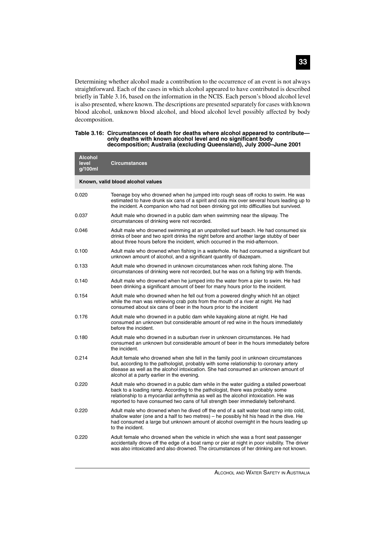Determining whether alcohol made a contribution to the occurrence of an event is not always straightforward. Each of the cases in which alcohol appeared to have contributed is described briefly in Table 3.16, based on the information in the NCIS. Each person's blood alcohol level is also presented, where known. The descriptions are presented separately for cases with known blood alcohol, unknown blood alcohol, and blood alcohol level possibly affected by body decomposition.

| Table 3.16: Circumstances of death for deaths where alcohol appeared to contribute— |
|-------------------------------------------------------------------------------------|
| only deaths with known alcohol level and no significant body                        |
| decomposition; Australia (excluding Queensland), July 2000-June 2001                |

| <b>Alcohol</b><br>level<br>g/100ml | <b>Circumstances</b>                                                                                                                                                                                                                                                                                                                              |  |  |  |  |
|------------------------------------|---------------------------------------------------------------------------------------------------------------------------------------------------------------------------------------------------------------------------------------------------------------------------------------------------------------------------------------------------|--|--|--|--|
| Known, valid blood alcohol values  |                                                                                                                                                                                                                                                                                                                                                   |  |  |  |  |
| 0.020                              | Teenage boy who drowned when he jumped into rough seas off rocks to swim. He was<br>estimated to have drunk six cans of a spirit and cola mix over several hours leading up to<br>the incident. A companion who had not been drinking got into difficulties but survived.                                                                         |  |  |  |  |
| 0.037                              | Adult male who drowned in a public dam when swimming near the slipway. The<br>circumstances of drinking were not recorded.                                                                                                                                                                                                                        |  |  |  |  |
| 0.046                              | Adult male who drowned swimming at an unpatrolled surf beach. He had consumed six<br>drinks of beer and two spirit drinks the night before and another large stubby of beer<br>about three hours before the incident, which occurred in the mid-afternoon.                                                                                        |  |  |  |  |
| 0.100                              | Adult male who drowned when fishing in a waterhole. He had consumed a significant but<br>unknown amount of alcohol, and a significant quantity of diazepam.                                                                                                                                                                                       |  |  |  |  |
| 0.133                              | Adult male who drowned in unknown circumstances when rock fishing alone. The<br>circumstances of drinking were not recorded, but he was on a fishing trip with friends.                                                                                                                                                                           |  |  |  |  |
| 0.140                              | Adult male who drowned when he jumped into the water from a pier to swim. He had<br>been drinking a significant amount of beer for many hours prior to the incident.                                                                                                                                                                              |  |  |  |  |
| 0.154                              | Adult male who drowned when he fell out from a powered dinghy which hit an object<br>while the man was retrieving crab pots from the mouth of a river at night. He had<br>consumed about six cans of beer in the hours prior to the incident                                                                                                      |  |  |  |  |
| 0.176                              | Adult male who drowned in a public dam while kayaking alone at night. He had<br>consumed an unknown but considerable amount of red wine in the hours immediately<br>before the incident.                                                                                                                                                          |  |  |  |  |
| 0.180                              | Adult male who drowned in a suburban river in unknown circumstances. He had<br>consumed an unknown but considerable amount of beer in the hours immediately before<br>the incident.                                                                                                                                                               |  |  |  |  |
| 0.214                              | Adult female who drowned when she fell in the family pool in unknown circumstances<br>but, according to the pathologist, probably with some relationship to coronary artery<br>disease as well as the alcohol intoxication. She had consumed an unknown amount of<br>alcohol at a party earlier in the evening.                                   |  |  |  |  |
| 0.220                              | Adult male who drowned in a public dam while in the water guiding a stalled powerboat<br>back to a loading ramp. According to the pathologist, there was probably some<br>relationship to a myocardial arrhythmia as well as the alcohol intoxication. He was<br>reported to have consumed two cans of full strength beer immediately beforehand. |  |  |  |  |
| 0.220                              | Adult male who drowned when he dived off the end of a salt water boat ramp into cold,<br>shallow water (one and a half to two metres) – he possibly hit his head in the dive. He<br>had consumed a large but unknown amount of alcohol overnight in the hours leading up<br>to the incident.                                                      |  |  |  |  |
| 0.220                              | Adult female who drowned when the vehicle in which she was a front seat passenger<br>accidentally drove off the edge of a boat ramp or pier at night in poor visibility. The driver<br>was also intoxicated and also drowned. The circumstances of her drinking are not known.                                                                    |  |  |  |  |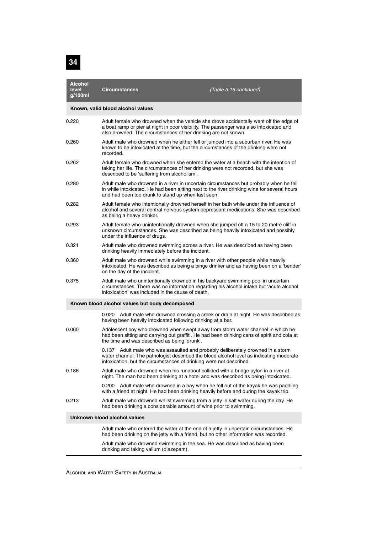

| <b>Alcohol</b><br>level<br>g/100ml | Circumstances                                                                                                                                                                                                                                      | (Table 3.16 continued)                                                                  |  |  |  |
|------------------------------------|----------------------------------------------------------------------------------------------------------------------------------------------------------------------------------------------------------------------------------------------------|-----------------------------------------------------------------------------------------|--|--|--|
| Known, valid blood alcohol values  |                                                                                                                                                                                                                                                    |                                                                                         |  |  |  |
| 0.220                              | Adult female who drowned when the vehicle she drove accidentally went off the edge of<br>a boat ramp or pier at night in poor visibility. The passenger was also intoxicated and<br>also drowned. The circumstances of her drinking are not known. |                                                                                         |  |  |  |
| 0.260                              | Adult male who drowned when he either fell or jumped into a suburban river. He was<br>known to be intoxicated at the time, but the circumstances of the drinking were not<br>recorded.                                                             |                                                                                         |  |  |  |
| 0.262                              | Adult female who drowned when she entered the water at a beach with the intention of<br>taking her life. The circumstances of her drinking were not recorded, but she was<br>described to be 'suffering from alcoholism'.                          |                                                                                         |  |  |  |
| 0.280                              | Adult male who drowned in a river in uncertain circumstances but probably when he fell<br>in while intoxicated. He had been sitting next to the river drinking wine for several hours<br>and had been too drunk to stand up when last seen.        |                                                                                         |  |  |  |
| 0.282                              | Adult female who intentionally drowned herself in her bath while under the influence of<br>alcohol and several central nervous system depressant medications. She was described<br>as being a heavy drinker.                                       |                                                                                         |  |  |  |
| 0.293                              | Adult female who unintentionally drowned when she jumped off a 15 to 20 metre cliff in<br>unknown circumstances. She was described as being heavily intoxicated and possibly<br>under the influence of drugs.                                      |                                                                                         |  |  |  |
| 0.321                              | Adult male who drowned swimming across a river. He was described as having been<br>drinking heavily immediately before the incident.                                                                                                               |                                                                                         |  |  |  |
| 0.360                              | Adult male who drowned while swimming in a river with other people while heavily<br>on the day of the incident.                                                                                                                                    | intoxicated. He was described as being a binge drinker and as having been on a 'bender' |  |  |  |
| 0.375                              | Adult male who unintentionally drowned in his backyard swimming pool in uncertain<br>intoxication' was included in the cause of death.                                                                                                             | circumstances. There was no information regarding his alcohol intake but 'acute alcohol |  |  |  |
|                                    | Known blood alcohol values but body decomposed                                                                                                                                                                                                     |                                                                                         |  |  |  |
|                                    | having been heavily intoxicated following drinking at a bar.                                                                                                                                                                                       | 0.020 Adult male who drowned crossing a creek or drain at night. He was described as    |  |  |  |
| 0.060                              | Adolescent boy who drowned when swept away from storm water channel in which he<br>had been sitting and carrying out graffiti. He had been drinking cans of spirit and cola at<br>the time and was described as being 'drunk'.                     |                                                                                         |  |  |  |
|                                    | 0.137 Adult male who was assaulted and probably deliberately drowned in a storm<br>water channel. The pathologist described the blood alcohol level as indicating moderate<br>intoxication, but the circumstances of drinking were not described.  |                                                                                         |  |  |  |
| 0.186                              | Adult male who drowned when his runabout collided with a bridge pylon in a river at<br>night. The man had been drinking at a hotel and was described as being intoxicated.                                                                         |                                                                                         |  |  |  |
|                                    | 0.200<br>with a friend at night. He had been drinking heavily before and during the kayak trip.                                                                                                                                                    | Adult male who drowned in a bay when he fell out of the kayak he was paddling           |  |  |  |
| 0.213                              | Adult male who drowned whilst swimming from a jetty in salt water during the day. He<br>had been drinking a considerable amount of wine prior to swimming.                                                                                         |                                                                                         |  |  |  |
|                                    | Unknown blood alcohol values                                                                                                                                                                                                                       |                                                                                         |  |  |  |
|                                    | Adult male who entered the water at the end of a jetty in uncertain circumstances. He<br>had been drinking on the jetty with a friend, but no other information was recorded.                                                                      |                                                                                         |  |  |  |
|                                    | Adult male who drowned swimming in the sea. He was described as having been<br>drinking and taking valium (diazepam).                                                                                                                              |                                                                                         |  |  |  |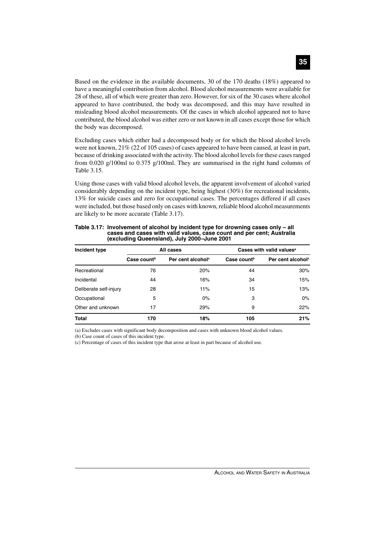Based on the evidence in the available documents, 30 of the 170 deaths (18%) appeared to have a meaningful contribution from alcohol. Blood alcohol measurements were available for 28 of these, all of which were greater than zero. However, for six of the 30 cases where alcohol appeared to have contributed, the body was decomposed, and this may have resulted in misleading blood alcohol measurements. Of the cases in which alcohol appeared not to have contributed, the blood alcohol was either zero or not known in all cases except those for which the body was decomposed.

Excluding cases which either had a decomposed body or for which the blood alcohol levels were not known, 21% (22 of 105 cases) of cases appeared to have been caused, at least in part, because of drinking associated with the activity. The blood alcohol levels for these cases ranged from 0.020 g/100ml to 0.375 g/100ml. They are summarised in the right hand columns of Table 3.15.

Using those cases with valid blood alcohol levels, the apparent involvement of alcohol varied considerably depending on the incident type, being highest (30%) for recreational incidents, 13% for suicide cases and zero for occupational cases. The percentages differed if all cases were included, but those based only on cases with known, reliable blood alcohol measurements are likely to be more accurate (Table 3.17).

| Incident type          | All cases               |                               | Cases with valid values <sup>a</sup> |                               |
|------------------------|-------------------------|-------------------------------|--------------------------------------|-------------------------------|
|                        | Case count <sup>b</sup> | Per cent alcohol <sup>c</sup> | Case count <sup>b</sup>              | Per cent alcohol <sup>c</sup> |
| Recreational           | 76                      | 20%                           | 44                                   | 30%                           |
| Incidental             | 44                      | 16%                           | 34                                   | 15%                           |
| Deliberate self-injury | 28                      | 11%                           | 15                                   | 13%                           |
| Occupational           | 5                       | 0%                            | 3                                    | $0\%$                         |
| Other and unknown      | 17                      | 29%                           | 9                                    | 22%                           |
| <b>Total</b>           | 170                     | 18%                           | 105                                  | 21%                           |

**Table 3.17: Involvement of alcohol by incident type for drowning cases only – all cases and cases with valid values, case count and per cent; Australia (excluding Queensland), July 2000–June 2001**

(a) Excludes cases with significant body decomposition and cases with unknown blood alcohol values.

(b) Case count of cases of this incident type.

(c) Percentage of cases of this incident type that arose at least in part because of alcohol use.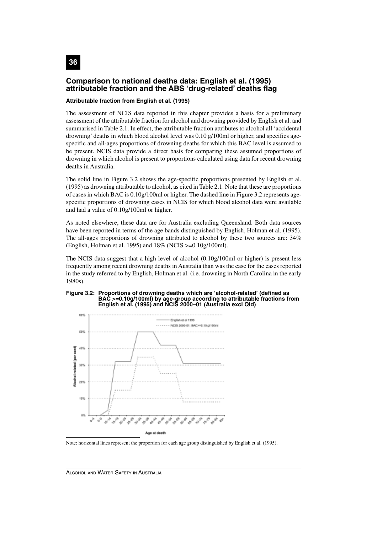

### **Comparison to national deaths data: English et al. (1995) attributable fraction and the ABS 'drug-related' deaths flag**

#### **Attributable fraction from English et al. (1995)**

The assessment of NCIS data reported in this chapter provides a basis for a preliminary assessment of the attributable fraction for alcohol and drowning provided by English et al. and summarised in Table 2.1. In effect, the attributable fraction attributes to alcohol all 'accidental drowning' deaths in which blood alcohol level was 0.10 g/100ml or higher, and specifies agespecific and all-ages proportions of drowning deaths for which this BAC level is assumed to be present. NCIS data provide a direct basis for comparing these assumed proportions of drowning in which alcohol is present to proportions calculated using data for recent drowning deaths in Australia.

The solid line in Figure 3.2 shows the age-specific proportions presented by English et al. (1995) as drowning attributable to alcohol, as cited in Table 2.1. Note that these are proportions of cases in which BAC is  $0.10g/100m$  or higher. The dashed line in Figure 3.2 represents agespecific proportions of drowning cases in NCIS for which blood alcohol data were available and had a value of 0.10g/100ml or higher.

As noted elsewhere, these data are for Australia excluding Queensland. Both data sources have been reported in terms of the age bands distinguished by English, Holman et al. (1995). The all-ages proportions of drowning attributed to alcohol by these two sources are: 34% (English, Holman et al. 1995) and 18% (NCIS >=0.10g/100ml).

The NCIS data suggest that a high level of alcohol (0.10g/100ml or higher) is present less frequently among recent drowning deaths in Australia than was the case for the cases reported in the study referred to by English, Holman et al. (i.e. drowning in North Carolina in the early 1980s).

#### **Figure 3.2: Proportions of drowning deaths which are 'alcohol-related' (defined as BAC >=0.10g/100ml) by age-group according to attributable fractions from English et al. (1995) and NCIS 2000–01 (Australia excl Qld)**



Note: horizontal lines represent the proportion for each age group distinguished by English et al. (1995).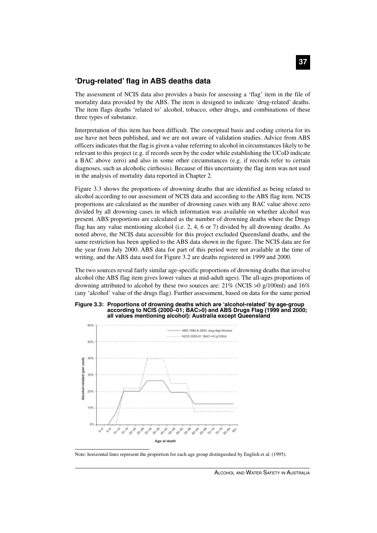### **'Drug-related' flag in ABS deaths data**

The assessment of NCIS data also provides a basis for assessing a 'flag' item in the file of mortality data provided by the ABS. The item is designed to indicate 'drug-related' deaths. The item flags deaths 'related to' alcohol, tobacco, other drugs, and combinations of these three types of substance.

Interpretation of this item has been difficult. The conceptual basis and coding criteria for its use have not been published, and we are not aware of validation studies. Advice from ABS officers indicates that the flag is given a value referring to alcohol in circumstances likely to be relevant to this project (e.g. if records seen by the coder while establishing the UCoD indicate a BAC above zero) and also in some other circumstances (e.g. if records refer to certain diagnoses, such as alcoholic cirrhosis). Because of this uncertainty the flag item was not used in the analysis of mortality data reported in Chapter 2.

Figure 3.3 shows the proportions of drowning deaths that are identified as being related to alcohol according to our assessment of NCIS data and according to the ABS flag item. NCIS proportions are calculated as the number of drowning cases with any BAC value above zero divided by all drowning cases in which information was available on whether alcohol was present. ABS proportions are calculated as the number of drowning deaths where the Drugs flag has any value mentioning alcohol (i.e. 2, 4, 6 or 7) divided by all drowning deaths. As noted above, the NCIS data accessible for this project excluded Queensland deaths, and the same restriction has been applied to the ABS data shown in the figure. The NCIS data are for the year from July 2000. ABS data for part of this period were not available at the time of writing, and the ABS data used for Figure 3.2 are deaths registered in 1999 and 2000.

The two sources reveal fairly similar age-specific proportions of drowning deaths that involve alcohol (the ABS flag item gives lower values at mid-adult ages). The all-ages proportions of drowning attributed to alcohol by these two sources are:  $21\%$  (NCIS  $>0$  g/100ml) and 16% (any 'alcohol' value of the drugs flag). Further assessment, based on data for the same period





Note: horizontal lines represent the proportion for each age group distinguished by English et al. (1995).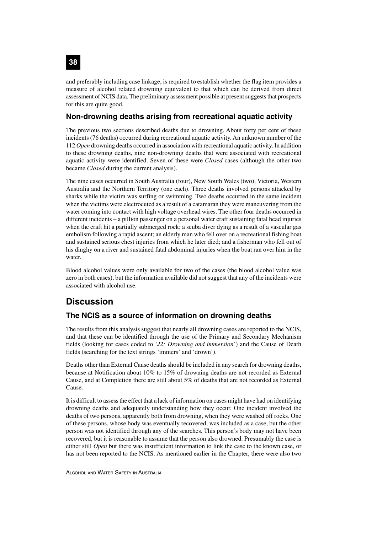and preferably including case linkage, is required to establish whether the flag item provides a measure of alcohol related drowning equivalent to that which can be derived from direct assessment of NCIS data. The preliminary assessment possible at present suggests that prospects for this are quite good.

## **Non-drowning deaths arising from recreational aquatic activity**

The previous two sections described deaths due to drowning. About forty per cent of these incidents (76 deaths) occurred during recreational aquatic activity. An unknown number of the 112 *Open* drowning deaths occurred in association with recreational aquatic activity. In addition to these drowning deaths, nine non-drowning deaths that were associated with recreational aquatic activity were identified. Seven of these were *Closed* cases (although the other two became *Closed* during the current analysis).

The nine cases occurred in South Australia (four), New South Wales (two), Victoria, Western Australia and the Northern Territory (one each). Three deaths involved persons attacked by sharks while the victim was surfing or swimming. Two deaths occurred in the same incident when the victims were electrocuted as a result of a catamaran they were maneuvering from the water coming into contact with high voltage overhead wires. The other four deaths occurred in different incidents – a pillion passenger on a personal water craft sustaining fatal head injuries when the craft hit a partially submerged rock; a scuba diver dying as a result of a vascular gas embolism following a rapid ascent; an elderly man who fell over on a recreational fishing boat and sustained serious chest injuries from which he later died; and a fisherman who fell out of his dinghy on a river and sustained fatal abdominal injuries when the boat ran over him in the water.

Blood alcohol values were only available for two of the cases (the blood alcohol value was zero in both cases), but the information available did not suggest that any of the incidents were associated with alcohol use.

# **Discussion**

# **The NCIS as a source of information on drowning deaths**

The results from this analysis suggest that nearly all drowning cases are reported to the NCIS, and that these can be identified through the use of the Primary and Secondary Mechanism fields (looking for cases coded to '*J2: Drowning and immersion*') and the Cause of Death fields (searching for the text strings 'immers' and 'drown').

Deaths other than External Cause deaths should be included in any search for drowning deaths, because at Notification about 10% to 15% of drowning deaths are not recorded as External Cause, and at Completion there are still about 5% of deaths that are not recorded as External Cause.

It is difficult to assess the effect that a lack of information on cases might have had on identifying drowning deaths and adequately understanding how they occur. One incident involved the deaths of two persons, apparently both from drowning, when they were washed off rocks. One of these persons, whose body was eventually recovered, was included as a case, but the other person was not identified through any of the searches. This person's body may not have been recovered, but it is reasonable to assume that the person also drowned. Presumably the case is either still *Open* but there was insufficient information to link the case to the known case, or has not been reported to the NCIS. As mentioned earlier in the Chapter, there were also two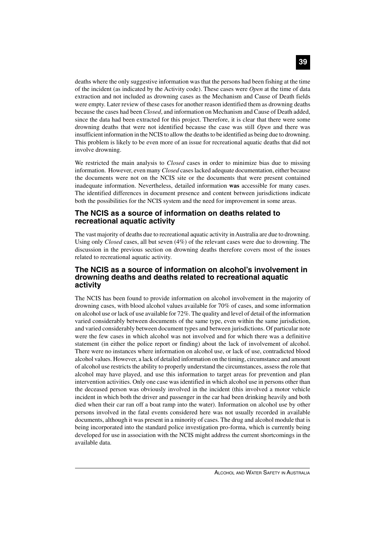deaths where the only suggestive information was that the persons had been fishing at the time of the incident (as indicated by the Activity code). These cases were *Open* at the time of data extraction and not included as drowning cases as the Mechanism and Cause of Death fields were empty. Later review of these cases for another reason identified them as drowning deaths because the cases had been *Closed*, and information on Mechanism and Cause of Death added, since the data had been extracted for this project. Therefore, it is clear that there were some drowning deaths that were not identified because the case was still *Open* and there was insufficient information in the NCIS to allow the deaths to be identified as being due to drowning. This problem is likely to be even more of an issue for recreational aquatic deaths that did not involve drowning.

We restricted the main analysis to *Closed* cases in order to minimize bias due to missing information. However, even many *Closed* cases lacked adequate documentation, either because the documents were not on the NCIS site or the documents that were present contained inadequate information. Nevertheless, detailed information **was** accessible for many cases. The identified differences in document presence and content between jurisdictions indicate both the possibilities for the NCIS system and the need for improvement in some areas.

#### **The NCIS as a source of information on deaths related to recreational aquatic activity**

The vast majority of deaths due to recreational aquatic activity in Australia are due to drowning. Using only *Closed* cases, all but seven (4%) of the relevant cases were due to drowning. The discussion in the previous section on drowning deaths therefore covers most of the issues related to recreational aquatic activity.

### **The NCIS as a source of information on alcohol's involvement in drowning deaths and deaths related to recreational aquatic activity**

The NCIS has been found to provide information on alcohol involvement in the majority of drowning cases, with blood alcohol values available for 70% of cases, and some information on alcohol use or lack of use available for 72%. The quality and level of detail of the information varied considerably between documents of the same type, even within the same jurisdiction, and varied considerably between document types and between jurisdictions. Of particular note were the few cases in which alcohol was not involved and for which there was a definitive statement (in either the police report or finding) about the lack of involvement of alcohol. There were no instances where information on alcohol use, or lack of use, contradicted blood alcohol values. However, a lack of detailed information on the timing, circumstance and amount of alcohol use restricts the ability to properly understand the circumstances, assess the role that alcohol may have played, and use this information to target areas for prevention and plan intervention activities. Only one case was identified in which alcohol use in persons other than the deceased person was obviously involved in the incident (this involved a motor vehicle incident in which both the driver and passenger in the car had been drinking heavily and both died when their car ran off a boat ramp into the water). Information on alcohol use by other persons involved in the fatal events considered here was not usually recorded in available documents, although it was present in a minority of cases. The drug and alcohol module that is being incorporated into the standard police investigation pro-forma, which is currently being developed for use in association with the NCIS might address the current shortcomings in the available data.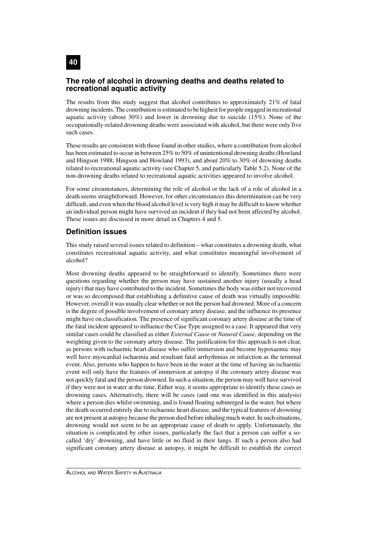### **The role of alcohol in drowning deaths and deaths related to recreational aquatic activity**

The results from this study suggest that alcohol contributes to approximately 21% of fatal drowning incidents. The contribution is estimated to be highest for people engaged in recreational aquatic activity (about  $30\%$ ) and lower in drowning due to suicide (15%). None of the occupationally-related drowning deaths were associated with alcohol, but there were only five such cases.

These results are consistent with those found in other studies, where a contribution from alcohol has been estimated to occur in between 25% to 50% of unintentional drowning deaths (Howland and Hingson 1988; Hingson and Howland 1993), and about 20% to 30% of drowning deaths related to recreational aquatic activity (see Chapter 5, and particularly Table 5.2). None of the non-drowning deaths related to recreational aquatic activities appeared to involve alcohol.

For some circumstances, determining the role of alcohol or the lack of a role of alcohol in a death seems straightforward. However, for other circumstances this determination can be very difficult, and even when the blood alcohol level is very high it may be difficult to know whether an individual person might have survived an incident if they had not been affected by alcohol. These issues are discussed in more detail in Chapters 4 and 5.

### **Definition issues**

This study raised several issues related to definition – what constitutes a drowning death, what constitutes recreational aquatic activity, and what constitutes meaningful involvement of alcohol?

Most drowning deaths appeared to be straightforward to identify. Sometimes there were questions regarding whether the person may have sustained another injury (usually a head injury) that may have contributed to the incident. Sometimes the body was either not recovered or was so decomposed that establishing a definitive cause of death was virtually impossible. However, overall it was usually clear whether or not the person had drowned. More of a concern is the degree of possible involvement of coronary artery disease, and the influence its presence might have on classification. The presence of significant coronary artery disease at the time of the fatal incident appeared to influence the Case Type assigned to a case. It appeared that very similar cases could be classified as either *External Cause* or *Natural Cause*, depending on the weighting given to the coronary artery disease. The justification for this approach is not clear, as persons with ischaemic heart disease who suffer immersion and become hypoxaemic may well have myocardial ischaemia and resultant fatal arrhythmias or infarction as the terminal event. Also, persons who happen to have been in the water at the time of having an ischaemic event will only have the features of immersion at autopsy if the coronary artery disease was not quickly fatal and the person drowned. In such a situation, the person may well have survived if they were not in water at the time. Either way, it seems appropriate to identify these cases as drowning cases. Alternatively, there will be cases (and one was identified in this analysis) where a person dies whilst swimming, and is found floating submerged in the water, but where the death occurred entirely due to ischaemic heart disease, and the typical features of drowning are not present at autopsy because the person died before inhaling much water. In such situations, drowning would not seem to be an appropriate cause of death to apply. Unfortunately, the situation is complicated by other issues, particularly the fact that a person can suffer a socalled 'dry' drowning, and have little or no fluid in their lungs. If such a person also had significant coronary artery disease at autopsy, it might be difficult to establish the correct

**40**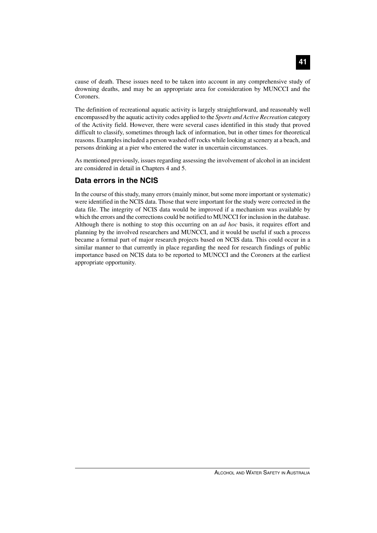cause of death. These issues need to be taken into account in any comprehensive study of drowning deaths, and may be an appropriate area for consideration by MUNCCI and the Coroners.

The definition of recreational aquatic activity is largely straightforward, and reasonably well encompassed by the aquatic activity codes applied to the *Sports and Active Recreation* category of the Activity field. However, there were several cases identified in this study that proved difficult to classify, sometimes through lack of information, but in other times for theoretical reasons. Examples included a person washed off rocks while looking at scenery at a beach, and persons drinking at a pier who entered the water in uncertain circumstances.

As mentioned previously, issues regarding assessing the involvement of alcohol in an incident are considered in detail in Chapters 4 and 5.

### **Data errors in the NCIS**

In the course of this study, many errors (mainly minor, but some more important or systematic) were identified in the NCIS data. Those that were important for the study were corrected in the data file. The integrity of NCIS data would be improved if a mechanism was available by which the errors and the corrections could be notified to MUNCCI for inclusion in the database. Although there is nothing to stop this occurring on an *ad hoc* basis, it requires effort and planning by the involved researchers and MUNCCI, and it would be useful if such a process became a formal part of major research projects based on NCIS data. This could occur in a similar manner to that currently in place regarding the need for research findings of public importance based on NCIS data to be reported to MUNCCI and the Coroners at the earliest appropriate opportunity.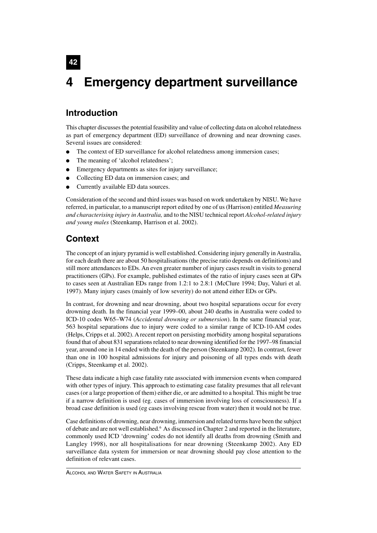# **4 Emergency department surveillance**

# **Introduction**

**42**

This chapter discusses the potential feasibility and value of collecting data on alcohol relatedness as part of emergency department (ED) surveillance of drowning and near drowning cases. Several issues are considered:

- The context of ED surveillance for alcohol relatedness among immersion cases;
- The meaning of 'alcohol relatedness';
- Emergency departments as sites for injury surveillance;
- Collecting ED data on immersion cases; and
- Currently available ED data sources.

Consideration of the second and third issues was based on work undertaken by NISU. We have referred, in particular, to a manuscript report edited by one of us (Harrison) entitled *Measuring and characterising injury in Australia,* and to the NISU technical report *Alcohol-related injury and young males* (Steenkamp, Harrison et al. 2002).

# **Context**

The concept of an injury pyramid is well established. Considering injury generally in Australia, for each death there are about 50 hospitalisations (the precise ratio depends on definitions) and still more attendances to EDs. An even greater number of injury cases result in visits to general practitioners (GPs). For example, published estimates of the ratio of injury cases seen at GPs to cases seen at Australian EDs range from 1.2:1 to 2.8:1 (McClure 1994; Day, Valuri et al. 1997). Many injury cases (mainly of low severity) do not attend either EDs or GPs.

In contrast, for drowning and near drowning, about two hospital separations occur for every drowning death. In the financial year 1999–00, about 240 deaths in Australia were coded to ICD-10 codes W65–W74 (*Accidental drowning or submersion*). In the same financial year, 563 hospital separations due to injury were coded to a similar range of ICD-10-AM codes (Helps, Cripps et al. 2002). A recent report on persisting morbidity among hospital separations found that of about 831 separations related to near drowning identified for the 1997–98 financial year, around one in 14 ended with the death of the person (Steenkamp 2002). In contrast, fewer than one in 100 hospital admissions for injury and poisoning of all types ends with death (Cripps, Steenkamp et al. 2002).

These data indicate a high case fatality rate associated with immersion events when compared with other types of injury. This approach to estimating case fatality presumes that all relevant cases (or a large proportion of them) either die, or are admitted to a hospital. This might be true if a narrow definition is used (eg. cases of immersion involving loss of consciousness). If a broad case definition is used (eg cases involving rescue from water) then it would not be true.

Case definitions of drowning, near drowning, immersion and related terms have been the subject of debate and are not well established.<sup>6</sup> As discussed in Chapter 2 and reported in the literature, commonly used ICD 'drowning' codes do not identify all deaths from drowning (Smith and Langley 1998), nor all hospitalisations for near drowning (Steenkamp 2002). Any ED surveillance data system for immersion or near drowning should pay close attention to the definition of relevant cases.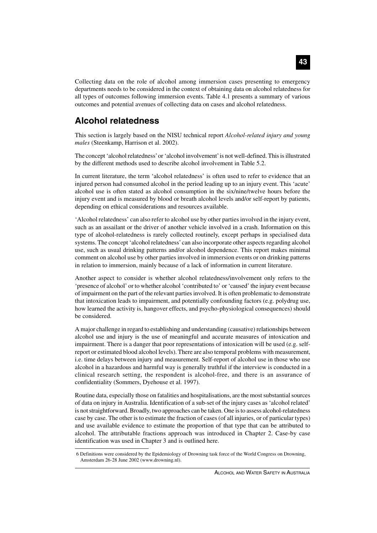Collecting data on the role of alcohol among immersion cases presenting to emergency departments needs to be considered in the context of obtaining data on alcohol relatedness for all types of outcomes following immersion events. Table 4.1 presents a summary of various outcomes and potential avenues of collecting data on cases and alcohol relatedness.

# **Alcohol relatedness**

This section is largely based on the NISU technical report *Alcohol-related injury and young males* (Steenkamp, Harrison et al. 2002).

The concept 'alcohol relatedness' or 'alcohol involvement' is not well-defined. This is illustrated by the different methods used to describe alcohol involvement in Table 5.2.

In current literature, the term 'alcohol relatedness' is often used to refer to evidence that an injured person had consumed alcohol in the period leading up to an injury event. This 'acute' alcohol use is often stated as alcohol consumption in the six/nine/twelve hours before the injury event and is measured by blood or breath alcohol levels and/or self-report by patients, depending on ethical considerations and resources available.

'Alcohol relatedness' can also refer to alcohol use by other parties involved in the injury event, such as an assailant or the driver of another vehicle involved in a crash. Information on this type of alcohol-relatedness is rarely collected routinely, except perhaps in specialised data systems. The concept 'alcohol relatedness' can also incorporate other aspects regarding alcohol use, such as usual drinking patterns and/or alcohol dependence. This report makes minimal comment on alcohol use by other parties involved in immersion events or on drinking patterns in relation to immersion, mainly because of a lack of information in current literature.

Another aspect to consider is whether alcohol relatedness/involvement only refers to the 'presence of alcohol' or to whether alcohol 'contributed to' or 'caused' the injury event because of impairment on the part of the relevant parties involved. It is often problematic to demonstrate that intoxication leads to impairment, and potentially confounding factors (e.g. polydrug use, how learned the activity is, hangover effects, and psycho-physiological consequences) should be considered.

A major challenge in regard to establishing and understanding (causative) relationships between alcohol use and injury is the use of meaningful and accurate measures of intoxication and impairment. There is a danger that poor representations of intoxication will be used (e.g. selfreport or estimated blood alcohol levels). There are also temporal problems with measurement, i.e. time delays between injury and measurement. Self-report of alcohol use in those who use alcohol in a hazardous and harmful way is generally truthful if the interview is conducted in a clinical research setting, the respondent is alcohol-free, and there is an assurance of confidentiality (Sommers, Dyehouse et al. 1997).

Routine data, especially those on fatalities and hospitalisations, are the most substantial sources of data on injury in Australia. Identification of a sub-set of the injury cases as 'alcohol related' is not straightforward. Broadly, two approaches can be taken. One is to assess alcohol-relatedness case by case. The other is to estimate the fraction of cases (of all injuries, or of particular types) and use available evidence to estimate the proportion of that type that can be attributed to alcohol. The attributable fractions approach was introduced in Chapter 2. Case-by case identification was used in Chapter 3 and is outlined here.

<sup>6</sup> Definitions were considered by the Epidemiology of Drowning task force of the World Congress on Drowning, Amsterdam 26-28 June 2002 (www.drowning.nl).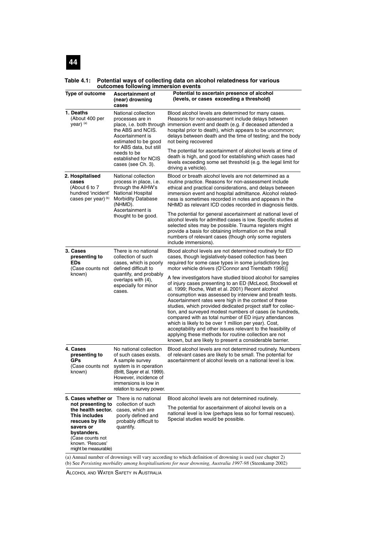#### **Table 4.1: Potential ways of collecting data on alcohol relatedness for various outcomes following immersion events**

| Type of outcome                                                                                                                                                         | <b>Ascertainment of</b><br>(near) drowning<br>cases                                                                                                                                                       | Potential to ascertain presence of alcohol<br>(levels, or cases exceeding a threshold)                                                                                                                                                                                                                                                                                                                                                                                                                                                                                                                                                                                                                                               |  |
|-------------------------------------------------------------------------------------------------------------------------------------------------------------------------|-----------------------------------------------------------------------------------------------------------------------------------------------------------------------------------------------------------|--------------------------------------------------------------------------------------------------------------------------------------------------------------------------------------------------------------------------------------------------------------------------------------------------------------------------------------------------------------------------------------------------------------------------------------------------------------------------------------------------------------------------------------------------------------------------------------------------------------------------------------------------------------------------------------------------------------------------------------|--|
| 1. Deaths<br>(About 400 per<br>year) (a)                                                                                                                                | National collection<br>processes are in<br>place, i.e. both through<br>the ABS and NCIS.<br>Ascertainment is<br>estimated to be good                                                                      | Blood alcohol levels are determined for many cases.<br>Reasons for non-assessment include delays between<br>immersion event and death (e.g. if deceased attended a<br>hospital prior to death), which appears to be uncommon;<br>delays between death and the time of testing; and the body<br>not being recovered                                                                                                                                                                                                                                                                                                                                                                                                                   |  |
|                                                                                                                                                                         | for ABS data, but still<br>needs to be<br>established for NCIS<br>cases (see Ch. 3).                                                                                                                      | The potential for ascertainment of alcohol levels at time of<br>death is high, and good for establishing which cases had<br>levels exceeding some set threshold (e.g. the legal limit for<br>driving a vehicle).                                                                                                                                                                                                                                                                                                                                                                                                                                                                                                                     |  |
| 2. Hospitalised<br>cases<br>(About 6 to 7<br>hundred 'incident'<br>cases per year) (b)                                                                                  | National collection<br>process in place, i.e.<br>through the AIHW's<br>National Hospital<br><b>Morbidity Database</b><br>(NHMD).                                                                          | Blood or breath alcohol levels are not determined as a<br>routine practice. Reasons for non-assessment include<br>ethical and practical considerations, and delays between<br>immersion event and hospital admittance. Alcohol related-<br>ness is sometimes recorded in notes and appears in the<br>NHMD as relevant ICD codes recorded in diagnosis fields.                                                                                                                                                                                                                                                                                                                                                                        |  |
|                                                                                                                                                                         | Ascertainment is<br>thought to be good.                                                                                                                                                                   | The potential for general ascertainment at national level of<br>alcohol levels for admitted cases is low. Specific studies at<br>selected sites may be possible. Trauma registers might<br>provide a basis for obtaining information on the small<br>numbers of relevant cases (though only some registers<br>include immersions).                                                                                                                                                                                                                                                                                                                                                                                                   |  |
| 3. Cases<br>presenting to<br><b>EDs</b><br>(Case counts not                                                                                                             | There is no national<br>collection of such<br>cases, which is poorly<br>defined difficult to                                                                                                              | Blood alcohol levels are not determined routinely for ED<br>cases, though legislatively-based collection has been<br>required for some case types in some jurisdictions [eg<br>motor vehicle drivers (O'Connor and Trembath 1995)]                                                                                                                                                                                                                                                                                                                                                                                                                                                                                                   |  |
| known)<br>quantify, and probably<br>overlaps with (4),<br>especially for minor<br>cases.                                                                                |                                                                                                                                                                                                           | A few investigators have studied blood alcohol for samples<br>of injury cases presenting to an ED (McLeod, Stockwell et<br>al. 1999; Roche, Watt et al. 2001) Recent alcohol<br>consumption was assessed by interview and breath tests.<br>Ascertainment rates were high in the context of these<br>studies, which provided dedicated project staff for collec-<br>tion, and surveyed modest numbers of cases (ie hundreds,<br>compared with as total number of ED injury attendances<br>which is likely to be over 1 million per year). Cost,<br>acceptability and other issues relevant to the feasibility of<br>applying these methods for routine collection are not<br>known, but are likely to present a considerable barrier. |  |
| 4. Cases<br>presenting to<br>GPs<br>(Case counts not<br>known)                                                                                                          | No national collection<br>of such cases exists.<br>A sample survey<br>system is in operation<br>(Britt, Sayer et al. 1999).<br>However, incidence of<br>immersions is low in<br>relation to survey power. | Blood alcohol levels are not determined routinely. Numbers<br>of relevant cases are likely to be small. The potential for<br>ascertainment of alcohol levels on a national level is low.                                                                                                                                                                                                                                                                                                                                                                                                                                                                                                                                             |  |
| 5. Cases whether or                                                                                                                                                     | There is no national                                                                                                                                                                                      | Blood alcohol levels are not determined routinely.                                                                                                                                                                                                                                                                                                                                                                                                                                                                                                                                                                                                                                                                                   |  |
| not presenting to<br>the health sector.<br>This includes<br>rescues by life<br>savers or<br>bystanders.<br>(Case counts not<br>known. 'Rescues'<br>might be measurable) | collection of such<br>cases, which are<br>poorly defined and<br>probably difficult to<br>quantify.                                                                                                        | The potential for ascertainment of alcohol levels on a<br>national level is low (perhaps less so for formal rescues).<br>Special studies would be possible.                                                                                                                                                                                                                                                                                                                                                                                                                                                                                                                                                                          |  |
| (a) Annual number of drownings will vary according to which definition of drowning is used (see chapter 2)                                                              |                                                                                                                                                                                                           |                                                                                                                                                                                                                                                                                                                                                                                                                                                                                                                                                                                                                                                                                                                                      |  |

(b) See *Persisting morbidity among hospitalisations for near drowning, Australia 1997-98* (Steenkamp 2002)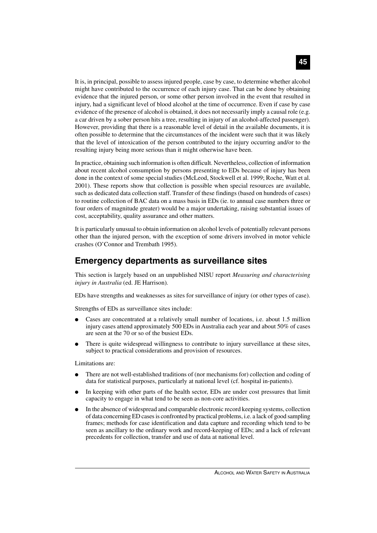It is, in principal, possible to assess injured people, case by case, to determine whether alcohol might have contributed to the occurrence of each injury case. That can be done by obtaining evidence that the injured person, or some other person involved in the event that resulted in injury, had a significant level of blood alcohol at the time of occurrence. Even if case by case evidence of the presence of alcohol is obtained, it does not necessarily imply a causal role (e.g. a car driven by a sober person hits a tree, resulting in injury of an alcohol-affected passenger). However, providing that there is a reasonable level of detail in the available documents, it is often possible to determine that the circumstances of the incident were such that it was likely that the level of intoxication of the person contributed to the injury occurring and/or to the resulting injury being more serious than it might otherwise have been.

In practice, obtaining such information is often difficult. Nevertheless, collection of information about recent alcohol consumption by persons presenting to EDs because of injury has been done in the context of some special studies (McLeod, Stockwell et al. 1999; Roche, Watt et al. 2001). These reports show that collection is possible when special resources are available, such as dedicated data collection staff. Transfer of these findings (based on hundreds of cases) to routine collection of BAC data on a mass basis in EDs (ie. to annual case numbers three or four orders of magnitude greater) would be a major undertaking, raising substantial issues of cost, acceptability, quality assurance and other matters.

It is particularly unusual to obtain information on alcohol levels of potentially relevant persons other than the injured person, with the exception of some drivers involved in motor vehicle crashes (O'Connor and Trembath 1995).

# **Emergency departments as surveillance sites**

This section is largely based on an unpublished NISU report *Measuring and characterising injury in Australia* (ed. JE Harrison)*.*

EDs have strengths and weaknesses as sites for surveillance of injury (or other types of case).

Strengths of EDs as surveillance sites include:

- Cases are concentrated at a relatively small number of locations, i.e. about 1.5 million injury cases attend approximately 500 EDs in Australia each year and about 50% of cases are seen at the 70 or so of the busiest EDs.
- There is quite widespread willingness to contribute to injury surveillance at these sites, subject to practical considerations and provision of resources.

Limitations are:

- There are not well-established traditions of (nor mechanisms for) collection and coding of data for statistical purposes, particularly at national level (cf. hospital in-patients).
- In keeping with other parts of the health sector, EDs are under cost pressures that limit capacity to engage in what tend to be seen as non-core activities.
- In the absence of widespread and comparable electronic record keeping systems, collection of data concerning ED cases is confronted by practical problems, i.e. a lack of good sampling frames; methods for case identification and data capture and recording which tend to be seen as ancillary to the ordinary work and record-keeping of EDs; and a lack of relevant precedents for collection, transfer and use of data at national level.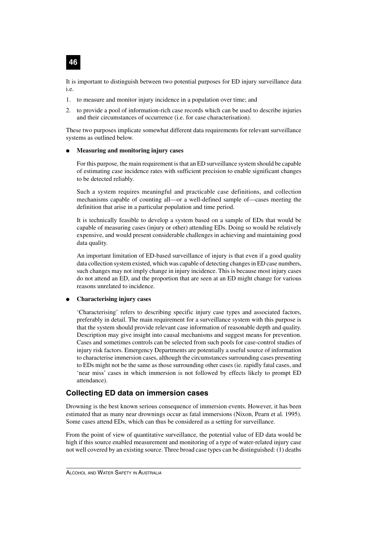

It is important to distinguish between two potential purposes for ED injury surveillance data i.e.

- 1. to measure and monitor injury incidence in a population over time; and
- 2. to provide a pool of information-rich case records which can be used to describe injuries and their circumstances of occurrence (i.e. for case characterisation).

These two purposes implicate somewhat different data requirements for relevant surveillance systems as outlined below.

#### ● **Measuring and monitoring injury cases**

For this purpose, the main requirement is that an ED surveillance system should be capable of estimating case incidence rates with sufficient precision to enable significant changes to be detected reliably.

Such a system requires meaningful and practicable case definitions, and collection mechanisms capable of counting all—or a well-defined sample of—cases meeting the definition that arise in a particular population and time period.

It is technically feasible to develop a system based on a sample of EDs that would be capable of measuring cases (injury or other) attending EDs. Doing so would be relatively expensive, and would present considerable challenges in achieving and maintaining good data quality.

An important limitation of ED-based surveillance of injury is that even if a good quality data collection system existed, which was capable of detecting changes in ED case numbers, such changes may not imply change in injury incidence. This is because most injury cases do not attend an ED, and the proportion that are seen at an ED might change for various reasons unrelated to incidence.

#### ● **Characterising injury cases**

'Characterising' refers to describing specific injury case types and associated factors, preferably in detail. The main requirement for a surveillance system with this purpose is that the system should provide relevant case information of reasonable depth and quality. Description may give insight into causal mechanisms and suggest means for prevention. Cases and sometimes controls can be selected from such pools for case-control studies of injury risk factors. Emergency Departments are potentially a useful source of information to characterise immersion cases, although the circumstances surrounding cases presenting to EDs might not be the same as those surrounding other cases (ie. rapidly fatal cases, and 'near miss' cases in which immersion is not followed by effects likely to prompt ED attendance).

### **Collecting ED data on immersion cases**

Drowning is the best known serious consequence of immersion events. However, it has been estimated that as many near drownings occur as fatal immersions (Nixon, Pearn et al. 1995). Some cases attend EDs, which can thus be considered as a setting for surveillance.

From the point of view of quantitative surveillance, the potential value of ED data would be high if this source enabled measurement and monitoring of a type of water-related injury case not well covered by an existing source. Three broad case types can be distinguished: (1) deaths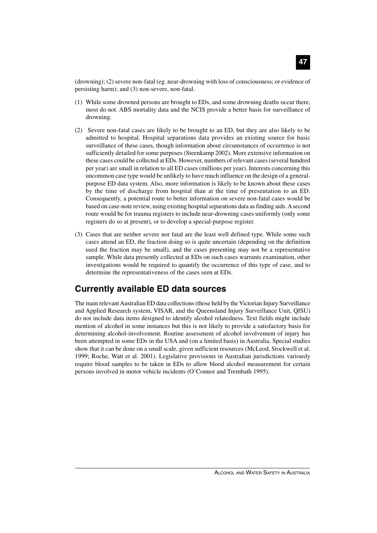(drowning); (2) severe non-fatal (eg. near-drowning with loss of consciousness; or evidence of persisting harm); and (3) non-severe, non-fatal.

- (1) While some drowned persons are brought to EDs, and some drowning deaths occur there, most do not. ABS mortality data and the NCIS provide a better basis for surveillance of drowning.
- (2) Severe non-fatal cases are likely to be brought to an ED, but they are also likely to be admitted to hospital. Hospital separations data provides an existing source for basic surveillance of these cases, though information about circumstances of occurrence is not sufficiently detailed for some purposes (Steenkamp 2002). More extensive information on these cases could be collected at EDs. However, numbers of relevant cases (several hundred per year) are small in relation to all ED cases (millions per year). Interests concerning this uncommon case type would be unlikely to have much influence on the design of a generalpurpose ED data system. Also, more information is likely to be known about these cases by the time of discharge from hospital than at the time of presentation to an ED. Consequently, a potential route to better information on severe non-fatal cases would be based on case-note review, using existing hospital separations data as finding aids. A second route would be for trauma registers to include near-drowning cases uniformly (only some registers do so at present), or to develop a special-purpose register.
- (3) Cases that are neither severe nor fatal are the least well defined type. While some such cases attend an ED, the fraction doing so is quite uncertain (depending on the definition used the fraction may be small), and the cases presenting may not be a representative sample. While data presently collected at EDs on such cases warrants examination, other investigations would be required to quantify the occurrence of this type of case, and to determine the representativeness of the cases seen at EDs.

# **Currently available ED data sources**

The main relevant Australian ED data collections (those held by the Victorian Injury Surveillance and Applied Research system, VISAR, and the Queensland Injury Surveillance Unit, QISU) do not include data items designed to identify alcohol relatedness. Text fields might include mention of alcohol in some instances but this is not likely to provide a satisfactory basis for determining alcohol-involvement. Routine assessment of alcohol involvement of injury has been attempted in some EDs in the USA and (on a limited basis) in Australia. Special studies show that it can be done on a small scale, given sufficient resources (McLeod, Stockwell et al. 1999; Roche, Watt et al. 2001). Legislative provisions in Australian jurisdictions variously require blood samples to be taken in EDs to allow blood alcohol measurement for certain persons involved in motor vehicle incidents (O'Connor and Trembath 1995).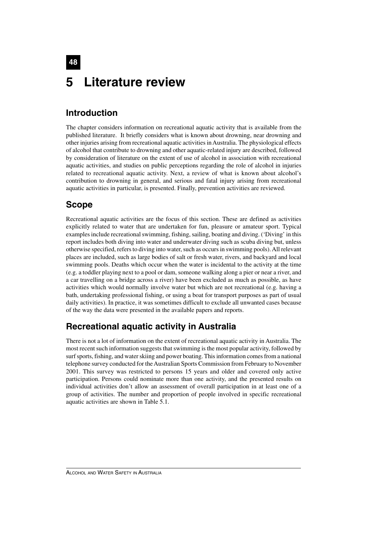# **48 5 Literature review**

# **Introduction**

The chapter considers information on recreational aquatic activity that is available from the published literature. It briefly considers what is known about drowning, near drowning and other injuries arising from recreational aquatic activities in Australia. The physiological effects of alcohol that contribute to drowning and other aquatic-related injury are described, followed by consideration of literature on the extent of use of alcohol in association with recreational aquatic activities, and studies on public perceptions regarding the role of alcohol in injuries related to recreational aquatic activity. Next, a review of what is known about alcohol's contribution to drowning in general, and serious and fatal injury arising from recreational aquatic activities in particular, is presented. Finally, prevention activities are reviewed.

# **Scope**

Recreational aquatic activities are the focus of this section. These are defined as activities explicitly related to water that are undertaken for fun, pleasure or amateur sport. Typical examples include recreational swimming, fishing, sailing, boating and diving. ('Diving' in this report includes both diving into water and underwater diving such as scuba diving but, unless otherwise specified, refers to diving into water, such as occurs in swimming pools). All relevant places are included, such as large bodies of salt or fresh water, rivers, and backyard and local swimming pools. Deaths which occur when the water is incidental to the activity at the time (e.g. a toddler playing next to a pool or dam, someone walking along a pier or near a river, and a car travelling on a bridge across a river) have been excluded as much as possible, as have activities which would normally involve water but which are not recreational (e.g. having a bath, undertaking professional fishing, or using a boat for transport purposes as part of usual daily activities). In practice, it was sometimes difficult to exclude all unwanted cases because of the way the data were presented in the available papers and reports.

# **Recreational aquatic activity in Australia**

There is not a lot of information on the extent of recreational aquatic activity in Australia. The most recent such information suggests that swimming is the most popular activity, followed by surf sports, fishing, and water skiing and power boating. This information comes from a national telephone survey conducted for the Australian Sports Commission from February to November 2001. This survey was restricted to persons 15 years and older and covered only active participation. Persons could nominate more than one activity, and the presented results on individual activities don't allow an assessment of overall participation in at least one of a group of activities. The number and proportion of people involved in specific recreational aquatic activities are shown in Table 5.1.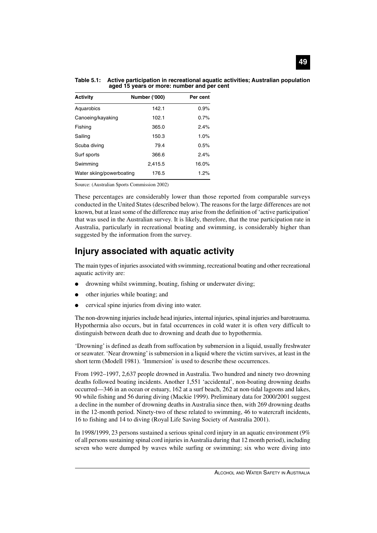| <b>Activity</b>           | Number ('000) | Per cent |
|---------------------------|---------------|----------|
| Aquarobics                | 142.1         | 0.9%     |
| Canoeing/kayaking         | 102.1         | 0.7%     |
| Fishing                   | 365.0         | 2.4%     |
| Sailing                   | 150.3         | 1.0%     |
| Scuba diving              | 79.4          | 0.5%     |
| Surf sports               | 366.6         | 2.4%     |
| Swimming                  | 2,415.5       | 16.0%    |
| Water skiing/powerboating | 176.5         | 1.2%     |

**Table 5.1: Active participation in recreational aquatic activities; Australian population aged 15 years or more: number and per cent**

Source: (Australian Sports Commission 2002)

These percentages are considerably lower than those reported from comparable surveys conducted in the United States (described below). The reasons for the large differences are not known, but at least some of the difference may arise from the definition of 'active participation' that was used in the Australian survey. It is likely, therefore, that the true participation rate in Australia, particularly in recreational boating and swimming, is considerably higher than suggested by the information from the survey.

# **Injury associated with aquatic activity**

The main types of injuries associated with swimming, recreational boating and other recreational aquatic activity are:

- drowning whilst swimming, boating, fishing or underwater diving;
- other injuries while boating; and
- cervical spine injuries from diving into water.

The non-drowning injuries include head injuries, internal injuries, spinal injuries and barotrauma. Hypothermia also occurs, but in fatal occurrences in cold water it is often very difficult to distinguish between death due to drowning and death due to hypothermia.

'Drowning' is defined as death from suffocation by submersion in a liquid, usually freshwater or seawater. 'Near drowning' is submersion in a liquid where the victim survives, at least in the short term (Modell 1981). 'Immersion' is used to describe these occurrences.

From 1992–1997, 2,637 people drowned in Australia. Two hundred and ninety two drowning deaths followed boating incidents. Another 1,551 'accidental', non-boating drowning deaths occurred—346 in an ocean or estuary, 162 at a surf beach, 262 at non-tidal lagoons and lakes, 90 while fishing and 56 during diving (Mackie 1999). Preliminary data for 2000/2001 suggest a decline in the number of drowning deaths in Australia since then, with 269 drowning deaths in the 12-month period. Ninety-two of these related to swimming, 46 to watercraft incidents, 16 to fishing and 14 to diving (Royal Life Saving Society of Australia 2001).

In 1998/1999, 23 persons sustained a serious spinal cord injury in an aquatic environment (9% of all persons sustaining spinal cord injuries in Australia during that 12 month period), including seven who were dumped by waves while surfing or swimming; six who were diving into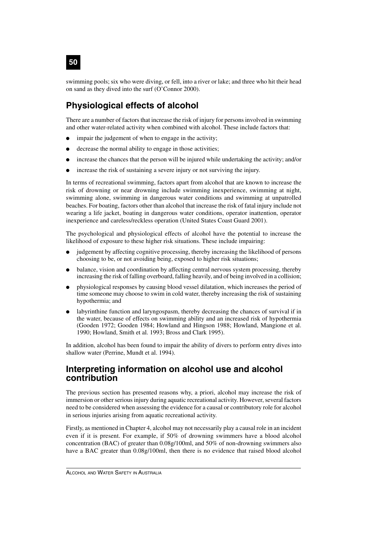swimming pools; six who were diving, or fell, into a river or lake; and three who hit their head on sand as they dived into the surf (O'Connor 2000).

# **Physiological effects of alcohol**

There are a number of factors that increase the risk of injury for persons involved in swimming and other water-related activity when combined with alcohol. These include factors that:

- impair the judgement of when to engage in the activity;
- decrease the normal ability to engage in those activities;
- increase the chances that the person will be injured while undertaking the activity; and/or
- increase the risk of sustaining a severe injury or not surviving the injury.

In terms of recreational swimming, factors apart from alcohol that are known to increase the risk of drowning or near drowning include swimming inexperience, swimming at night, swimming alone, swimming in dangerous water conditions and swimming at unpatrolled beaches. For boating, factors other than alcohol that increase the risk of fatal injury include not wearing a life jacket, boating in dangerous water conditions, operator inattention, operator inexperience and careless/reckless operation (United States Coast Guard 2001).

The psychological and physiological effects of alcohol have the potential to increase the likelihood of exposure to these higher risk situations. These include impairing:

- judgement by affecting cognitive processing, thereby increasing the likelihood of persons choosing to be, or not avoiding being, exposed to higher risk situations;
- balance, vision and coordination by affecting central nervous system processing, thereby increasing the risk of falling overboard, falling heavily, and of being involved in a collision;
- physiological responses by causing blood vessel dilatation, which increases the period of time someone may choose to swim in cold water, thereby increasing the risk of sustaining hypothermia; and
- labyrinthine function and laryngospasm, thereby decreasing the chances of survival if in the water, because of effects on swimming ability and an increased risk of hypothermia (Gooden 1972; Gooden 1984; Howland and Hingson 1988; Howland, Mangione et al. 1990; Howland, Smith et al. 1993; Bross and Clark 1995).

In addition, alcohol has been found to impair the ability of divers to perform entry dives into shallow water (Perrine, Mundt et al. 1994).

# **Interpreting information on alcohol use and alcohol contribution**

The previous section has presented reasons why, a priori, alcohol may increase the risk of immersion or other serious injury during aquatic recreational activity. However, several factors need to be considered when assessing the evidence for a causal or contributory role for alcohol in serious injuries arising from aquatic recreational activity.

Firstly, as mentioned in Chapter 4, alcohol may not necessarily play a causal role in an incident even if it is present. For example, if 50% of drowning swimmers have a blood alcohol concentration (BAC) of greater than 0.08g/100ml, and 50% of non-drowning swimmers also have a BAC greater than 0.08g/100ml, then there is no evidence that raised blood alcohol

**50**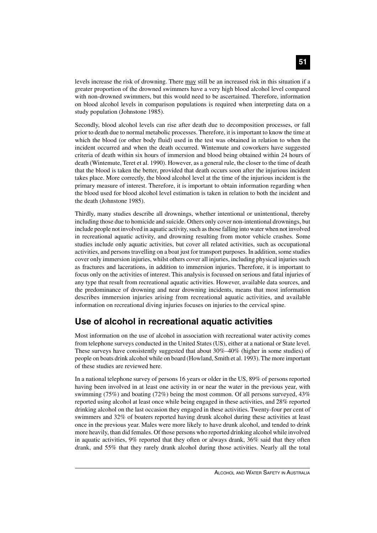levels increase the risk of drowning. There may still be an increased risk in this situation if a greater proportion of the drowned swimmers have a very high blood alcohol level compared with non-drowned swimmers, but this would need to be ascertained. Therefore, information on blood alcohol levels in comparison populations is required when interpreting data on a study population (Johnstone 1985).

Secondly, blood alcohol levels can rise after death due to decomposition processes, or fall prior to death due to normal metabolic processes. Therefore, it is important to know the time at which the blood (or other body fluid) used in the test was obtained in relation to when the incident occurred and when the death occurred. Wintemute and coworkers have suggested criteria of death within six hours of immersion and blood being obtained within 24 hours of death (Wintemute, Teret et al. 1990). However, as a general rule, the closer to the time of death that the blood is taken the better, provided that death occurs soon after the injurious incident takes place. More correctly, the blood alcohol level at the time of the injurious incident is the primary measure of interest. Therefore, it is important to obtain information regarding when the blood used for blood alcohol level estimation is taken in relation to both the incident and the death (Johnstone 1985).

Thirdly, many studies describe all drownings, whether intentional or unintentional, thereby including those due to homicide and suicide. Others only cover non-intentional drownings, but include people not involved in aquatic activity, such as those falling into water when not involved in recreational aquatic activity, and drowning resulting from motor vehicle crashes. Some studies include only aquatic activities, but cover all related activities, such as occupational activities, and persons travelling on a boat just for transport purposes. In addition, some studies cover only immersion injuries, whilst others cover all injuries, including physical injuries such as fractures and lacerations, in addition to immersion injuries. Therefore, it is important to focus only on the activities of interest. This analysis is focussed on serious and fatal injuries of any type that result from recreational aquatic activities. However, available data sources, and the predominance of drowning and near drowning incidents, means that most information describes immersion injuries arising from recreational aquatic activities, and available information on recreational diving injuries focuses on injuries to the cervical spine.

# **Use of alcohol in recreational aquatic activities**

Most information on the use of alcohol in association with recreational water activity comes from telephone surveys conducted in the United States (US), either at a national or State level. These surveys have consistently suggested that about 30%–40% (higher in some studies) of people on boats drink alcohol while on board (Howland, Smith et al. 1993). The more important of these studies are reviewed here.

In a national telephone survey of persons 16 years or older in the US, 89% of persons reported having been involved in at least one activity in or near the water in the previous year, with swimming (75%) and boating (72%) being the most common. Of all persons surveyed, 43% reported using alcohol at least once while being engaged in these activities, and 28% reported drinking alcohol on the last occasion they engaged in these activities. Twenty-four per cent of swimmers and 32% of boaters reported having drunk alcohol during these activities at least once in the previous year. Males were more likely to have drunk alcohol, and tended to drink more heavily, than did females. Of those persons who reported drinking alcohol while involved in aquatic activities, 9% reported that they often or always drank, 36% said that they often drank, and 55% that they rarely drank alcohol during those activities. Nearly all the total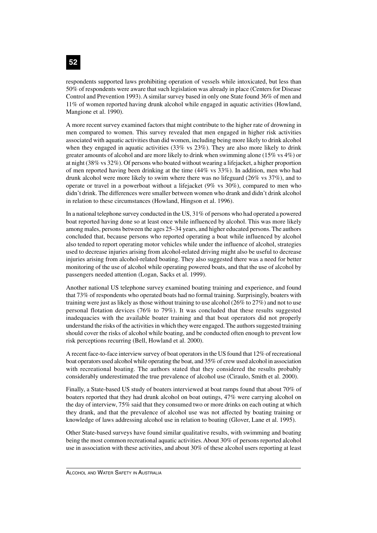respondents supported laws prohibiting operation of vessels while intoxicated, but less than 50% of respondents were aware that such legislation was already in place (Centers for Disease Control and Prevention 1993). A similar survey based in only one State found 36% of men and 11% of women reported having drunk alcohol while engaged in aquatic activities (Howland, Mangione et al. 1990).

A more recent survey examined factors that might contribute to the higher rate of drowning in men compared to women. This survey revealed that men engaged in higher risk activities associated with aquatic activities than did women, including being more likely to drink alcohol when they engaged in aquatic activities  $(33\% \text{ vs } 23\%)$ . They are also more likely to drink greater amounts of alcohol and are more likely to drink when swimming alone (15% vs 4%) or at night (38% vs 32%). Of persons who boated without wearing a lifejacket, a higher proportion of men reported having been drinking at the time (44% vs 33%). In addition, men who had drunk alcohol were more likely to swim where there was no lifeguard (26% vs 37%), and to operate or travel in a powerboat without a lifejacket (9% vs 30%), compared to men who didn't drink. The differences were smaller between women who drank and didn't drink alcohol in relation to these circumstances (Howland, Hingson et al. 1996).

In a national telephone survey conducted in the US, 31% of persons who had operated a powered boat reported having done so at least once while influenced by alcohol. This was more likely among males, persons between the ages 25–34 years, and higher educated persons. The authors concluded that, because persons who reported operating a boat while influenced by alcohol also tended to report operating motor vehicles while under the influence of alcohol, strategies used to decrease injuries arising from alcohol-related driving might also be useful to decrease injuries arising from alcohol-related boating. They also suggested there was a need for better monitoring of the use of alcohol while operating powered boats, and that the use of alcohol by passengers needed attention (Logan, Sacks et al. 1999).

Another national US telephone survey examined boating training and experience, and found that 73% of respondents who operated boats had no formal training. Surprisingly, boaters with training were just as likely as those without training to use alcohol (26% to 27%) and not to use personal flotation devices (76% to 79%). It was concluded that these results suggested inadequacies with the available boater training and that boat operators did not properly understand the risks of the activities in which they were engaged. The authors suggested training should cover the risks of alcohol while boating, and be conducted often enough to prevent low risk perceptions recurring (Bell, Howland et al. 2000).

A recent face-to-face interview survey of boat operators in the US found that 12% of recreational boat operators used alcohol while operating the boat, and 35% of crew used alcohol in association with recreational boating. The authors stated that they considered the results probably considerably underestimated the true prevalence of alcohol use (Ciraulo, Smith et al. 2000).

Finally, a State-based US study of boaters interviewed at boat ramps found that about 70% of boaters reported that they had drunk alcohol on boat outings, 47% were carrying alcohol on the day of interview, 75% said that they consumed two or more drinks on each outing at which they drank, and that the prevalence of alcohol use was not affected by boating training or knowledge of laws addressing alcohol use in relation to boating (Glover, Lane et al. 1995).

Other State-based surveys have found similar qualitative results, with swimming and boating being the most common recreational aquatic activities. About 30% of persons reported alcohol use in association with these activities, and about 30% of these alcohol users reporting at least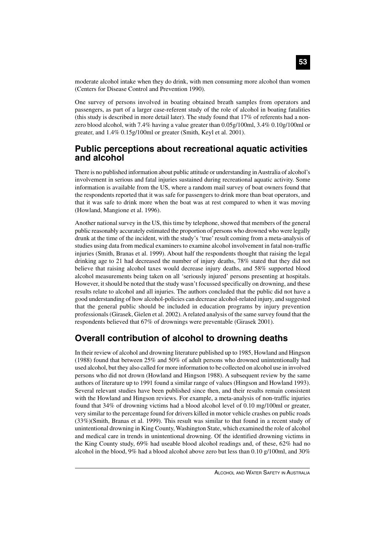moderate alcohol intake when they do drink, with men consuming more alcohol than women (Centers for Disease Control and Prevention 1990).

One survey of persons involved in boating obtained breath samples from operators and passengers, as part of a larger case-referent study of the role of alcohol in boating fatalities (this study is described in more detail later). The study found that 17% of referents had a nonzero blood alcohol, with 7.4% having a value greater than 0.05g/100ml, 3.4% 0.10g/100ml or greater, and 1.4% 0.15g/100ml or greater (Smith, Keyl et al. 2001).

# **Public perceptions about recreational aquatic activities and alcohol**

There is no published information about public attitude or understanding in Australia of alcohol's involvement in serious and fatal injuries sustained during recreational aquatic activity. Some information is available from the US, where a random mail survey of boat owners found that the respondents reported that it was safe for passengers to drink more than boat operators, and that it was safe to drink more when the boat was at rest compared to when it was moving (Howland, Mangione et al. 1996).

Another national survey in the US, this time by telephone, showed that members of the general public reasonably accurately estimated the proportion of persons who drowned who were legally drunk at the time of the incident, with the study's 'true' result coming from a meta-analysis of studies using data from medical examiners to examine alcohol involvement in fatal non-traffic injuries (Smith, Branas et al. 1999). About half the respondents thought that raising the legal drinking age to 21 had decreased the number of injury deaths, 78% stated that they did not believe that raising alcohol taxes would decrease injury deaths, and 58% supported blood alcohol measurements being taken on all 'seriously injured' persons presenting at hospitals. However, it should be noted that the study wasn't focussed specifically on drowning, and these results relate to alcohol and all injuries. The authors concluded that the public did not have a good understanding of how alcohol-policies can decrease alcohol-related injury, and suggested that the general public should be included in education programs by injury prevention professionals (Girasek, Gielen et al. 2002). A related analysis of the same survey found that the respondents believed that 67% of drownings were preventable (Girasek 2001).

# **Overall contribution of alcohol to drowning deaths**

In their review of alcohol and drowning literature published up to 1985, Howland and Hingson (1988) found that between 25% and 50% of adult persons who drowned unintentionally had used alcohol, but they also called for more information to be collected on alcohol use in involved persons who did not drown (Howland and Hingson 1988). A subsequent review by the same authors of literature up to 1991 found a similar range of values (Hingson and Howland 1993). Several relevant studies have been published since then, and their results remain consistent with the Howland and Hingson reviews. For example, a meta-analysis of non-traffic injuries found that 34% of drowning victims had a blood alcohol level of 0.10 mg/100ml or greater, very similar to the percentage found for drivers killed in motor vehicle crashes on public roads (33%)(Smith, Branas et al. 1999). This result was similar to that found in a recent study of unintentional drowning in King County, Washington State, which examined the role of alcohol and medical care in trends in unintentional drowning. Of the identified drowning victims in the King County study, 69% had useable blood alcohol readings and, of these, 62% had no alcohol in the blood, 9% had a blood alcohol above zero but less than 0.10  $g/100$ ml, and 30%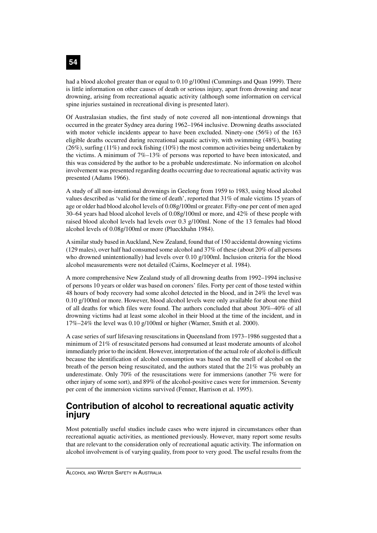had a blood alcohol greater than or equal to 0.10 g/100ml (Cummings and Quan 1999). There is little information on other causes of death or serious injury, apart from drowning and near drowning, arising from recreational aquatic activity (although some information on cervical spine injuries sustained in recreational diving is presented later).

Of Australasian studies, the first study of note covered all non-intentional drownings that occurred in the greater Sydney area during 1962–1964 inclusive. Drowning deaths associated with motor vehicle incidents appear to have been excluded. Ninety-one (56%) of the 163 eligible deaths occurred during recreational aquatic activity, with swimming (48%), boating (26%), surfing (11%) and rock fishing (10%) the most common activities being undertaken by the victims. A minimum of 7%–13% of persons was reported to have been intoxicated, and this was considered by the author to be a probable underestimate. No information on alcohol involvement was presented regarding deaths occurring due to recreational aquatic activity was presented (Adams 1966).

A study of all non-intentional drownings in Geelong from 1959 to 1983, using blood alcohol values described as 'valid for the time of death', reported that 31% of male victims 15 years of age or older had blood alcohol levels of 0.08g/100ml or greater. Fifty-one per cent of men aged 30–64 years had blood alcohol levels of 0.08g/100ml or more, and 42% of these people with raised blood alcohol levels had levels over 0.3 g/100ml. None of the 13 females had blood alcohol levels of 0.08g/100ml or more (Plueckhahn 1984).

A similar study based in Auckland, New Zealand, found that of 150 accidental drowning victims (129 males), over half had consumed some alcohol and 37% of these (about 20% of all persons who drowned unintentionally) had levels over 0.10 g/100ml. Inclusion criteria for the blood alcohol measurements were not detailed (Cairns, Koelmeyer et al. 1984).

A more comprehensive New Zealand study of all drowning deaths from 1992–1994 inclusive of persons 10 years or older was based on coroners' files. Forty per cent of those tested within 48 hours of body recovery had some alcohol detected in the blood, and in 24% the level was 0.10 g/100ml or more. However, blood alcohol levels were only available for about one third of all deaths for which files were found. The authors concluded that about 30%–40% of all drowning victims had at least some alcohol in their blood at the time of the incident, and in 17%–24% the level was 0.10 g/100ml or higher (Warner, Smith et al. 2000).

A case series of surf lifesaving resuscitations in Queensland from 1973–1986 suggested that a minimum of 21% of resuscitated persons had consumed at least moderate amounts of alcohol immediately prior to the incident. However, interpretation of the actual role of alcohol is difficult because the identification of alcohol consumption was based on the smell of alcohol on the breath of the person being resuscitated, and the authors stated that the 21% was probably an underestimate. Only 70% of the resuscitations were for immersions (another 7% were for other injury of some sort), and 89% of the alcohol-positive cases were for immersion. Seventy per cent of the immersion victims survived (Fenner, Harrison et al. 1995).

# **Contribution of alcohol to recreational aquatic activity injury**

Most potentially useful studies include cases who were injured in circumstances other than recreational aquatic activities, as mentioned previously. However, many report some results that are relevant to the consideration only of recreational aquatic activity. The information on alcohol involvement is of varying quality, from poor to very good. The useful results from the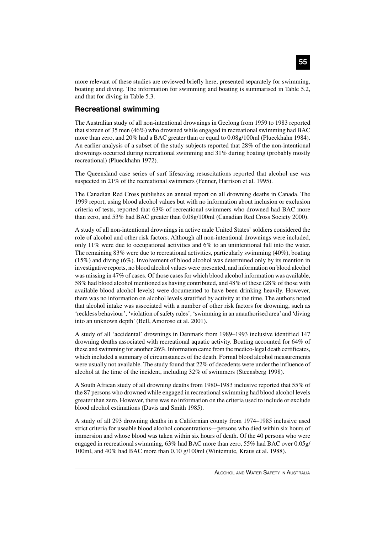more relevant of these studies are reviewed briefly here, presented separately for swimming, boating and diving. The information for swimming and boating is summarised in Table 5.2, and that for diving in Table 5.3.

### **Recreational swimming**

The Australian study of all non-intentional drownings in Geelong from 1959 to 1983 reported that sixteen of 35 men (46%) who drowned while engaged in recreational swimming had BAC more than zero, and 20% had a BAC greater than or equal to 0.08g/100ml (Plueckhahn 1984). An earlier analysis of a subset of the study subjects reported that 28% of the non-intentional drownings occurred during recreational swimming and 31% during boating (probably mostly recreational) (Plueckhahn 1972).

The Queensland case series of surf lifesaving resuscitations reported that alcohol use was suspected in 21% of the recreational swimmers (Fenner, Harrison et al. 1995).

The Canadian Red Cross publishes an annual report on all drowning deaths in Canada. The 1999 report, using blood alcohol values but with no information about inclusion or exclusion criteria of tests, reported that 63% of recreational swimmers who drowned had BAC more than zero, and 53% had BAC greater than 0.08g/100ml (Canadian Red Cross Society 2000).

A study of all non-intentional drownings in active male United States' soldiers considered the role of alcohol and other risk factors. Although all non-intentional drownings were included, only 11% were due to occupational activities and 6% to an unintentional fall into the water. The remaining 83% were due to recreational activities, particularly swimming (40%), boating (15%) and diving (6%). Involvement of blood alcohol was determined only by its mention in investigative reports, no blood alcohol values were presented, and information on blood alcohol was missing in 47% of cases. Of those cases for which blood alcohol information was available, 58% had blood alcohol mentioned as having contributed, and 48% of these (28% of those with available blood alcohol levels) were documented to have been drinking heavily. However, there was no information on alcohol levels stratified by activity at the time. The authors noted that alcohol intake was associated with a number of other risk factors for drowning, such as 'reckless behaviour', 'violation of safety rules', 'swimming in an unauthorised area' and 'diving into an unknown depth' (Bell, Amoroso et al. 2001).

A study of all 'accidental' drownings in Denmark from 1989–1993 inclusive identified 147 drowning deaths associated with recreational aquatic activity. Boating accounted for 64% of these and swimming for another 26%. Information came from the medico-legal death certificates, which included a summary of circumstances of the death. Formal blood alcohol measurements were usually not available. The study found that 22% of decedents were under the influence of alcohol at the time of the incident, including 32% of swimmers (Steensberg 1998).

A South African study of all drowning deaths from 1980–1983 inclusive reported that 55% of the 87 persons who drowned while engaged in recreational swimming had blood alcohol levels greater than zero. However, there was no information on the criteria used to include or exclude blood alcohol estimations (Davis and Smith 1985).

A study of all 293 drowning deaths in a Californian county from 1974–1985 inclusive used strict criteria for useable blood alcohol concentrations—persons who died within six hours of immersion and whose blood was taken within six hours of death. Of the 40 persons who were engaged in recreational swimming, 63% had BAC more than zero, 55% had BAC over 0.05g/ 100ml, and 40% had BAC more than 0.10 g/100ml (Wintemute, Kraus et al. 1988).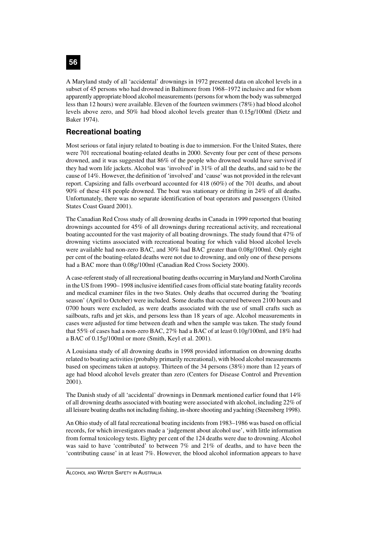A Maryland study of all 'accidental' drownings in 1972 presented data on alcohol levels in a subset of 45 persons who had drowned in Baltimore from 1968–1972 inclusive and for whom apparently appropriate blood alcohol measurements (persons for whom the body was submerged less than 12 hours) were available. Eleven of the fourteen swimmers (78%) had blood alcohol levels above zero, and 50% had blood alcohol levels greater than 0.15g/100ml (Dietz and Baker 1974).

# **Recreational boating**

Most serious or fatal injury related to boating is due to immersion. For the United States, there were 701 recreational boating-related deaths in 2000. Seventy four per cent of these persons drowned, and it was suggested that 86% of the people who drowned would have survived if they had worn life jackets. Alcohol was 'involved' in 31% of all the deaths, and said to be the cause of 14%. However, the definition of 'involved' and 'cause' was not provided in the relevant report. Capsizing and falls overboard accounted for 418 (60%) of the 701 deaths, and about 90% of these 418 people drowned. The boat was stationary or drifting in 24% of all deaths. Unfortunately, there was no separate identification of boat operators and passengers (United States Coast Guard 2001).

The Canadian Red Cross study of all drowning deaths in Canada in 1999 reported that boating drownings accounted for 45% of all drownings during recreational activity, and recreational boating accounted for the vast majority of all boating drownings. The study found that 47% of drowning victims associated with recreational boating for which valid blood alcohol levels were available had non-zero BAC, and 30% had BAC greater than 0.08g/100ml. Only eight per cent of the boating-related deaths were not due to drowning, and only one of these persons had a BAC more than 0.08g/100ml (Canadian Red Cross Society 2000).

A case-referent study of all recreational boating deaths occurring in Maryland and North Carolina in the US from 1990– 1998 inclusive identified cases from official state boating fatality records and medical examiner files in the two States. Only deaths that occurred during the 'boating season' (April to October) were included. Some deaths that occurred between 2100 hours and 0700 hours were excluded, as were deaths associated with the use of small crafts such as sailboats, rafts and jet skis, and persons less than 18 years of age. Alcohol measurements in cases were adjusted for time between death and when the sample was taken. The study found that 55% of cases had a non-zero BAC, 27% had a BAC of at least 0.10g/100ml, and 18% had a BAC of 0.15g/100ml or more (Smith, Keyl et al. 2001).

A Louisiana study of all drowning deaths in 1998 provided information on drowning deaths related to boating activities (probably primarily recreational), with blood alcohol measurements based on specimens taken at autopsy. Thirteen of the 34 persons (38%) more than 12 years of age had blood alcohol levels greater than zero (Centers for Disease Control and Prevention 2001).

The Danish study of all 'accidental' drownings in Denmark mentioned earlier found that 14% of all drowning deaths associated with boating were associated with alcohol, including 22% of all leisure boating deaths not including fishing, in-shore shooting and yachting (Steensberg 1998).

An Ohio study of all fatal recreational boating incidents from 1983–1986 was based on official records, for which investigators made a 'judgement about alcohol use', with little information from formal toxicology tests. Eighty per cent of the 124 deaths were due to drowning. Alcohol was said to have 'contributed' to between 7% and 21% of deaths, and to have been the 'contributing cause' in at least 7%. However, the blood alcohol information appears to have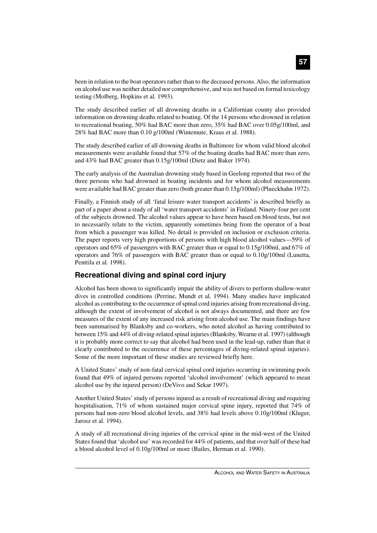#### been in relation to the boat operators rather than to the deceased persons. Also, the information on alcohol use was neither detailed nor comprehensive, and was not based on formal toxicology testing (Molberg, Hopkins et al. 1993).

The study described earlier of all drowning deaths in a Californian county also provided information on drowning deaths related to boating. Of the 14 persons who drowned in relation to recreational boating, 50% had BAC more than zero, 35% had BAC over 0.05g/100ml, and 28% had BAC more than 0.10 g/100ml (Wintemute, Kraus et al. 1988).

The study described earlier of all drowning deaths in Baltimore for whom valid blood alcohol measurements were available found that 57% of the boating deaths had BAC more than zero, and 43% had BAC greater than 0.15g/100ml (Dietz and Baker 1974).

The early analysis of the Australian drowning study based in Geelong reported that two of the three persons who had drowned in boating incidents and for whom alcohol measurements were available had BAC greater than zero (both greater than 0.15g/100ml) (Plueckhahn 1972).

Finally, a Finnish study of all 'fatal leisure water transport accidents' is described briefly as part of a paper about a study of all 'water transport accidents' in Finland. Ninety-four per cent of the subjects drowned. The alcohol values appear to have been based on blood tests, but not to necessarily relate to the victim, apparently sometimes being from the operator of a boat from which a passenger was killed. No detail is provided on inclusion or exclusion criteria. The paper reports very high proportions of persons with high blood alcohol values—59% of operators and 65% of passengers with BAC greater than or equal to 0.15g/100ml, and 67% of operators and 76% of passengers with BAC greater than or equal to 0.10g/100ml (Lunetta, Penttila et al. 1998).

### **Recreational diving and spinal cord injury**

Alcohol has been shown to significantly impair the ability of divers to perform shallow-water dives in controlled conditions (Perrine, Mundt et al. 1994). Many studies have implicated alcohol as contributing to the occurrence of spinal cord injuries arising from recreational diving, although the extent of involvement of alcohol is not always documented, and there are few measures of the extent of any increased risk arising from alcohol use. The main findings have been summarised by Blanksby and co-workers, who noted alcohol as having contributed to between 15% and 44% of diving-related spinal injuries (Blanksby, Wearne et al. 1997) (although it is probably more correct to say that alcohol had been used in the lead-up, rather than that it clearly contributed to the occurrence of these percentages of diving-related spinal injuries). Some of the more important of these studies are reviewed briefly here.

A United States' study of non-fatal cervical spinal cord injuries occurring in swimming pools found that 49% of injured persons reported 'alcohol involvement' (which appeared to mean alcohol use by the injured person) (DeVivo and Sekar 1997).

Another United States' study of persons injured as a result of recreational diving and requiring hospitalisation, 71% of whom sustained major cervical spine injury, reported that 74% of persons had non-zero blood alcohol levels, and 38% had levels above 0.10g/100ml (Kluger, Jarosz et al. 1994).

A study of all recreational diving injuries of the cervical spine in the mid-west of the United States found that 'alcohol use' was recorded for 44% of patients, and that over half of these had a blood alcohol level of 0.10g/100ml or more (Bailes, Herman et al. 1990).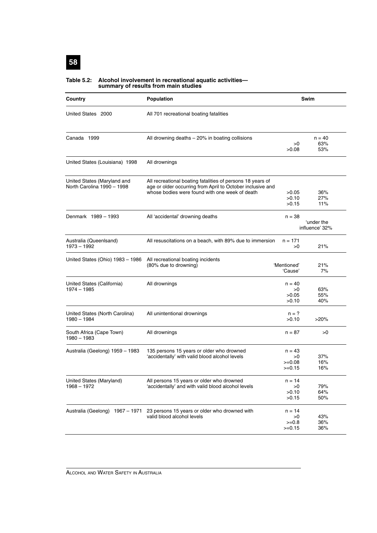#### **Table 5.2: Alcohol involvement in recreational aquatic activities summary of results from main studies**

| Country                                                   | Population                                                                                                                                                                 |                                        | Swim                         |
|-----------------------------------------------------------|----------------------------------------------------------------------------------------------------------------------------------------------------------------------------|----------------------------------------|------------------------------|
| United States 2000                                        | All 701 recreational boating fatalities                                                                                                                                    |                                        |                              |
| Canada 1999                                               | All drowning deaths $-20\%$ in boating collisions                                                                                                                          | >0<br>>0.08                            | $n = 40$<br>63%<br>53%       |
| United States (Louisiana) 1998                            | All drownings                                                                                                                                                              |                                        |                              |
| United States (Maryland and<br>North Carolina 1990 - 1998 | All recreational boating fatalities of persons 18 years of<br>age or older occurring from April to October inclusive and<br>whose bodies were found with one week of death | >0.05<br>>0.10<br>>0.15                | 36%<br>27%<br>11%            |
| Denmark 1989 - 1993                                       | All 'accidental' drowning deaths                                                                                                                                           | $n = 38$                               | 'under the<br>influence' 32% |
| Australia (Queenlsand)<br>1973 - 1992                     | All resuscitations on a beach, with 89% due to immersion                                                                                                                   | $n = 171$<br>>0                        | 21%                          |
| United States (Ohio) 1983 - 1986                          | All recreational boating incidents<br>(80% due to drowning)                                                                                                                | 'Mentioned'<br>'Cause'                 | 21%<br>7%                    |
| United States (California)<br>$1974 - 1985$               | All drownings                                                                                                                                                              | n = 40<br>>0<br>>0.05<br>>0.10         | 63%<br>55%<br>40%            |
| United States (North Carolina)<br>1980 - 1984             | All unintentional drownings                                                                                                                                                | $n = ?$<br>>0.10                       | $>20\%$                      |
| South Africa (Cape Town)<br>1980 - 1983                   | All drownings                                                                                                                                                              | $n = 87$                               | >0                           |
| Australia (Geelong) 1959 - 1983                           | 135 persons 15 years or older who drowned<br>'accidentally' with valid blood alcohol levels                                                                                | $n = 43$<br>>0<br>$>=0.08$<br>$>=0.15$ | 37%<br>16%<br>16%            |
| United States (Maryland)<br>$1968 - 1972$                 | All persons 15 years or older who drowned<br>'accidentally' and with valid blood alcohol levels                                                                            | n = 14<br>>0<br>>0.10<br>>0.15         | 79%<br>64%<br>50%            |
| Australia (Geelong) 1967 - 1971                           | 23 persons 15 years or older who drowned with<br>valid blood alcohol levels                                                                                                | n = 14<br>>0<br>$>=0.8$<br>$>=0.15$    | 43%<br>36%<br>36%            |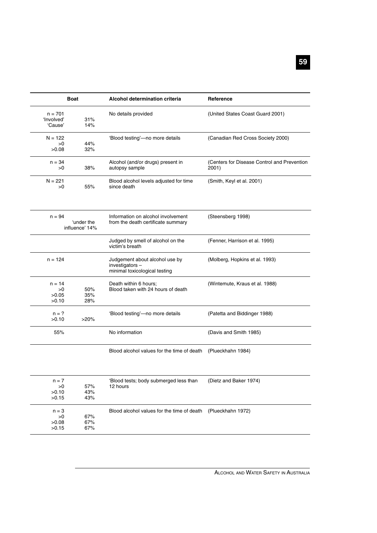|                                    | <b>Boat</b>                  | <b>Alcohol determination criteria</b>                                             | Reference                                            |  |
|------------------------------------|------------------------------|-----------------------------------------------------------------------------------|------------------------------------------------------|--|
| $n = 701$<br>'Involved'<br>'Cause' | 31%<br>14%                   | No details provided                                                               | (United States Coast Guard 2001)                     |  |
| $N = 122$<br>>0<br>>0.08           | 44%<br>32%                   | 'Blood testing'-no more details                                                   | (Canadian Red Cross Society 2000)                    |  |
| $n = 34$<br>>0                     | 38%                          | Alcohol (and/or drugs) present in<br>autopsy sample                               | (Centers for Disease Control and Prevention<br>2001) |  |
| $N = 221$<br>>0                    | 55%                          | Blood alcohol levels adjusted for time<br>since death                             | (Smith, Keyl et al. 2001)                            |  |
| $n = 94$                           | 'under the<br>influence' 14% | Information on alcohol involvement<br>from the death certificate summary          | (Steensberg 1998)                                    |  |
|                                    |                              | Judged by smell of alcohol on the<br>victim's breath                              | (Fenner, Harrison et al. 1995)                       |  |
| $n = 124$                          |                              | Judgement about alcohol use by<br>investigators-<br>minimal toxicological testing | (Molberg, Hopkins et al. 1993)                       |  |
| $n = 14$<br>>0<br>>0.05<br>>0.10   | 50%<br>35%<br>28%            | Death within 6 hours;<br>Blood taken with 24 hours of death                       | (Wintemute, Kraus et al. 1988)                       |  |
| $n = ?$<br>>0.10                   | >20%                         | 'Blood testing'-no more details                                                   | (Patetta and Biddinger 1988)                         |  |
| 55%                                |                              | No information                                                                    | (Davis and Smith 1985)                               |  |
|                                    |                              | Blood alcohol values for the time of death                                        | (Plueckhahn 1984)                                    |  |
| $n = 7$<br>>0<br>>0.10<br>>0.15    | 57%<br>43%<br>43%            | 'Blood tests; body submerged less than<br>12 hours                                | (Dietz and Baker 1974)                               |  |
| $n = 3$<br>>0<br>>0.08<br>>0.15    | 67%<br>67%<br>67%            | Blood alcohol values for the time of death                                        | (Plueckhahn 1972)                                    |  |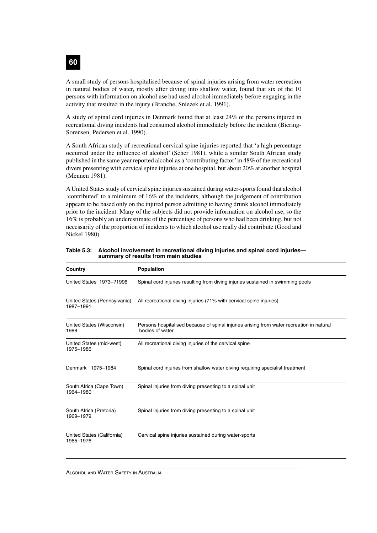A small study of persons hospitalised because of spinal injuries arising from water recreation in natural bodies of water, mostly after diving into shallow water, found that six of the 10 persons with information on alcohol use had used alcohol immediately before engaging in the activity that resulted in the injury (Branche, Sniezek et al. 1991).

A study of spinal cord injuries in Denmark found that at least 24% of the persons injured in recreational diving incidents had consumed alcohol immediately before the incident (Biering-Sorensen, Pedersen et al. 1990).

A South African study of recreational cervical spine injuries reported that 'a high percentage occurred under the influence of alcohol' (Scher 1981), while a similar South African study published in the same year reported alcohol as a 'contributing factor' in 48% of the recreational divers presenting with cervical spine injuries at one hospital, but about 20% at another hospital (Mennen 1981).

A United States study of cervical spine injuries sustained during water-sports found that alcohol 'contributed' to a minimum of 16% of the incidents, although the judgement of contribution appears to be based only on the injured person admitting to having drunk alcohol immediately prior to the incident. Many of the subjects did not provide information on alcohol use, so the 16% is probably an underestimate of the percentage of persons who had been drinking, but not necessarily of the proportion of incidents to which alcohol use really did contribute (Good and Nickel 1980).

| Country                                   | <b>Population</b>                                                                                           |
|-------------------------------------------|-------------------------------------------------------------------------------------------------------------|
| United States 1973-?1996                  | Spinal cord injuries resulting from diving injuries sustained in swimming pools                             |
| United States (Pennsylvania)<br>1987-1991 | All recreational diving injuries (71% with cervical spine injuries)                                         |
| United States (Wisconsin)<br>1988         | Persons hospitalised because of spinal injuries arising from water recreation in natural<br>bodies of water |
| United States (mid-west)<br>1975-1986     | All recreational diving injuries of the cervical spine                                                      |
| Denmark 1975-1984                         | Spinal cord injuries from shallow water diving requiring specialist treatment                               |
| South Africa (Cape Town)<br>1964-1980     | Spinal injuries from diving presenting to a spinal unit                                                     |
| South Africa (Pretoria)<br>1969-1979      | Spinal injuries from diving presenting to a spinal unit                                                     |
| United States (California)<br>1965-1976   | Cervical spine injuries sustained during water-sports                                                       |

**Table 5.3: Alcohol involvement in recreational diving injuries and spinal cord injuries summary of results from main studies**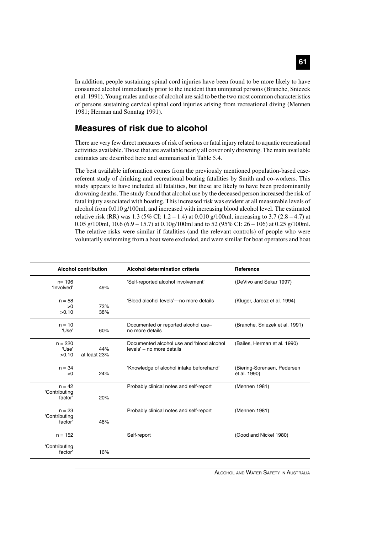# In addition, people sustaining spinal cord injuries have been found to be more likely to have consumed alcohol immediately prior to the incident than uninjured persons (Branche, Sniezek et al. 1991). Young males and use of alcohol are said to be the two most common characteristics

# **Measures of risk due to alcohol**

1981; Herman and Sonntag 1991).

There are very few direct measures of risk of serious or fatal injury related to aquatic recreational activities available. Those that are available nearly all cover only drowning. The main available estimates are described here and summarised in Table 5.4.

of persons sustaining cervical spinal cord injuries arising from recreational diving (Mennen

The best available information comes from the previously mentioned population-based casereferent study of drinking and recreational boating fatalities by Smith and co-workers. This study appears to have included all fatalities, but these are likely to have been predominantly drowning deaths. The study found that alcohol use by the deceased person increased the risk of fatal injury associated with boating. This increased risk was evident at all measurable levels of alcohol from 0.010 g/100ml, and increased with increasing blood alcohol level. The estimated relative risk (RR) was 1.3 (5% CI: 1.2 – 1.4) at 0.010 g/100ml, increasing to 3.7 (2.8 – 4.7) at 0.05 g/100ml, 10.6 (6.9 – 15.7) at 0.10g/100ml and to 52 (95% CI: 26 – 106) at 0.25 g/100ml. The relative risks were similar if fatalities (and the relevant controls) of people who were voluntarily swimming from a boat were excluded, and were similar for boat operators and boat

| <b>Alcohol contribution</b>          |                     | Alcohol determination criteria                                         | Reference                                   |
|--------------------------------------|---------------------|------------------------------------------------------------------------|---------------------------------------------|
| $n = 196$<br>'Involved'              | 49%                 | 'Self-reported alcohol involvement'                                    | (DeVivo and Sekar 1997)                     |
| $n = 58$<br>>0<br>>0.10              | 73%<br>38%          | 'Blood alcohol levels'-no more details                                 | (Kluger, Jarosz et al. 1994)                |
| $n = 10$<br>'Use'                    | 60%                 | Documented or reported alcohol use-<br>no more details                 | (Branche, Sniezek et al. 1991)              |
| $n = 220$<br>'Use'<br>>0.10          | 44%<br>at least 23% | Documented alcohol use and 'blood alcohol<br>levels' – no more details | (Bailes, Herman et al. 1990)                |
| $n = 34$<br>>0                       | 24%                 | 'Knowledge of alcohol intake beforehand'                               | (Biering-Sorensen, Pedersen<br>et al. 1990) |
| $n = 42$<br>'Contributing<br>factor' | 20%                 | Probably clinical notes and self-report                                | (Mennen 1981)                               |
| $n = 23$<br>'Contributing<br>factor' | 48%                 | Probably clinical notes and self-report                                | (Mennen 1981)                               |
| $n = 152$                            |                     | Self-report                                                            | (Good and Nickel 1980)                      |
| 'Contributing<br>factor'             | 16%                 |                                                                        |                                             |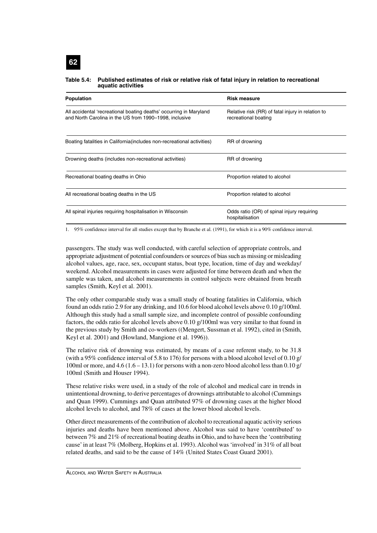#### **Table 5.4: Published estimates of risk or relative risk of fatal injury in relation to recreational aquatic activities**

| Population                                                                                                                   | <b>Risk measure</b>                                                       |
|------------------------------------------------------------------------------------------------------------------------------|---------------------------------------------------------------------------|
| All accidental 'recreational boating deaths' occurring in Maryland<br>and North Carolina in the US from 1990–1998, inclusive | Relative risk (RR) of fatal injury in relation to<br>recreational boating |
| Boating fatalities in California (includes non-recreational activities)                                                      | RR of drowning                                                            |
| Drowning deaths (includes non-recreational activities)                                                                       | RR of drowning                                                            |
| Recreational boating deaths in Ohio                                                                                          | Proportion related to alcohol                                             |
| All recreational boating deaths in the US                                                                                    | Proportion related to alcohol                                             |
| All spinal injuries requiring hospitalisation in Wisconsin                                                                   | Odds ratio (OR) of spinal injury requiring<br>hospitalisation             |

1. 95% confidence interval for all studies except that by Branche et al. (1991), for which it is a 90% confidence interval.

passengers. The study was well conducted, with careful selection of appropriate controls, and appropriate adjustment of potential confounders or sources of bias such as missing or misleading alcohol values, age, race, sex, occupant status, boat type, location, time of day and weekday/ weekend. Alcohol measurements in cases were adjusted for time between death and when the sample was taken, and alcohol measurements in control subjects were obtained from breath samples (Smith, Keyl et al. 2001).

The only other comparable study was a small study of boating fatalities in California, which found an odds ratio 2.9 for any drinking, and 10.6 for blood alcohol levels above 0.10 g/100ml. Although this study had a small sample size, and incomplete control of possible confounding factors, the odds ratio for alcohol levels above 0.10 g/100ml was very similar to that found in the previous study by Smith and co-workers ((Mengert, Sussman et al. 1992), cited in (Smith, Keyl et al. 2001) and (Howland, Mangione et al. 1996)).

The relative risk of drowning was estimated, by means of a case referent study, to be 31.8 (with a 95% confidence interval of 5.8 to 176) for persons with a blood alcohol level of 0.10 g/ 100ml or more, and 4.6 (1.6 – 13.1) for persons with a non-zero blood alcohol less than 0.10 g/ 100ml (Smith and Houser 1994).

These relative risks were used, in a study of the role of alcohol and medical care in trends in unintentional drowning, to derive percentages of drownings attributable to alcohol (Cummings and Quan 1999). Cummings and Quan attributed 97% of drowning cases at the higher blood alcohol levels to alcohol, and 78% of cases at the lower blood alcohol levels.

Other direct measurements of the contribution of alcohol to recreational aquatic activity serious injuries and deaths have been mentioned above. Alcohol was said to have 'contributed' to between 7% and 21% of recreational boating deaths in Ohio, and to have been the 'contributing cause' in at least 7% (Molberg, Hopkins et al. 1993). Alcohol was 'involved' in 31% of all boat related deaths, and said to be the cause of 14% (United States Coast Guard 2001).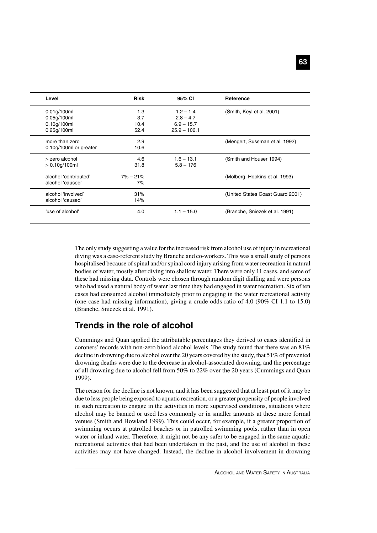| Level                  | <b>Risk</b>  | 95% CI         | Reference                        |
|------------------------|--------------|----------------|----------------------------------|
| $0.01$ g/100ml         | 1.3          | $1.2 - 1.4$    | (Smith, Keyl et al. 2001)        |
| 0.05q/100ml            | 3.7          | $2.8 - 4.7$    |                                  |
| 0.10q/100ml            | 10.4         | $6.9 - 15.7$   |                                  |
| 0.25g/100ml            | 52.4         | $25.9 - 106.1$ |                                  |
| more than zero         | 2.9          |                | (Mengert, Sussman et al. 1992)   |
| 0.10g/100ml or greater | 10.6         |                |                                  |
| > zero alcohol         | 4.6          | $1.6 - 13.1$   | (Smith and Houser 1994)          |
| $> 0.10$ g/100ml       | 31.8         | $5.8 - 176$    |                                  |
| alcohol 'contributed'  | $7\% - 21\%$ |                | (Molberg, Hopkins et al. 1993)   |
| alcohol 'caused'       | 7%           |                |                                  |
| alcohol 'involved'     | 31%          |                | (United States Coast Guard 2001) |
| alcohol 'caused'       | 14%          |                |                                  |
| 'use of alcohol'       | 4.0          | $1.1 - 15.0$   | (Branche, Sniezek et al. 1991)   |

The only study suggesting a value for the increased risk from alcohol use of injury in recreational diving was a case-referent study by Branche and co-workers. This was a small study of persons hospitalised because of spinal and/or spinal cord injury arising from water recreation in natural bodies of water, mostly after diving into shallow water. There were only 11 cases, and some of these had missing data. Controls were chosen through random digit dialling and were persons who had used a natural body of water last time they had engaged in water recreation. Six of ten cases had consumed alcohol immediately prior to engaging in the water recreational activity (one case had missing information), giving a crude odds ratio of 4.0 (90% CI 1.1 to 15.0) (Branche, Sniezek et al. 1991).

### **Trends in the role of alcohol**

Cummings and Quan applied the attributable percentages they derived to cases identified in coroners' records with non-zero blood alcohol levels. The study found that there was an 81% decline in drowning due to alcohol over the 20 years covered by the study, that 51% of prevented drowning deaths were due to the decrease in alcohol-associated drowning, and the percentage of all drowning due to alcohol fell from 50% to 22% over the 20 years (Cummings and Quan 1999).

The reason for the decline is not known, and it has been suggested that at least part of it may be due to less people being exposed to aquatic recreation, or a greater propensity of people involved in such recreation to engage in the activities in more supervised conditions, situations where alcohol may be banned or used less commonly or in smaller amounts at these more formal venues (Smith and Howland 1999). This could occur, for example, if a greater proportion of swimming occurs at patrolled beaches or in patrolled swimming pools, rather than in open water or inland water. Therefore, it might not be any safer to be engaged in the same aquatic recreational activities that had been undertaken in the past, and the use of alcohol in these activities may not have changed. Instead, the decline in alcohol involvement in drowning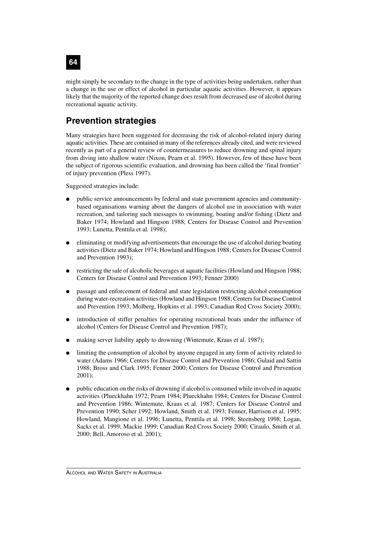## **64**

might simply be secondary to the change in the type of activities being undertaken, rather than a change in the use or effect of alcohol in particular aquatic activities. However, it appears likely that the majority of the reported change does result from decreased use of alcohol during recreational aquatic activity.

## **Prevention strategies**

Many strategies have been suggested for decreasing the risk of alcohol-related injury during aquatic activities. These are contained in many of the references already cited, and were reviewed recently as part of a general review of countermeasures to reduce drowning and spinal injury from diving into shallow water (Nixon, Pearn et al. 1995). However, few of these have been the subject of rigorous scientific evaluation, and drowning has been called the 'final frontier' of injury prevention (Pless 1997).

Suggested strategies include:

- public service announcements by federal and state government agencies and communitybased organisations warning about the dangers of alcohol use in association with water recreation, and tailoring such messages to swimming, boating and/or fishing (Dietz and Baker 1974; Howland and Hingson 1988; Centers for Disease Control and Prevention 1993; Lunetta, Penttila et al. 1998);
- eliminating or modifying advertisements that encourage the use of alcohol during boating activities (Dietz and Baker 1974; Howland and Hingson 1988; Centers for Disease Control and Prevention 1993);
- restricting the sale of alcoholic beverages at aquatic facilities (Howland and Hingson 1988; Centers for Disease Control and Prevention 1993; Fenner 2000)
- passage and enforcement of federal and state legislation restricting alcohol consumption during water-recreation activities (Howland and Hingson 1988; Centers for Disease Control and Prevention 1993; Molberg, Hopkins et al. 1993; Canadian Red Cross Society 2000);
- introduction of stiffer penalties for operating recreational boats under the influence of alcohol (Centers for Disease Control and Prevention 1987);
- making server liability apply to drowning (Wintemute, Kraus et al. 1987);
- limiting the consumption of alcohol by anyone engaged in any form of activity related to water (Adams 1966; Centers for Disease Control and Prevention 1986; Gulaid and Sattin 1988; Bross and Clark 1995; Fenner 2000; Centers for Disease Control and Prevention 2001);
- public education on the risks of drowning if alcohol is consumed while involved in aquatic activities (Plueckhahn 1972; Pearn 1984; Plueckhahn 1984; Centers for Disease Control and Prevention 1986; Wintemute, Kraus et al. 1987; Centers for Disease Control and Prevention 1990; Scher 1992; Howland, Smith et al. 1993; Fenner, Harrison et al. 1995; Howland, Mangione et al. 1996; Lunetta, Penttila et al. 1998; Steensberg 1998; Logan, Sacks et al. 1999; Mackie 1999; Canadian Red Cross Society 2000; Ciraulo, Smith et al. 2000; Bell, Amoroso et al. 2001);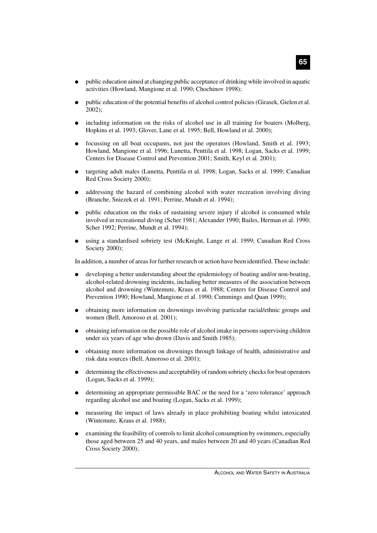- public education aimed at changing public acceptance of drinking while involved in aquatic activities (Howland, Mangione et al. 1990; Chochinov 1998);
- public education of the potential benefits of alcohol control policies (Girasek, Gielen et al. 2002);
- including information on the risks of alcohol use in all training for boaters (Molberg, Hopkins et al. 1993; Glover, Lane et al. 1995; Bell, Howland et al. 2000);
- focussing on all boat occupants, not just the operators (Howland, Smith et al. 1993; Howland, Mangione et al. 1996; Lunetta, Penttila et al. 1998; Logan, Sacks et al. 1999; Centers for Disease Control and Prevention 2001; Smith, Keyl et al. 2001);
- targeting adult males (Lunetta, Penttila et al. 1998; Logan, Sacks et al. 1999; Canadian Red Cross Society 2000);
- addressing the hazard of combining alcohol with water recreation involving diving (Branche, Sniezek et al. 1991; Perrine, Mundt et al. 1994);
- public education on the risks of sustaining severe injury if alcohol is consumed while involved in recreational diving (Scher 1981; Alexander 1990; Bailes, Herman et al. 1990; Scher 1992; Perrine, Mundt et al. 1994);
- using a standardised sobriety test (McKnight, Lange et al. 1999; Canadian Red Cross Society 2000);

In addition, a number of areas for further research or action have been identified. These include:

- developing a better understanding about the epidemiology of boating and/or non-boating, alcohol-related drowning incidents, including better measures of the association between alcohol and drowning (Wintemute, Kraus et al. 1988; Centers for Disease Control and Prevention 1990; Howland, Mangione et al. 1990; Cummings and Quan 1999);
- obtaining more information on drownings involving particular racial/ethnic groups and women (Bell, Amoroso et al. 2001);
- obtaining information on the possible role of alcohol intake in persons supervising children under six years of age who drown (Davis and Smith 1985);
- obtaining more information on drownings through linkage of health, administrative and risk data sources (Bell, Amoroso et al. 2001);
- determining the effectiveness and acceptability of random sobriety checks for boat operators (Logan, Sacks et al. 1999);
- determining an appropriate permissible BAC or the need for a 'zero tolerance' approach regarding alcohol use and boating (Logan, Sacks et al. 1999);
- measuring the impact of laws already in place prohibiting boating whilst intoxicated (Wintemute, Kraus et al. 1988);
- examining the feasibility of controls to limit alcohol consumption by swimmers, especially those aged between 25 and 40 years, and males between 20 and 40 years (Canadian Red Cross Society 2000);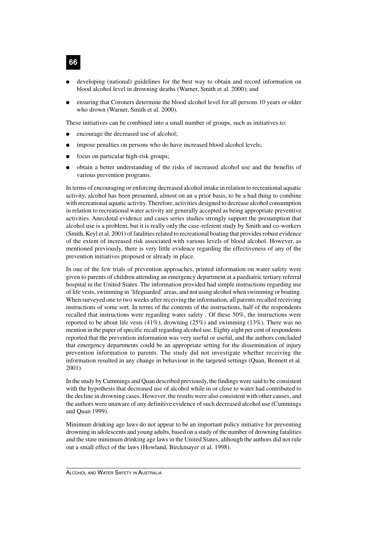- developing (national) guidelines for the best way to obtain and record information on blood alcohol level in drowning deaths (Warner, Smith et al. 2000); and
- ensuring that Coroners determine the blood alcohol level for all persons 10 years or older who drown (Warner, Smith et al. 2000).

These initiatives can be combined into a small number of groups, such as initiatives to:

- encourage the decreased use of alcohol;
- impose penalties on persons who do have increased blood alcohol levels;
- focus on particular high-risk groups;
- obtain a better understanding of the risks of increased alcohol use and the benefits of various prevention programs.

In terms of encouraging or enforcing decreased alcohol intake in relation to recreational aquatic activity, alcohol has been presumed, almost on an a prior basis, to be a bad thing to combine with recreational aquatic activity. Therefore, activities designed to decrease alcohol consumption in relation to recreational water activity are generally accepted as being appropriate preventive activities. Anecdotal evidence and cases series studies strongly support the presumption that alcohol use is a problem, but it is really only the case-referent study by Smith and co-workers (Smith, Keyl et al. 2001) of fatalities related to recreational boating that provides robust evidence of the extent of increased risk associated with various levels of blood alcohol. However, as mentioned previously, there is very little evidence regarding the effectiveness of any of the prevention initiatives proposed or already in place.

In one of the few trials of prevention approaches, printed information on water safety were given to parents of children attending an emergency department at a paediatric tertiary referral hospital in the United States. The information provided had simple instructions regarding use of life vests, swimming in 'lifeguarded' areas, and not using alcohol when swimming or boating. When surveyed one to two weeks after receiving the information, all parents recalled receiving instructions of some sort. In terms of the contents of the instructions, half of the respondents recalled that instructions were regarding water safety . Of these 50%, the instructions were reported to be about life vests  $(41\%)$ , drowning  $(25\%)$  and swimming  $(13\%)$ . There was no mention in the paper of specific recall regarding alcohol use. Eighty eight per cent of respondents reported that the prevention information was very useful or useful, and the authors concluded that emergency departments could be an appropriate setting for the dissemination of injury prevention information to parents. The study did not investigate whether receiving the information resulted in any change in behaviour in the targeted settings (Quan, Bennett et al. 2001).

In the study by Cummings and Quan described previously, the findings were said to be consistent with the hypothesis that decreased use of alcohol while in or close to water had contributed to the decline in drowning cases. However, the results were also consistent with other causes, and the authors were unaware of any definitive evidence of such decreased alcohol use (Cummings and Quan 1999).

Minimum drinking age laws do not appear to be an important policy initiative for preventing drowning in adolescents and young adults, based on a study of the number of drowning fatalities and the state minimum drinking age laws in the United States, although the authors did not rule out a small effect of the laws (Howland, Birckmayer et al. 1998).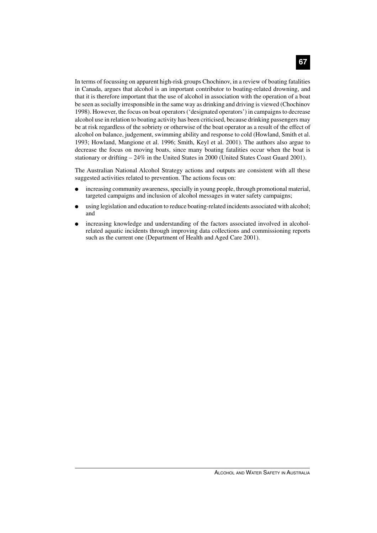In terms of focussing on apparent high-risk groups Chochinov, in a review of boating fatalities in Canada, argues that alcohol is an important contributor to boating-related drowning, and that it is therefore important that the use of alcohol in association with the operation of a boat be seen as socially irresponsible in the same way as drinking and driving is viewed (Chochinov 1998). However, the focus on boat operators ('designated operators') in campaigns to decrease alcohol use in relation to boating activity has been criticised, because drinking passengers may be at risk regardless of the sobriety or otherwise of the boat operator as a result of the effect of alcohol on balance, judgement, swimming ability and response to cold (Howland, Smith et al. 1993; Howland, Mangione et al. 1996; Smith, Keyl et al. 2001). The authors also argue to decrease the focus on moving boats, since many boating fatalities occur when the boat is stationary or drifting – 24% in the United States in 2000 (United States Coast Guard 2001).

The Australian National Alcohol Strategy actions and outputs are consistent with all these suggested activities related to prevention. The actions focus on:

- increasing community awareness, specially in young people, through promotional material, targeted campaigns and inclusion of alcohol messages in water safety campaigns;
- using legislation and education to reduce boating-related incidents associated with alcohol; and
- increasing knowledge and understanding of the factors associated involved in alcoholrelated aquatic incidents through improving data collections and commissioning reports such as the current one (Department of Health and Aged Care 2001).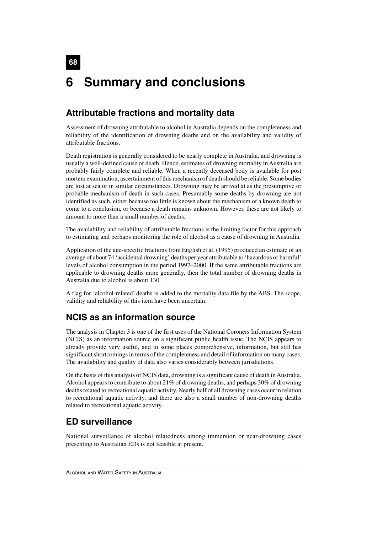## **68 6 Summary and conclusions**

## **Attributable fractions and mortality data**

Assessment of drowning attributable to alcohol in Australia depends on the completeness and reliability of the identification of drowning deaths and on the availability and validity of attributable fractions.

Death registration is generally considered to be nearly complete in Australia, and drowning is usually a well-defined cause of death. Hence, estimates of drowning mortality in Australia are probably fairly complete and reliable. When a recently deceased body is available for post mortem examination, ascertainment of this mechanism of death should be reliable. Some bodies are lost at sea or in similar circumstances. Drowning may be arrived at as the presumptive or probable mechanism of death in such cases. Presumably some deaths by drowning are not identified as such, either because too little is known about the mechanism of a known death to come to a conclusion, or because a death remains unknown. However, these are not likely to amount to more than a small number of deaths.

The availability and reliability of attributable fractions is the limiting factor for this approach to estimating and perhaps monitoring the role of alcohol as a cause of drowning in Australia.

Application of the age-specific fractions from English et al. (1995) produced an estimate of an average of about 74 'accidental drowning' deaths per year attributable to 'hazardous or harmful' levels of alcohol consumption in the period 1997–2000. If the same attributable fractions are applicable to drowning deaths more generally, then the total number of drowning deaths in Australia due to alcohol is about 130.

A flag for 'alcohol-related' deaths is added to the mortality data file by the ABS. The scope, validity and reliability of this item have been uncertain.

## **NCIS as an information source**

The analysis in Chapter 3 is one of the first uses of the National Coroners Information System (NCIS) as an information source on a significant public health issue. The NCIS appears to already provide very useful, and in some places comprehensive, information, but still has significant shortcomings in terms of the completeness and detail of information on many cases. The availability and quality of data also varies considerably between jurisdictions.

On the basis of this analysis of NCIS data, drowning is a significant cause of death in Australia. Alcohol appears to contribute to about 21% of drowning deaths, and perhaps 30% of drowning deaths related to recreational aquatic activity. Nearly half of all drowning cases occur in relation to recreational aquatic activity, and there are also a small number of non-drowning deaths related to recreational aquatic activity.

### **ED surveillance**

National surveillance of alcohol relatedness among immersion or near-drowning cases presenting to Australian EDs is not feasible at present.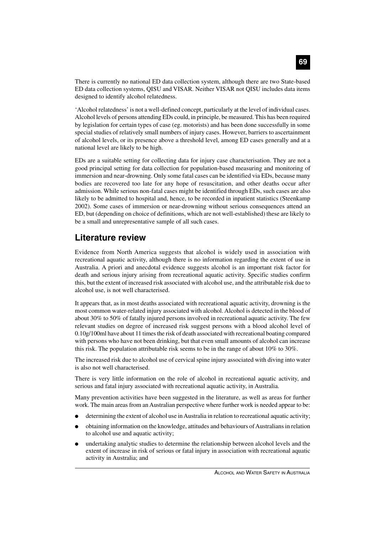There is currently no national ED data collection system, although there are two State-based ED data collection systems, QISU and VISAR. Neither VISAR not QISU includes data items designed to identify alcohol relatedness.

'Alcohol relatedness' is not a well-defined concept, particularly at the level of individual cases. Alcohol levels of persons attending EDs could, in principle, be measured. This has been required by legislation for certain types of case (eg. motorists) and has been done successfully in some special studies of relatively small numbers of injury cases. However, barriers to ascertainment of alcohol levels, or its presence above a threshold level, among ED cases generally and at a national level are likely to be high.

EDs are a suitable setting for collecting data for injury case characterisation. They are not a good principal setting for data collection for population-based measuring and monitoring of immersion and near-drowning. Only some fatal cases can be identified via EDs, because many bodies are recovered too late for any hope of resuscitation, and other deaths occur after admission. While serious non-fatal cases might be identified through EDs, such cases are also likely to be admitted to hospital and, hence, to be recorded in inpatient statistics (Steenkamp 2002). Some cases of immersion or near-drowning without serious consequences attend an ED, but (depending on choice of definitions, which are not well-established) these are likely to be a small and unrepresentative sample of all such cases.

### **Literature review**

Evidence from North America suggests that alcohol is widely used in association with recreational aquatic activity, although there is no information regarding the extent of use in Australia. A priori and anecdotal evidence suggests alcohol is an important risk factor for death and serious injury arising from recreational aquatic activity. Specific studies confirm this, but the extent of increased risk associated with alcohol use, and the attributable risk due to alcohol use, is not well characterised.

It appears that, as in most deaths associated with recreational aquatic activity, drowning is the most common water-related injury associated with alcohol. Alcohol is detected in the blood of about 30% to 50% of fatally injured persons involved in recreational aquatic activity. The few relevant studies on degree of increased risk suggest persons with a blood alcohol level of 0.10g/100ml have about 11 times the risk of death associated with recreational boating compared with persons who have not been drinking, but that even small amounts of alcohol can increase this risk. The population attributable risk seems to be in the range of about 10% to 30%.

The increased risk due to alcohol use of cervical spine injury associated with diving into water is also not well characterised.

There is very little information on the role of alcohol in recreational aquatic activity, and serious and fatal injury associated with recreational aquatic activity, in Australia.

Many prevention activities have been suggested in the literature, as well as areas for further work. The main areas from an Australian perspective where further work is needed appear to be:

- determining the extent of alcohol use in Australia in relation to recreational aquatic activity;
- obtaining information on the knowledge, attitudes and behaviours of Australians in relation to alcohol use and aquatic activity;
- undertaking analytic studies to determine the relationship between alcohol levels and the extent of increase in risk of serious or fatal injury in association with recreational aquatic activity in Australia; and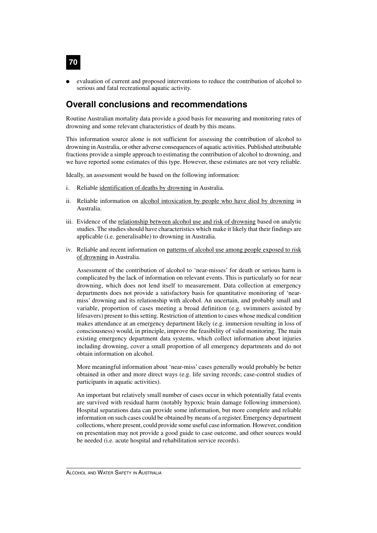evaluation of current and proposed interventions to reduce the contribution of alcohol to serious and fatal recreational aquatic activity.

### **Overall conclusions and recommendations**

**70**

Routine Australian mortality data provide a good basis for measuring and monitoring rates of drowning and some relevant characteristics of death by this means.

This information source alone is not sufficient for assessing the contribution of alcohol to drowning in Australia, or other adverse consequences of aquatic activities. Published attributable fractions provide a simple approach to estimating the contribution of alcohol to drowning, and we have reported some estimates of this type. However, these estimates are not very reliable.

Ideally, an assessment would be based on the following information:

- i. Reliable identification of deaths by drowning in Australia.
- ii. Reliable information on alcohol intoxication by people who have died by drowning in Australia.
- iii. Evidence of the relationship between alcohol use and risk of drowning based on analytic studies. The studies should have characteristics which make it likely that their findings are applicable (i.e. generalisable) to drowning in Australia.
- iv. Reliable and recent information on patterns of alcohol use among people exposed to risk of drowning in Australia.

Assessment of the contribution of alcohol to 'near-misses' for death or serious harm is complicated by the lack of information on relevant events. This is particularly so for near drowning, which does not lend itself to measurement. Data collection at emergency departments does not provide a satisfactory basis for quantitative monitoring of 'nearmiss' drowning and its relationship with alcohol. An uncertain, and probably small and variable, proportion of cases meeting a broad definition (e.g. swimmers assisted by lifesavers) present to this setting. Restriction of attention to cases whose medical condition makes attendance at an emergency department likely (e.g. immersion resulting in loss of consciousness) would, in principle, improve the feasibility of valid monitoring. The main existing emergency department data systems, which collect information about injuries including drowning, cover a small proportion of all emergency departments and do not obtain information on alcohol.

More meaningful information about 'near-miss' cases generally would probably be better obtained in other and more direct ways (e.g. life saving records; case-control studies of participants in aquatic activities).

An important but relatively small number of cases occur in which potentially fatal events are survived with residual harm (notably hypoxic brain damage following immersion). Hospital separations data can provide some information, but more complete and reliable information on such cases could be obtained by means of a register. Emergency department collections, where present, could provide some useful case information. However, condition on presentation may not provide a good guide to case outcome, and other sources would be needed (i.e. acute hospital and rehabilitation service records).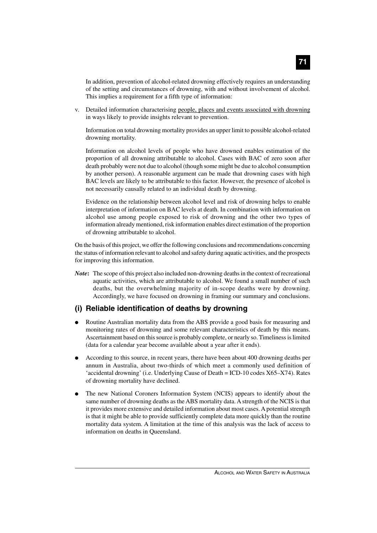In addition, prevention of alcohol-related drowning effectively requires an understanding of the setting and circumstances of drowning, with and without involvement of alcohol. This implies a requirement for a fifth type of information:

v. Detailed information characterising people, places and events associated with drowning in ways likely to provide insights relevant to prevention.

Information on total drowning mortality provides an upper limit to possible alcohol-related drowning mortality.

Information on alcohol levels of people who have drowned enables estimation of the proportion of all drowning attributable to alcohol. Cases with BAC of zero soon after death probably were not due to alcohol (though some might be due to alcohol consumption by another person). A reasonable argument can be made that drowning cases with high BAC levels are likely to be attributable to this factor. However, the presence of alcohol is not necessarily causally related to an individual death by drowning.

Evidence on the relationship between alcohol level and risk of drowning helps to enable interpretation of information on BAC levels at death. In combination with information on alcohol use among people exposed to risk of drowning and the other two types of information already mentioned, risk information enables direct estimation of the proportion of drowning attributable to alcohol.

On the basis of this project, we offer the following conclusions and recommendations concerning the status of information relevant to alcohol and safety during aquatic activities, and the prospects for improving this information.

*Note***:** The scope of this project also included non-drowning deaths in the context of recreational aquatic activities, which are attributable to alcohol. We found a small number of such deaths, but the overwhelming majority of in-scope deaths were by drowning. Accordingly, we have focused on drowning in framing our summary and conclusions.

#### **(i) Reliable identification of deaths by drowning**

- Routine Australian mortality data from the ABS provide a good basis for measuring and monitoring rates of drowning and some relevant characteristics of death by this means. Ascertainment based on this source is probably complete, or nearly so. Timeliness is limited (data for a calendar year become available about a year after it ends).
- According to this source, in recent years, there have been about 400 drowning deaths per annum in Australia, about two-thirds of which meet a commonly used definition of 'accidental drowning' (i.e. Underlying Cause of Death = ICD-10 codes X65–X74). Rates of drowning mortality have declined.
- The new National Coroners Information System (NCIS) appears to identify about the same number of drowning deaths as the ABS mortality data. A strength of the NCIS is that it provides more extensive and detailed information about most cases. A potential strength is that it might be able to provide sufficiently complete data more quickly than the routine mortality data system. A limitation at the time of this analysis was the lack of access to information on deaths in Queensland.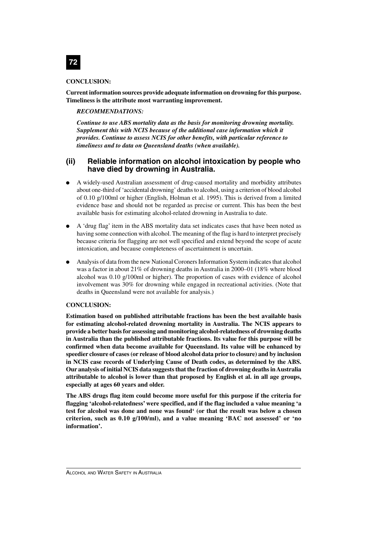

#### **CONCLUSION:**

**Current information sources provide adequate information on drowning for this purpose. Timeliness is the attribute most warranting improvement.**

#### *RECOMMENDATIONS:*

*Continue to use ABS mortality data as the basis for monitoring drowning mortality. Supplement this with NCIS because of the additional case information which it provides. Continue to assess NCIS for other benefits, with particular reference to timeliness and to data on Queensland deaths (when available).*

#### **(ii) Reliable information on alcohol intoxication by people who have died by drowning in Australia.**

- A widely-used Australian assessment of drug-caused mortality and morbidity attributes about one-third of 'accidental drowning' deaths to alcohol, using a criterion of blood alcohol of 0.10 g/100ml or higher (English, Holman et al. 1995). This is derived from a limited evidence base and should not be regarded as precise or current. This has been the best available basis for estimating alcohol-related drowning in Australia to date.
- A 'drug flag' item in the ABS mortality data set indicates cases that have been noted as having some connection with alcohol. The meaning of the flag is hard to interpret precisely because criteria for flagging are not well specified and extend beyond the scope of acute intoxication, and because completeness of ascertainment is uncertain.
- Analysis of data from the new National Coroners Information System indicates that alcohol was a factor in about 21% of drowning deaths in Australia in 2000–01 (18% where blood alcohol was 0.10 g/100ml or higher). The proportion of cases with evidence of alcohol involvement was 30% for drowning while engaged in recreational activities. (Note that deaths in Queensland were not available for analysis.)

#### **CONCLUSION:**

**Estimation based on published attributable fractions has been the best available basis for estimating alcohol-related drowning mortality in Australia. The NCIS appears to provide a better basis for assessing and monitoring alcohol-relatedness of drowning deaths in Australia than the published attributable fractions. Its value for this purpose will be confirmed when data become available for Queensland. Its value will be enhanced by speedier closure of cases (or release of blood alcohol data prior to closure) and by inclusion in NCIS case records of Underlying Cause of Death codes, as determined by the ABS. Our analysis of initial NCIS data suggests that the fraction of drowning deaths in Australia attributable to alcohol is lower than that proposed by English et al. in all age groups, especially at ages 60 years and older.**

**The ABS drugs flag item could become more useful for this purpose if the criteria for flagging 'alcohol-relatedness' were specified, and if the flag included a value meaning 'a test for alcohol was done and none was found' (or that the result was below a chosen criterion, such as 0.10 g/100/ml), and a value meaning 'BAC not assessed' or 'no information'.**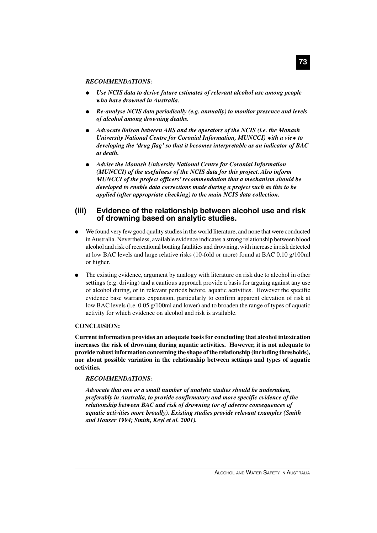#### *RECOMMENDATIONS:*

- Use NCIS data to derive future estimates of relevant alcohol use among people *who have drowned in Australia.*
- *Re-analyse NCIS data periodically (e.g. annually) to monitor presence and levels of alcohol among drowning deaths.*
- *Advocate liaison between ABS and the operators of the NCIS (i.e. the Monash University National Centre for Coronial Information, MUNCCI) with a view to developing the 'drug flag' so that it becomes interpretable as an indicator of BAC at death.*
- *Advise the Monash University National Centre for Coronial Information (MUNCCI) of the usefulness of the NCIS data for this project. Also inform MUNCCI of the project officers' recommendation that a mechanism should be developed to enable data corrections made during a project such as this to be applied (after appropriate checking) to the main NCIS data collection.*

#### **(iii) Evidence of the relationship between alcohol use and risk of drowning based on analytic studies.**

- We found very few good quality studies in the world literature, and none that were conducted in Australia. Nevertheless, available evidence indicates a strong relationship between blood alcohol and risk of recreational boating fatalities and drowning, with increase in risk detected at low BAC levels and large relative risks (10-fold or more) found at BAC 0.10 g/100ml or higher.
- The existing evidence, argument by analogy with literature on risk due to alcohol in other settings (e.g. driving) and a cautious approach provide a basis for arguing against any use of alcohol during, or in relevant periods before, aquatic activities. However the specific evidence base warrants expansion, particularly to confirm apparent elevation of risk at low BAC levels (i.e. 0.05 g/100ml and lower) and to broaden the range of types of aquatic activity for which evidence on alcohol and risk is available.

#### **CONCLUSION:**

**Current information provides an adequate basis for concluding that alcohol intoxication increases the risk of drowning during aquatic activities. However, it is not adequate to provide robust information concerning the shape of the relationship (including thresholds), nor about possible variation in the relationship between settings and types of aquatic activities.**

#### *RECOMMENDATIONS:*

*Advocate that one or a small number of analytic studies should be undertaken, preferably in Australia, to provide confirmatory and more specific evidence of the relationship between BAC and risk of drowning (or of adverse consequences of aquatic activities more broadly). Existing studies provide relevant examples (Smith and Houser 1994; Smith, Keyl et al. 2001).*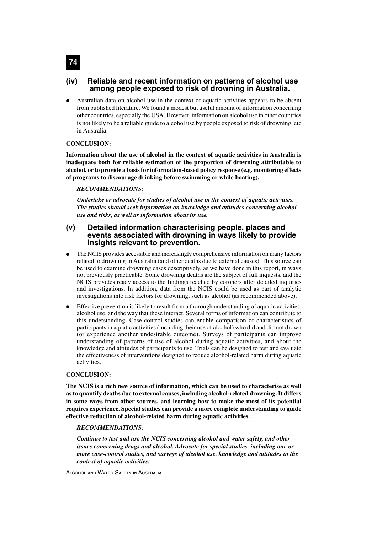#### **(iv) Reliable and recent information on patterns of alcohol use among people exposed to risk of drowning in Australia.**

Australian data on alcohol use in the context of aquatic activities appears to be absent from published literature. We found a modest but useful amount of information concerning other countries, especially the USA. However, information on alcohol use in other countries is not likely to be a reliable guide to alcohol use by people exposed to risk of drowning, etc in Australia.

#### **CONCLUSION:**

**Information about the use of alcohol in the context of aquatic activities in Australia is inadequate both for reliable estimation of the proportion of drowning attributable to alcohol, or to provide a basis for information-based policy response (e.g. monitoring effects of programs to discourage drinking before swimming or while boating).**

#### *RECOMMENDATIONS:*

*Undertake or advocate for studies of alcohol use in the context of aquatic activities. The studies should seek information on knowledge and attitudes concerning alcohol use and risks, as well as information about its use.*

#### **(v) Detailed information characterising people, places and events associated with drowning in ways likely to provide insights relevant to prevention.**

- The NCIS provides accessible and increasingly comprehensive information on many factors related to drowning in Australia (and other deaths due to external causes). This source can be used to examine drowning cases descriptively, as we have done in this report, in ways not previously practicable. Some drowning deaths are the subject of full inquests, and the NCIS provides ready access to the findings reached by coroners after detailed inquiries and investigations. In addition, data from the NCIS could be used as part of analytic investigations into risk factors for drowning, such as alcohol (as recommended above).
- Effective prevention is likely to result from a thorough understanding of aquatic activities, alcohol use, and the way that these interact. Several forms of information can contribute to this understanding. Case-control studies can enable comparison of characteristics of participants in aquatic activities (including their use of alcohol) who did and did not drown (or experience another undesirable outcome). Surveys of participants can improve understanding of patterns of use of alcohol during aquatic activities, and about the knowledge and attitudes of participants to use. Trials can be designed to test and evaluate the effectiveness of interventions designed to reduce alcohol-related harm during aquatic activities.

#### **CONCLUSION:**

**The NCIS is a rich new source of information, which can be used to characterise as well as to quantify deaths due to external causes, including alcohol-related drowning. It differs in some ways from other sources, and learning how to make the most of its potential requires experience. Special studies can provide a more complete understanding to guide effective reduction of alcohol-related harm during aquatic activities.**

#### *RECOMMENDATIONS:*

*Continue to test and use the NCIS concerning alcohol and water safety, and other issues concerning drugs and alcohol. Advocate for special studies, including one or more case-control studies, and surveys of alcohol use, knowledge and attitudes in the context of aquatic activities.*

ALCOHOL AND WATER SAFETY IN AUSTRALIA

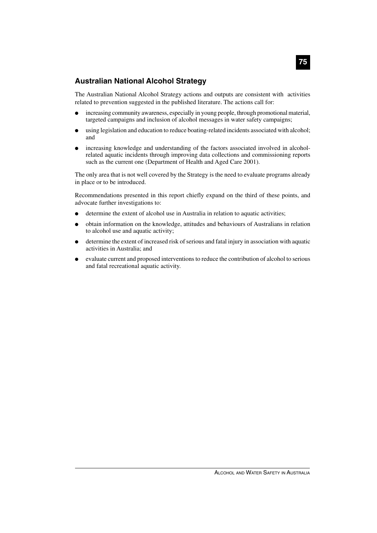#### **Australian National Alcohol Strategy**

The Australian National Alcohol Strategy actions and outputs are consistent with activities related to prevention suggested in the published literature. The actions call for:

- increasing community awareness, especially in young people, through promotional material, targeted campaigns and inclusion of alcohol messages in water safety campaigns;
- using legislation and education to reduce boating-related incidents associated with alcohol; and
- increasing knowledge and understanding of the factors associated involved in alcoholrelated aquatic incidents through improving data collections and commissioning reports such as the current one (Department of Health and Aged Care 2001).

The only area that is not well covered by the Strategy is the need to evaluate programs already in place or to be introduced.

Recommendations presented in this report chiefly expand on the third of these points, and advocate further investigations to:

- determine the extent of alcohol use in Australia in relation to aquatic activities;
- obtain information on the knowledge, attitudes and behaviours of Australians in relation to alcohol use and aquatic activity;
- determine the extent of increased risk of serious and fatal injury in association with aquatic activities in Australia; and
- evaluate current and proposed interventions to reduce the contribution of alcohol to serious and fatal recreational aquatic activity.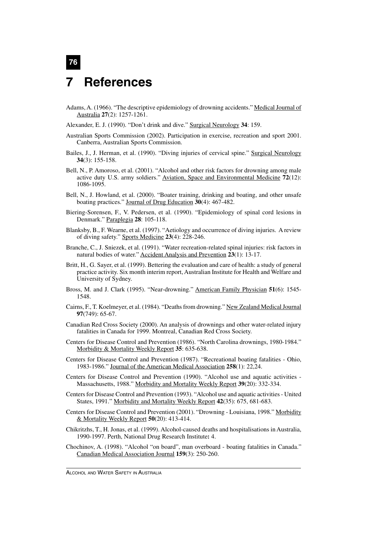## **7 References**

**76**

- Adams, A. (1966). "The descriptive epidemiology of drowning accidents." Medical Journal of Australia **27**(2): 1257-1261.
- Alexander, E. J. (1990). "Don't drink and dive." Surgical Neurology **34**: 159.
- Australian Sports Commission (2002). Participation in exercise, recreation and sport 2001. Canberra, Australian Sports Commission.
- Bailes, J., J. Herman, et al. (1990). "Diving injuries of cervical spine." Surgical Neurology **34**(3): 155-158.
- Bell, N., P. Amoroso, et al. (2001). "Alcohol and other risk factors for drowning among male active duty U.S. army soldiers." Aviation, Space and Environmental Medicine **72**(12): 1086-1095.
- Bell, N., J. Howland, et al. (2000). "Boater training, drinking and boating, and other unsafe boating practices." Journal of Drug Education **30**(4): 467-482.
- Biering-Sorensen, F., V. Pedersen, et al. (1990). "Epidemiology of spinal cord lesions in Denmark." Paraplegia **28**: 105-118.
- Blanksby, B., F. Wearne, et al. (1997). "Aetiology and occurrence of diving injuries. A review of diving safety." Sports Medicine **23**(4): 228-246.
- Branche, C., J. Sniezek, et al. (1991). "Water recreation-related spinal injuries: risk factors in natural bodies of water." Accident Analysis and Prevention **23**(1): 13-17.
- Britt, H., G. Sayer, et al. (1999). Bettering the evaluation and care of health: a study of general practice activity. Six month interim report, Australian Institute for Health and Welfare and University of Sydney.
- Bross, M. and J. Clark (1995). "Near-drowning." American Family Physician **51**(6): 1545- 1548.
- Cairns, F., T. Koelmeyer, et al. (1984). "Deaths from drowning." New Zealand Medical Journal **97**(749): 65-67.
- Canadian Red Cross Society (2000). An analysis of drownings and other water-related injury fatalities in Canada for 1999. Montreal, Canadian Red Cross Society.
- Centers for Disease Control and Prevention (1986). "North Carolina drownings, 1980-1984." Morbidity & Mortality Weekly Report **35**: 635-638.
- Centers for Disease Control and Prevention (1987). "Recreational boating fatalities Ohio, 1983-1986." Journal of the American Medical Association **258**(1): 22,24.
- Centers for Disease Control and Prevention (1990). "Alcohol use and aquatic activities Massachusetts, 1988." Morbidity and Mortality Weekly Report **39**(20): 332-334.
- Centers for Disease Control and Prevention (1993). "Alcohol use and aquatic activities United States, 1991." Morbidity and Mortality Weekly Report **42**(35): 675, 681-683.
- Centers for Disease Control and Prevention (2001). "Drowning Louisiana, 1998." Morbidity & Mortality Weekly Report **50**(20): 413-414.
- Chikritzhs, T., H. Jonas, et al. (1999). Alcohol-caused deaths and hospitalisations in Australia, 1990-1997. Perth, National Drug Research Institute**:** 4.
- Chochinov, A. (1998). "Alcohol "on board", man overboard boating fatalities in Canada." Canadian Medical Association Journal **159**(3): 250-260.

ALCOHOL AND WATER SAFETY IN AUSTRALIA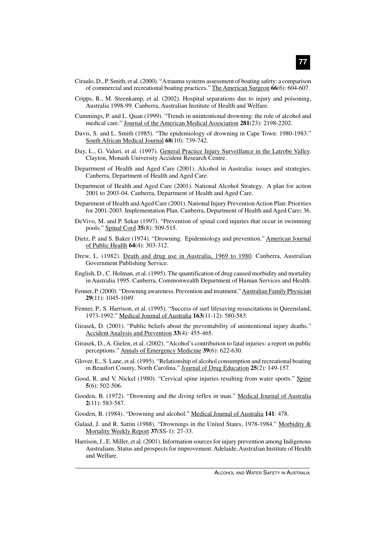- Ciraulo, D., P. Smith, et al. (2000). "A trauma systems assessment of boating safety: a comparison of commercial and recreational boating practices." The American Surgeon **66**(6): 604-607.
- Cripps, R., M. Steenkamp, et al. (2002). Hospital separations due to injury and poisoning, Australia 1998-99. Canberra, Australian Institute of Health and Welfare.
- Cummings, P. and L. Quan (1999). "Trends in unintentional drowning: the role of alcohol and medical care." Journal of the American Medical Association **281**(23): 2198-2202.
- Davis, S. and L. Smith (1985). "The epidemiology of drowning in Cape Town: 1980-1983." South African Medical Journal **68**(10): 739-742.
- Day, L., G. Valuri, et al. (1997). General Practice Injury Surveillance in the Latrobe Valley. Clayton, Monash University Accident Research Centre.
- Department of Health and Aged Care (2001). Alcohol in Australia: issues and strategies. Canberra, Department of Health and Aged Care.
- Department of Health and Aged Care (2001). National Alcohol Strategy. A plan for action 2001 to 2003-04. Canberra, Department of Health and Aged Care.
- Department of Health and Aged Care (2001). National Injury Prevention Action Plan: Priorities for 2001-2003. Implementation Plan. Canberra, Department of Health and Aged Care**:** 36.
- DeVivo, M. and P. Sekar (1997). "Prevention of spinal cord injuries that occur in swimming pools." Spinal Cord **35**(8): 509-515.
- Dietz, P. and S. Baker (1974). "Drowning. Epidemiology and prevention." American Journal of Public Health **64**(4): 303-312.
- Drew, L. (1982). Death and drug use in Australia, 1969 to 1980. Canberra, Australian Government Publishing Service.
- English, D., C. Holman, et al. (1995). The quantification of drug caused morbidity and mortality in Australia 1995. Canberra, Commonwealth Department of Human Services and Health.
- Fenner, P. (2000). "Drowning awareness. Prevention and treatment." Australian Family Physician **29**(11): 1045-1049.
- Fenner, P., S. Harrison, et al. (1995). "Success of surf lifesaving resuscitations in Queensland, 1973-1992." Medical Journal of Australia **163**(11-12): 580-583.
- Girasek, D. (2001). "Public beliefs about the preventability of unintentional injury deaths." Accident Analysis and Prevention **33**(4): 455-465.
- Girasek, D., A. Gielen, et al. (2002). "Alcohol's contribution to fatal injuries: a report on public perceptions." Annals of Emergency Medicine **39**(6): 622-630.
- Glover, E., S. Lane, et al. (1995). "Relationship of alcohol consumption and recreational boating in Beaufort County, North Carolina." Journal of Drug Education **25**(2): 149-157.
- Good, R. and V. Nickel (1980). "Cervical spine injuries resulting from water sports." Spine **5**(6): 502-506.
- Gooden, B. (1972). "Drowning and the diving reflex in man." Medical Journal of Australia **2**(11): 583-587.
- Gooden, B. (1984). "Drowning and alcohol." Medical Journal of Australia **141**: 478.
- Gulaid, J. and R. Sattin (1988). "Drownings in the United States, 1978-1984." Morbidity  $\&$ Mortality Weekly Report **37**(SS-1): 27-33.
- Harrison, J., E. Miller, et al. (2001). Information sources for injury prevention among Indigenous Australians. Status and prospects for improvement. Adelaide, Australian Institute of Health and Welfare.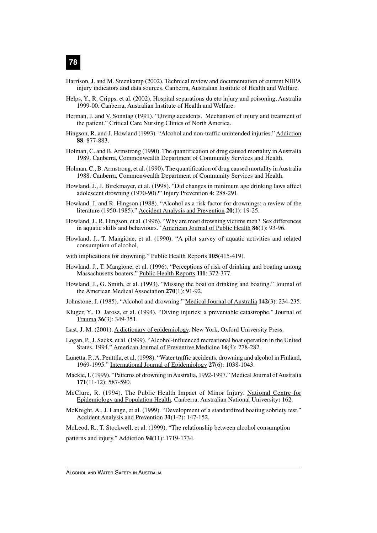- Harrison, J. and M. Steenkamp (2002). Technical review and documentation of current NHPA injury indicators and data sources. Canberra, Australian Institute of Health and Welfare.
- Helps, Y., R. Cripps, et al. (2002). Hospital separations du eto injury and poisoning, Australia 1999-00. Canberra, Australian Institute of Health and Welfare.
- Herman, J. and V. Sonntag (1991). "Diving accidents. Mechanism of injury and treatment of the patient." Critical Care Nursing Clinics of North America.
- Hingson, R. and J. Howland (1993). "Alcohol and non-traffic unintended injuries." Addiction **88**: 877-883.
- Holman, C. and B. Armstrong (1990). The quantification of drug caused mortality in Australia 1989. Canberra, Commonwealth Department of Community Services and Health.
- Holman, C., B. Armstrong, et al. (1990). The quantification of drug caused mortality in Australia 1988. Canberra, Commonwealth Department of Community Services and Health.
- Howland, J., J. Birckmayer, et al. (1998). "Did changes in minimum age drinking laws affect adolescent drowning (1970-90)?" Injury Prevention **4**: 288-291.
- Howland, J. and R. Hingson (1988). "Alcohol as a risk factor for drownings: a review of the literature (1950-1985)." Accident Analysis and Prevention **20**(1): 19-25.
- Howland, J., R. Hingson, et al. (1996). "Why are most drowning victims men? Sex differences in aquatic skills and behaviours." American Journal of Public Health **86**(1): 93-96.
- Howland, J., T. Mangione, et al. (1990). "A pilot survey of aquatic activities and related consumption of alcohol,
- with implications for drowning." Public Health Reports **105**(415-419).
- Howland, J., T. Mangione, et al. (1996). "Perceptions of risk of drinking and boating among Massachusetts boaters." Public Health Reports **111**: 372-377.
- Howland, J., G. Smith, et al. (1993). "Missing the boat on drinking and boating." Journal of the American Medical Association **270**(1): 91-92.
- Johnstone, J. (1985). "Alcohol and drowning." Medical Journal of Australia **142**(3): 234-235.
- Kluger, Y., D. Jarosz, et al. (1994). "Diving injuries: a preventable catastrophe." Journal of Trauma **36**(3): 349-351.
- Last, J. M. (2001). A dictionary of epidemiology. New York, Oxford University Press.
- Logan, P., J. Sacks, et al. (1999). "Alcohol-influenced recreational boat operation in the United States, 1994." American Journal of Preventive Medicine **16**(4): 278-282.
- Lunetta, P., A. Penttila, et al. (1998). "Water traffic accidents, drowning and alcohol in Finland, 1969-1995." International Journal of Epidemiology **27**(6): 1038-1043.
- Mackie, I. (1999). "Patterns of drowning in Australia, 1992-1997." Medical Journal of Australia **171**(11-12): 587-590.
- McClure, R. (1994). The Public Health Impact of Minor Injury. National Centre for Epidemiology and Population Health. Canberra, Australian National University**:** 162.
- McKnight, A., J. Lange, et al. (1999). "Development of a standardized boating sobriety test." Accident Analysis and Prevention **31**(1-2): 147-152.

McLeod, R., T. Stockwell, et al. (1999). "The relationship between alcohol consumption

patterns and injury." Addiction **94**(11): 1719-1734.

ALCOHOL AND WATER SAFETY IN AUSTRALIA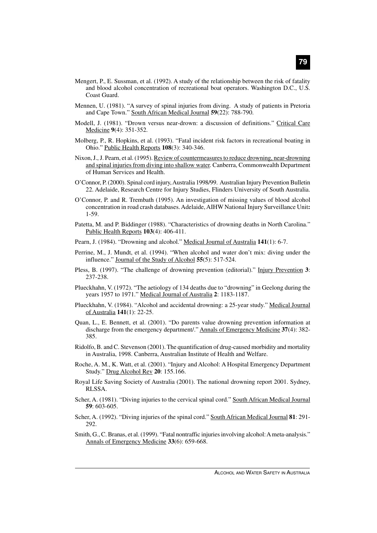- Mengert, P., E. Sussman, et al. (1992). A study of the relationship between the risk of fatality and blood alcohol concentration of recreational boat operators. Washington D.C., U.S. Coast Guard.
- Mennen, U. (1981). "A survey of spinal injuries from diving. A study of patients in Pretoria and Cape Town." South African Medical Journal **59**(22): 788-790.
- Modell, J. (1981). "Drown versus near-drown: a discussion of definitions." Critical Care Medicine **9**(4): 351-352.
- Molberg, P., R. Hopkins, et al. (1993). "Fatal incident risk factors in recreational boating in Ohio." Public Health Reports **108**(3): 340-346.
- Nixon, J., J. Pearn, et al. (1995). Review of countermeasures to reduce drowning, near-drowning and spinal injuries from diving into shallow water. Canberra, Commonwealth Department of Human Services and Health.
- O'Connor, P. (2000). Spinal cord injury, Australia 1998/99. Australian Injury Prevention Bulletin 22. Adelaide, Research Centre for Injury Studies, Flinders University of South Australia.
- O'Connor, P. and R. Trembath (1995). An investigation of missing values of blood alcohol concentration in road crash databases. Adelaide, AIHW National Injury Surveillance Unit**:** 1-59.
- Patetta, M. and P. Biddinger (1988). "Characteristics of drowning deaths in North Carolina." Public Health Reports **103**(4): 406-411.
- Pearn, J. (1984). "Drowning and alcohol." Medical Journal of Australia **141**(1): 6-7.
- Perrine, M., J. Mundt, et al. (1994). "When alcohol and water don't mix: diving under the influence." Journal of the Study of Alcohol **55**(5): 517-524.
- Pless, B. (1997). "The challenge of drowning prevention (editorial)." Injury Prevention **3**: 237-238.
- Plueckhahn, V. (1972). "The aetiology of 134 deaths due to "drowning" in Geelong during the years 1957 to 1971." Medical Journal of Australia **2**: 1183-1187.
- Plueckhahn, V. (1984). "Alcohol and accidental drowning: a 25-year study." Medical Journal of Australia **141**(1): 22-25.
- Quan, L., E. Bennett, et al. (2001). "Do parents value drowning prevention information at discharge from the emergency department/." Annals of Emergency Medicine **37**(4): 382- 385.
- Ridolfo, B. and C. Stevenson (2001). The quantification of drug-caused morbidity and mortality in Australia, 1998. Canberra, Australian Institute of Health and Welfare.
- Roche, A. M., K. Watt, et al. (2001). "Injury and Alcohol: A Hospital Emergency Department Study." Drug Alcohol Rev **20**: 155.166.
- Royal Life Saving Society of Australia (2001). The national drowning report 2001. Sydney, RLSSA.
- Scher, A. (1981). "Diving injuries to the cervical spinal cord." South African Medical Journal **59**: 603-605.
- Scher, A. (1992). "Diving injuries of the spinal cord." South African Medical Journal **81**: 291- 292.
- Smith, G., C. Branas, et al. (1999). "Fatal nontraffic injuries involving alcohol: A meta-analysis." Annals of Emergency Medicine **33**(6): 659-668.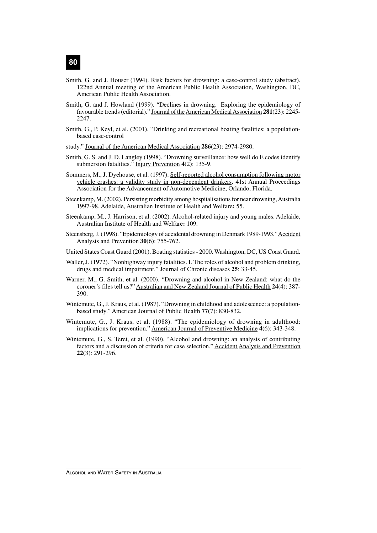- Smith, G. and J. Houser (1994). Risk factors for drowning: a case-control study (abstract). 122nd Annual meeting of the American Public Health Association, Washington, DC, American Public Health Association.
- Smith, G. and J. Howland (1999). "Declines in drowning. Exploring the epidemiology of favourable trends (editorial)." Journal of the American Medical Association **281**(23): 2245- 2247.
- Smith, G., P. Keyl, et al. (2001). "Drinking and recreational boating fatalities: a populationbased case-control
- study." Journal of the American Medical Association **286**(23): 2974-2980.
- Smith, G. S. and J. D. Langley (1998). "Drowning surveillance: how well do E codes identify submersion fatalities." Injury Prevention **4**(2): 135-9.
- Sommers, M., J. Dyehouse, et al. (1997). Self-reported alcohol consumption following motor vehicle crashes: a validity study in non-dependent drinkers. 41st Annual Proceedings Association for the Advancement of Automotive Medicine, Orlando, Florida.
- Steenkamp, M. (2002). Persisting morbidity among hospitalisations for near drowning, Australia 1997-98. Adelaide, Australian Institute of Health and Welfare**:** 55.
- Steenkamp, M., J. Harrison, et al. (2002). Alcohol-related injury and young males. Adelaide, Australian Institute of Health and Welfare**:** 109.
- Steensberg, J. (1998). "Epidemiology of accidental drowning in Denmark 1989-1993." Accident Analysis and Prevention **30**(6): 755-762.
- United States Coast Guard (2001). Boating statistics 2000. Washington, DC, US Coast Guard.
- Waller, J. (1972). "Nonhighway injury fatalities. I. The roles of alcohol and problem drinking, drugs and medical impairment." Journal of Chronic diseases **25**: 33-45.
- Warner, M., G. Smith, et al. (2000). "Drowning and alcohol in New Zealand: what do the coroner's files tell us?" Australian and New Zealand Journal of Public Health **24**(4): 387- 390.
- Wintemute, G., J. Kraus, et al. (1987). "Drowning in childhood and adolescence: a populationbased study." American Journal of Public Health **77**(7): 830-832.
- Wintemute, G., J. Kraus, et al. (1988). "The epidemiology of drowning in adulthood: implications for prevention." American Journal of Preventive Medicine **4**(6): 343-348.
- Wintemute, G., S. Teret, et al. (1990). "Alcohol and drowning: an analysis of contributing factors and a discussion of criteria for case selection." Accident Analysis and Prevention **22**(3): 291-296.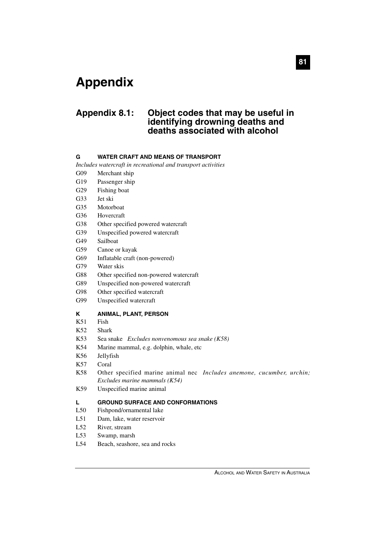## **Appendix**

### **Appendix 8.1: Object codes that may be useful in identifying drowning deaths and deaths associated with alcohol**

#### **G WATER CRAFT AND MEANS OF TRANSPORT**

*Includes watercraft in recreational and transport activities*

- G09 Merchant ship
- G19 Passenger ship
- G29 Fishing boat
- G33 Jet ski
- G35 Motorboat
- G36 Hovercraft
- G38 Other specified powered watercraft
- G39 Unspecified powered watercraft
- G49 Sailboat
- G59 Canoe or kayak
- G69 Inflatable craft (non-powered)
- G79 Water skis
- G88 Other specified non-powered watercraft
- G89 Unspecified non-powered watercraft
- G98 Other specified watercraft
- G99 Unspecified watercraft

#### **K ANIMAL, PLANT, PERSON**

- K51 Fish
- K52 Shark
- K53 Sea snake *Excludes nonvenomous sea snake (K58)*
- K54 Marine mammal, e.g. dolphin, whale, etc
- K56 Jellyfish
- K57 Coral
- K58 Other specified marine animal nec *Includes anemone, cucumber, urchin; Excludes marine mammals (K54)*
- K59 Unspecified marine animal

#### **L GROUND SURFACE AND CONFORMATIONS**

- L50 Fishpond/ornamental lake
- L51 Dam, lake, water reservoir
- L52 River, stream
- L53 Swamp, marsh
- L54 Beach, seashore, sea and rocks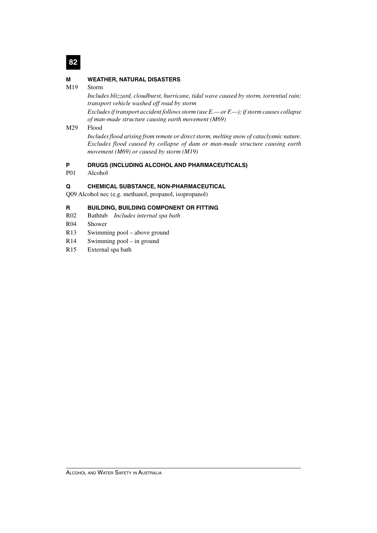## **82**

#### **M WEATHER, NATURAL DISASTERS**

#### M19 Storm

*Includes blizzard, cloudburst, hurricane, tidal wave caused by storm, torrential rain; transport vehicle washed off road by storm*

*Excludes if transport accident follows storm (use E.— or F.—); if storm causes collapse of man-made structure causing earth movement (M69)*

#### M29 Flood

*Includes flood arising from remote or direct storm, melting snow of cataclysmic nature. Excludes flood caused by collapse of dam or man-made structure causing earth movement (M69) or caused by storm (M19)*

#### **P DRUGS (INCLUDING ALCOHOL AND PHARMACEUTICALS)**

P01 Alcohol

#### **Q CHEMICAL SUBSTANCE, NON-PHARMACEUTICAL**

Q09 Alcohol nec (e.g. methanol, propanol, isopropanol)

#### **R BUILDING, BUILDING COMPONENT OR FITTING**

- R02 Bathtub *Includes internal spa bath*
- R04 Shower
- R13 Swimming pool above ground
- R14 Swimming pool in ground
- R15 External spa bath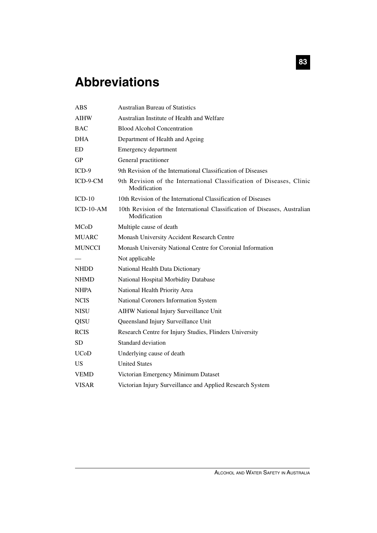## **Abbreviations**

| <b>ABS</b>    | <b>Australian Bureau of Statistics</b>                                                    |
|---------------|-------------------------------------------------------------------------------------------|
| <b>AIHW</b>   | Australian Institute of Health and Welfare                                                |
| <b>BAC</b>    | <b>Blood Alcohol Concentration</b>                                                        |
| <b>DHA</b>    | Department of Health and Ageing                                                           |
| ${\rm ED}$    | <b>Emergency department</b>                                                               |
| <b>GP</b>     | General practitioner                                                                      |
| $ICD-9$       | 9th Revision of the International Classification of Diseases                              |
| $ICD-9-CM$    | 9th Revision of the International Classification of Diseases, Clinic<br>Modification      |
| $ICD-10$      | 10th Revision of the International Classification of Diseases                             |
| $ICD-10-AM$   | 10th Revision of the International Classification of Diseases, Australian<br>Modification |
| <b>MCoD</b>   | Multiple cause of death                                                                   |
| <b>MUARC</b>  | Monash University Accident Research Centre                                                |
| <b>MUNCCI</b> | Monash University National Centre for Coronial Information                                |
|               | Not applicable                                                                            |
| <b>NHDD</b>   | National Health Data Dictionary                                                           |
| <b>NHMD</b>   | National Hospital Morbidity Database                                                      |
| <b>NHPA</b>   | National Health Priority Area                                                             |
| <b>NCIS</b>   | National Coroners Information System                                                      |
| <b>NISU</b>   | AIHW National Injury Surveillance Unit                                                    |
| QISU          | Queensland Injury Surveillance Unit                                                       |
| <b>RCIS</b>   | Research Centre for Injury Studies, Flinders University                                   |
| <b>SD</b>     | Standard deviation                                                                        |
| <b>UCoD</b>   | Underlying cause of death                                                                 |
| <b>US</b>     | <b>United States</b>                                                                      |
| <b>VEMD</b>   | Victorian Emergency Minimum Dataset                                                       |
| <b>VISAR</b>  | Victorian Injury Surveillance and Applied Research System                                 |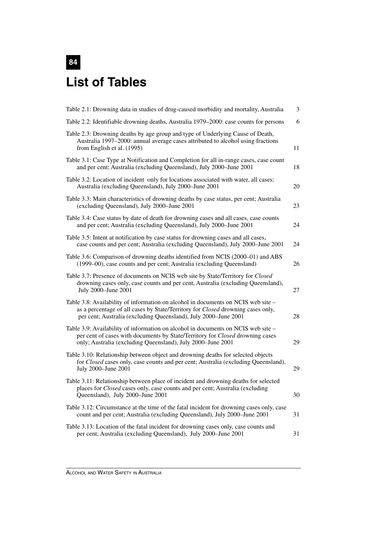# **84 List of Tables**

| Table 2.1: Drowning data in studies of drug-caused morbidity and mortality, Australia                                                                                                                                                   | 3  |
|-----------------------------------------------------------------------------------------------------------------------------------------------------------------------------------------------------------------------------------------|----|
| Table 2.2: Identifiable drowning deaths, Australia 1979–2000: case counts for persons                                                                                                                                                   | 6  |
| Table 2.3: Drowning deaths by age group and type of Underlying Cause of Death,<br>Australia 1997–2000: annual average cases attributed to alcohol using fractions<br>from English et al. (1995)                                         | 11 |
| Table 3.1: Case Type at Notification and Completion for all in-range cases, case count<br>and per cent; Australia (excluding Queensland), July 2000–June 2001                                                                           | 18 |
| Table 3.2: Location of incident only for locations associated with water, all cases;<br>Australia (excluding Queensland), July 2000-June 2001                                                                                           | 20 |
| Table 3.3: Main characteristics of drowning deaths by case status, per cent; Australia<br>(excluding Queensland), July 2000-June 2001                                                                                                   | 23 |
| Table 3.4: Case status by date of death for drowning cases and all cases, case counts<br>and per cent; Australia (excluding Queensland), July 2000-June 2001                                                                            | 24 |
| Table 3.5: Intent at notification by case status for drowning cases and all cases,<br>case counts and per cent; Australia (excluding Queensland), July 2000-June 2001                                                                   | 24 |
| Table 3.6: Comparison of drowning deaths identified from NCIS (2000–01) and ABS<br>(1999–00), case counts and per cent; Australia (excluding Queensland)                                                                                | 26 |
| Table 3.7: Presence of documents on NCIS web site by State/Territory for Closed<br>drowning cases only, case counts and per cent, Australia (excluding Queensland),<br>July 2000-June 2001                                              | 27 |
| Table 3.8: Availability of information on alcohol in documents on NCIS web site -<br>as a percentage of all cases by State/Territory for Closed drowning cases only,<br>per cent; Australia (excluding Queensland), July 2000-June 2001 | 28 |
| Table 3.9: Availability of information on alcohol in documents on NCIS web site -<br>per cent of cases with documents by State/Territory for Closed drowning cases<br>only; Australia (excluding Queensland), July 2000-June 2001       | 29 |
| Table 3.10: Relationship between object and drowning deaths for selected objects<br>for Closed cases only, case counts and per cent; Australia (excluding Queensland),<br>July 2000-June 2001                                           | 29 |
| Table 3.11: Relationship between place of incident and drowning deaths for selected<br>places for Closed cases only, case counts and per cent; Australia (excluding<br>Queensland), July 2000-June 2001                                 | 30 |
| Table 3.12: Circumstance at the time of the fatal incident for drowning cases only, case<br>count and per cent; Australia (excluding Queensland), July 2000-June 2001                                                                   | 31 |
| Table 3.13: Location of the fatal incident for drowning cases only, case counts and<br>per cent; Australia (excluding Queensland), July 2000-June 2001                                                                                  | 31 |
|                                                                                                                                                                                                                                         |    |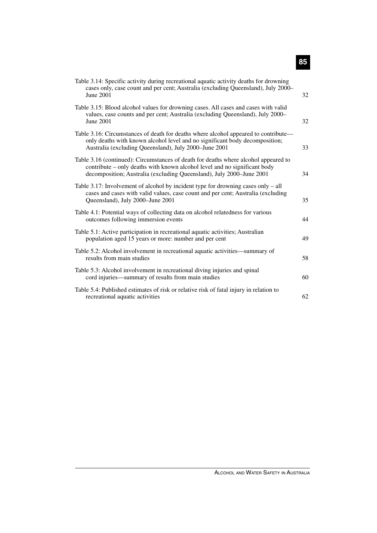| Table 3.14: Specific activity during recreational aquatic activity deaths for drowning<br>cases only, case count and per cent; Australia (excluding Queensland), July 2000-<br>June 2001                                                 | 32 |
|------------------------------------------------------------------------------------------------------------------------------------------------------------------------------------------------------------------------------------------|----|
| Table 3.15: Blood alcohol values for drowning cases. All cases and cases with valid<br>values, case counts and per cent; Australia (excluding Queensland), July 2000-<br>June 2001                                                       | 32 |
| Table 3.16: Circumstances of death for deaths where alcohol appeared to contribute—<br>only deaths with known alcohol level and no significant body decomposition;<br>Australia (excluding Queensland), July 2000-June 2001              | 33 |
| Table 3.16 (continued): Circumstances of death for deaths where alcohol appeared to<br>contribute – only deaths with known alcohol level and no significant body<br>decomposition; Australia (excluding Queensland), July 2000–June 2001 | 34 |
| Table 3.17: Involvement of alcohol by incident type for drowning cases only $-$ all<br>cases and cases with valid values, case count and per cent; Australia (excluding<br>Queensland), July 2000-June 2001                              | 35 |
| Table 4.1: Potential ways of collecting data on alcohol relatedness for various<br>outcomes following immersion events                                                                                                                   | 44 |
| Table 5.1: Active participation in recreational aquatic activities; Australian<br>population aged 15 years or more: number and per cent                                                                                                  | 49 |
| Table 5.2: Alcohol involvement in recreational aquatic activities—summary of<br>results from main studies                                                                                                                                | 58 |
| Table 5.3: Alcohol involvement in recreational diving injuries and spinal<br>cord injuries—summary of results from main studies                                                                                                          | 60 |
| Table 5.4: Published estimates of risk or relative risk of fatal injury in relation to<br>recreational aquatic activities                                                                                                                | 62 |

**85**